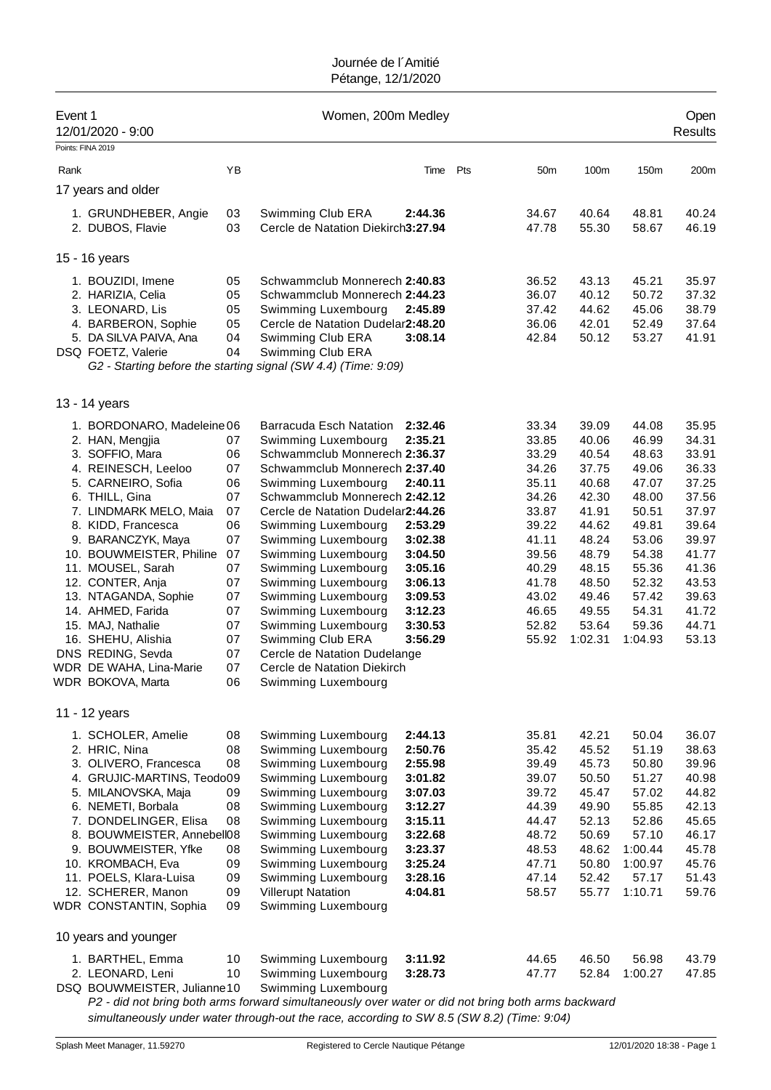| Event 1 | 12/01/2020 - 9:00                           |          | Women, 200m Medley                                                                                 |                    |     |                 |                |                  | Open<br><b>Results</b> |
|---------|---------------------------------------------|----------|----------------------------------------------------------------------------------------------------|--------------------|-----|-----------------|----------------|------------------|------------------------|
|         | Points: FINA 2019                           |          |                                                                                                    |                    |     |                 |                |                  |                        |
| Rank    |                                             | YB       |                                                                                                    | Time               | Pts | 50 <sub>m</sub> | 100m           | 150m             | 200m                   |
|         | 17 years and older                          |          |                                                                                                    |                    |     |                 |                |                  |                        |
|         | 1. GRUNDHEBER, Angie<br>2. DUBOS, Flavie    | 03<br>03 | Swimming Club ERA<br>Cercle de Natation Diekirch3:27.94                                            | 2:44.36            |     | 34.67<br>47.78  | 40.64<br>55.30 | 48.81<br>58.67   | 40.24<br>46.19         |
|         | 15 - 16 years                               |          |                                                                                                    |                    |     |                 |                |                  |                        |
|         | 1. BOUZIDI, Imene                           | 05       | Schwammclub Monnerech 2:40.83                                                                      |                    |     | 36.52           | 43.13          | 45.21            | 35.97                  |
|         | 2. HARIZIA, Celia                           | 05       | Schwammclub Monnerech 2:44.23                                                                      |                    |     | 36.07           | 40.12          | 50.72            | 37.32                  |
|         | 3. LEONARD, Lis                             | 05       | Swimming Luxembourg                                                                                | 2:45.89            |     | 37.42           | 44.62          | 45.06            | 38.79                  |
|         | 4. BARBERON, Sophie                         | 05       | Cercle de Natation Dudelar2:48.20                                                                  |                    |     | 36.06           | 42.01          | 52.49            | 37.64                  |
|         | 5. DA SILVA PAIVA, Ana                      | 04       | Swimming Club ERA                                                                                  | 3:08.14            |     | 42.84           | 50.12          | 53.27            | 41.91                  |
|         | DSQ FOETZ, Valerie                          | 04       | Swimming Club ERA                                                                                  |                    |     |                 |                |                  |                        |
|         |                                             |          | G2 - Starting before the starting signal (SW 4.4) (Time: 9:09)                                     |                    |     |                 |                |                  |                        |
|         | 13 - 14 years                               |          |                                                                                                    |                    |     |                 |                |                  |                        |
|         | 1. BORDONARO, Madeleine 06                  |          | Barracuda Esch Natation                                                                            | 2:32.46            |     | 33.34           | 39.09          | 44.08            | 35.95                  |
|         | 2. HAN, Mengjia                             | 07       | Swimming Luxembourg                                                                                | 2:35.21            |     | 33.85           | 40.06          | 46.99            | 34.31                  |
|         | 3. SOFFIO, Mara                             | 06       | Schwammclub Monnerech 2:36.37                                                                      |                    |     | 33.29           | 40.54          | 48.63            | 33.91                  |
|         | 4. REINESCH, Leeloo                         | 07       | Schwammclub Monnerech 2:37.40                                                                      |                    |     | 34.26           | 37.75          | 49.06            | 36.33                  |
|         | 5. CARNEIRO, Sofia                          | 06       | Swimming Luxembourg                                                                                | 2:40.11            |     | 35.11           | 40.68          | 47.07            | 37.25                  |
|         | 6. THILL, Gina                              | 07       | Schwammclub Monnerech 2:42.12                                                                      |                    |     | 34.26           | 42.30          | 48.00            | 37.56                  |
|         | 7. LINDMARK MELO, Maia                      | 07       | Cercle de Natation Dudelar2:44.26                                                                  |                    |     | 33.87           | 41.91          | 50.51            | 37.97                  |
|         | 8. KIDD, Francesca                          | 06       | Swimming Luxembourg                                                                                | 2:53.29            |     | 39.22           | 44.62          | 49.81            | 39.64                  |
|         | 9. BARANCZYK, Maya                          | 07       | Swimming Luxembourg                                                                                | 3:02.38            |     | 41.11           | 48.24          | 53.06            | 39.97                  |
|         | 10. BOUWMEISTER, Philine                    | 07       | Swimming Luxembourg                                                                                | 3:04.50            |     | 39.56           | 48.79          | 54.38            | 41.77                  |
|         | 11. MOUSEL, Sarah                           | 07       | Swimming Luxembourg                                                                                | 3:05.16            |     | 40.29           | 48.15          | 55.36            | 41.36                  |
|         | 12. CONTER, Anja                            | 07       | Swimming Luxembourg                                                                                | 3:06.13            |     | 41.78           | 48.50          | 52.32            | 43.53                  |
|         | 13. NTAGANDA, Sophie                        | 07       | Swimming Luxembourg                                                                                | 3:09.53            |     | 43.02           | 49.46          | 57.42            | 39.63                  |
|         | 14. AHMED, Farida                           | 07       | Swimming Luxembourg                                                                                | 3:12.23            |     | 46.65           | 49.55          | 54.31            | 41.72                  |
|         | 15. MAJ, Nathalie                           | 07       | Swimming Luxembourg                                                                                | 3:30.53            |     | 52.82           | 53.64          | 59.36            | 44.71                  |
|         | 16. SHEHU, Alishia                          | 07       | Swimming Club ERA                                                                                  | 3:56.29            |     | 55.92           | 1:02.31        | 1:04.93          | 53.13                  |
|         | DNS REDING, Sevda                           | 07       | Cercle de Natation Dudelange                                                                       |                    |     |                 |                |                  |                        |
|         | WDR DE WAHA, Lina-Marie                     | 07       | Cercle de Natation Diekirch                                                                        |                    |     |                 |                |                  |                        |
|         | WDR BOKOVA, Marta                           | 06       | Swimming Luxembourg                                                                                |                    |     |                 |                |                  |                        |
|         | 11 - 12 years                               |          |                                                                                                    |                    |     |                 |                |                  |                        |
|         | 1. SCHOLER, Amelie                          | 08       | Swimming Luxembourg                                                                                | 2:44.13            |     | 35.81           | 42.21          | 50.04            | 36.07                  |
|         | 2. HRIC, Nina                               | 08       | Swimming Luxembourg                                                                                | 2:50.76            |     | 35.42           | 45.52          | 51.19            | 38.63                  |
|         | 3. OLIVERO, Francesca                       | 08       | Swimming Luxembourg                                                                                | 2:55.98            |     | 39.49           | 45.73          | 50.80            | 39.96                  |
|         | 4. GRUJIC-MARTINS, Teodo09                  |          | Swimming Luxembourg                                                                                | 3:01.82            |     | 39.07           | 50.50          | 51.27            | 40.98                  |
|         | 5. MILANOVSKA, Maja                         | 09       | Swimming Luxembourg                                                                                | 3:07.03            |     | 39.72           | 45.47          | 57.02            | 44.82                  |
|         | 6. NEMETI, Borbala                          | 08       | Swimming Luxembourg                                                                                | 3:12.27            |     | 44.39           | 49.90          | 55.85            | 42.13                  |
|         | 7. DONDELINGER, Elisa                       | 08       | Swimming Luxembourg                                                                                | 3:15.11            |     | 44.47           | 52.13          | 52.86            | 45.65                  |
|         | 8. BOUWMEISTER, Annebell08                  |          | Swimming Luxembourg                                                                                | 3:22.68            |     | 48.72           | 50.69          | 57.10            | 46.17                  |
|         | 9. BOUWMEISTER, Yfke                        | 08       | Swimming Luxembourg                                                                                | 3:23.37            |     | 48.53           | 48.62          | 1:00.44          | 45.78                  |
|         | 10. KROMBACH, Eva<br>11. POELS, Klara-Luisa | 09<br>09 | Swimming Luxembourg<br>Swimming Luxembourg                                                         | 3:25.24<br>3:28.16 |     | 47.71<br>47.14  | 50.80<br>52.42 | 1:00.97<br>57.17 | 45.76<br>51.43         |
|         | 12. SCHERER, Manon                          | 09       | <b>Villerupt Natation</b>                                                                          | 4:04.81            |     | 58.57           | 55.77          | 1:10.71          | 59.76                  |
|         | WDR CONSTANTIN, Sophia                      | 09       | Swimming Luxembourg                                                                                |                    |     |                 |                |                  |                        |
|         | 10 years and younger                        |          |                                                                                                    |                    |     |                 |                |                  |                        |
|         | 1. BARTHEL, Emma                            | 10       | Swimming Luxembourg                                                                                | 3:11.92            |     | 44.65           | 46.50          | 56.98            | 43.79                  |
|         | 2. LEONARD, Leni                            | 10       | Swimming Luxembourg                                                                                | 3:28.73            |     | 47.77           | 52.84          | 1:00.27          | 47.85                  |
|         | DSQ BOUWMEISTER, Julianne10                 |          | Swimming Luxembourg                                                                                |                    |     |                 |                |                  |                        |
|         |                                             |          | P2 - did not bring both arms forward simultaneously over water or did not bring both arms backward |                    |     |                 |                |                  |                        |

*P2 - did not bring both arms forward simultaneously over water or did not bring both arms backward simultaneously under water through-out the race, according to SW 8.5 (SW 8.2) (Time: 9:04)*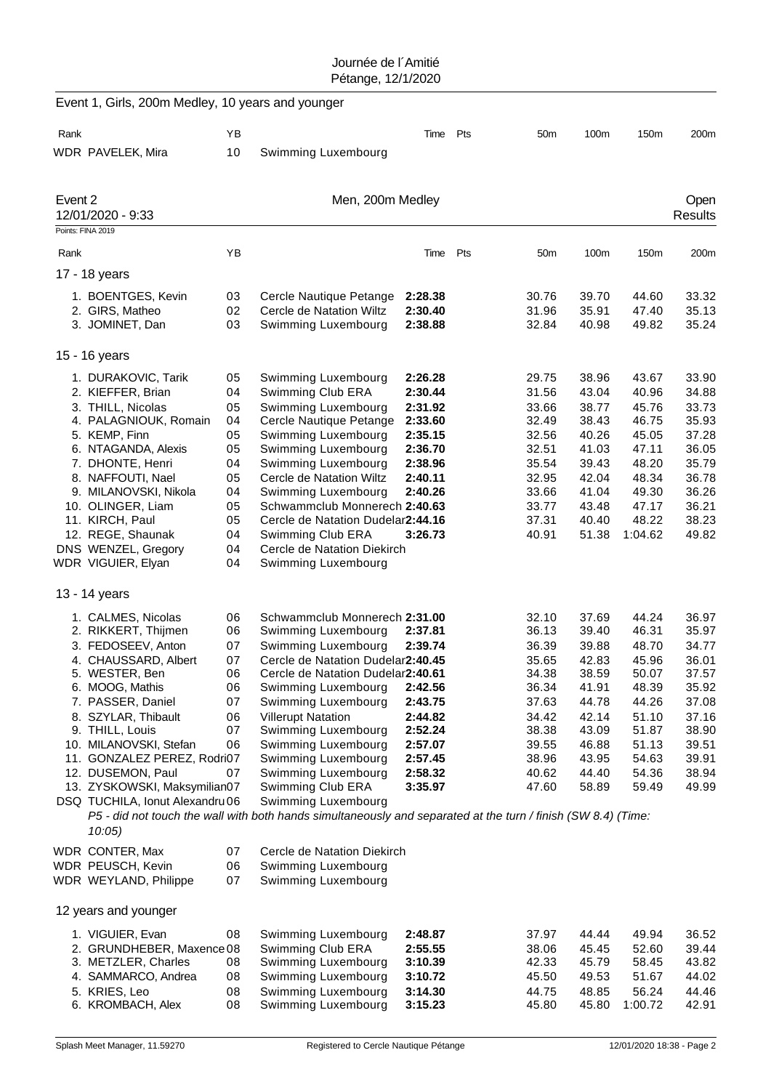|         | Event 1, Girls, 200m Medley, 10 years and younger |          |                                                                                                               |                    |     |                 |                |                |                |
|---------|---------------------------------------------------|----------|---------------------------------------------------------------------------------------------------------------|--------------------|-----|-----------------|----------------|----------------|----------------|
| Rank    |                                                   | YB       |                                                                                                               | Time               | Pts | 50 <sub>m</sub> | 100m           | 150m           | 200m           |
|         | WDR PAVELEK, Mira                                 | 10       | Swimming Luxembourg                                                                                           |                    |     |                 |                |                |                |
| Event 2 |                                                   |          | Men, 200m Medley                                                                                              |                    |     |                 |                |                | Open           |
|         | 12/01/2020 - 9:33                                 |          |                                                                                                               |                    |     |                 |                |                | <b>Results</b> |
|         | Points: FINA 2019                                 |          |                                                                                                               |                    |     |                 |                |                |                |
| Rank    |                                                   | YB       |                                                                                                               | Time               | Pts | 50 <sub>m</sub> | 100m           | 150m           | 200m           |
|         | 17 - 18 years                                     |          |                                                                                                               |                    |     |                 |                |                |                |
|         | 1. BOENTGES, Kevin                                | 03       | Cercle Nautique Petange                                                                                       | 2:28.38            |     | 30.76           | 39.70          | 44.60          | 33.32          |
|         | 2. GIRS, Matheo                                   | 02       | Cercle de Natation Wiltz                                                                                      | 2:30.40            |     | 31.96           | 35.91          | 47.40          | 35.13          |
|         | 3. JOMINET, Dan                                   | 03       | Swimming Luxembourg                                                                                           | 2:38.88            |     | 32.84           | 40.98          | 49.82          | 35.24          |
|         | 15 - 16 years                                     |          |                                                                                                               |                    |     |                 |                |                |                |
|         | 1. DURAKOVIC, Tarik                               | 05       | Swimming Luxembourg                                                                                           | 2:26.28            |     | 29.75           | 38.96          | 43.67          | 33.90          |
|         | 2. KIEFFER, Brian                                 | 04       | Swimming Club ERA                                                                                             | 2:30.44            |     | 31.56           | 43.04          | 40.96          | 34.88          |
|         | 3. THILL, Nicolas                                 | 05       | Swimming Luxembourg                                                                                           | 2:31.92            |     | 33.66           | 38.77          | 45.76          | 33.73          |
|         | 4. PALAGNIOUK, Romain                             | 04       | Cercle Nautique Petange                                                                                       | 2:33.60            |     | 32.49           | 38.43          | 46.75          | 35.93          |
|         | 5. KEMP, Finn                                     | 05       | Swimming Luxembourg                                                                                           | 2:35.15            |     | 32.56           | 40.26          | 45.05          | 37.28          |
|         | 6. NTAGANDA, Alexis                               | 05       | Swimming Luxembourg                                                                                           | 2:36.70            |     | 32.51           | 41.03          | 47.11          | 36.05<br>35.79 |
|         | 7. DHONTE, Henri<br>8. NAFFOUTI, Nael             | 04<br>05 | Swimming Luxembourg<br>Cercle de Natation Wiltz                                                               | 2:38.96<br>2:40.11 |     | 35.54<br>32.95  | 39.43<br>42.04 | 48.20<br>48.34 | 36.78          |
|         | 9. MILANOVSKI, Nikola                             | 04       | Swimming Luxembourg                                                                                           | 2:40.26            |     | 33.66           | 41.04          | 49.30          | 36.26          |
|         | 10. OLINGER, Liam                                 | 05       | Schwammclub Monnerech 2:40.63                                                                                 |                    |     | 33.77           | 43.48          | 47.17          | 36.21          |
|         | 11. KIRCH, Paul                                   | 05       | Cercle de Natation Dudelar2:44.16                                                                             |                    |     | 37.31           | 40.40          | 48.22          | 38.23          |
|         | 12. REGE, Shaunak                                 | 04       | Swimming Club ERA                                                                                             | 3:26.73            |     | 40.91           | 51.38          | 1:04.62        | 49.82          |
|         | DNS WENZEL, Gregory                               | 04       | Cercle de Natation Diekirch                                                                                   |                    |     |                 |                |                |                |
|         | WDR VIGUIER, Elyan                                | 04       | Swimming Luxembourg                                                                                           |                    |     |                 |                |                |                |
|         | 13 - 14 years                                     |          |                                                                                                               |                    |     |                 |                |                |                |
|         | 1. CALMES, Nicolas                                | 06       | Schwammclub Monnerech 2:31.00                                                                                 |                    |     | 32.10           | 37.69          | 44.24          | 36.97          |
|         | 2. RIKKERT, Thijmen                               | 06       | Swimming Luxembourg                                                                                           | 2:37.81            |     | 36.13           | 39.40          | 46.31          | 35.97          |
|         | 3. FEDOSEEV, Anton                                | 07       | Swimming Luxembourg                                                                                           | 2:39.74            |     | 36.39           | 39.88          | 48.70          | 34.77          |
|         | 4. CHAUSSARD, Albert                              | 07       | Cercle de Natation Dudelar2:40.45                                                                             |                    |     | 35.65           | 42.83          | 45.96          | 36.01          |
|         | 5. WESTER, Ben                                    | 06       | Cercle de Natation Dudelar2:40.61                                                                             |                    |     | 34.38           | 38.59          | 50.07          | 37.57          |
|         | 6. MOOG, Mathis                                   | 06       | Swimming Luxembourg                                                                                           | 2:42.56            |     | 36.34           | 41.91          | 48.39          | 35.92          |
|         | 7. PASSER, Daniel                                 | 07       | Swimming Luxembourg                                                                                           | 2:43.75            |     | 37.63           | 44.78          | 44.26          | 37.08          |
|         | 8. SZYLAR, Thibault                               | 06       | <b>Villerupt Natation</b>                                                                                     | 2:44.82            |     | 34.42           | 42.14          | 51.10          | 37.16          |
|         | 9. THILL, Louis<br>10. MILANOVSKI, Stefan         | 07<br>06 | Swimming Luxembourg<br>Swimming Luxembourg                                                                    | 2:52.24<br>2:57.07 |     | 38.38<br>39.55  | 43.09<br>46.88 | 51.87<br>51.13 | 38.90<br>39.51 |
|         | 11. GONZALEZ PEREZ, Rodri07                       |          | Swimming Luxembourg                                                                                           | 2:57.45            |     | 38.96           | 43.95          | 54.63          | 39.91          |
|         | 12. DUSEMON, Paul                                 | 07       | Swimming Luxembourg                                                                                           | 2:58.32            |     | 40.62           | 44.40          | 54.36          | 38.94          |
|         | 13. ZYSKOWSKI, Maksymilian07                      |          | Swimming Club ERA                                                                                             | 3:35.97            |     | 47.60           | 58.89          | 59.49          | 49.99          |
|         | DSQ TUCHILA, Ionut Alexandru 06                   |          | Swimming Luxembourg                                                                                           |                    |     |                 |                |                |                |
|         | $10:05$ )                                         |          | P5 - did not touch the wall with both hands simultaneously and separated at the turn / finish (SW 8.4) (Time: |                    |     |                 |                |                |                |
|         | WDR CONTER, Max                                   | 07       | Cercle de Natation Diekirch                                                                                   |                    |     |                 |                |                |                |
|         | WDR PEUSCH, Kevin                                 | 06       | Swimming Luxembourg                                                                                           |                    |     |                 |                |                |                |
|         | WDR WEYLAND, Philippe                             | 07       | Swimming Luxembourg                                                                                           |                    |     |                 |                |                |                |
|         | 12 years and younger                              |          |                                                                                                               |                    |     |                 |                |                |                |
|         | 1. VIGUIER, Evan                                  | 08       | Swimming Luxembourg                                                                                           | 2:48.87            |     | 37.97           | 44.44          | 49.94          | 36.52          |
|         | 2. GRUNDHEBER, Maxence 08                         |          | Swimming Club ERA                                                                                             | 2:55.55            |     | 38.06           | 45.45          | 52.60          | 39.44          |
|         | 3. METZLER, Charles                               | 08       | Swimming Luxembourg                                                                                           | 3:10.39            |     | 42.33           | 45.79          | 58.45          | 43.82          |
|         | 4. SAMMARCO, Andrea                               | 08       | Swimming Luxembourg                                                                                           | 3:10.72            |     | 45.50           | 49.53          | 51.67          | 44.02          |
|         | 5. KRIES, Leo                                     | 08       | Swimming Luxembourg                                                                                           | 3:14.30            |     | 44.75           | 48.85          | 56.24          | 44.46          |
|         | 6. KROMBACH, Alex                                 | 08       | Swimming Luxembourg                                                                                           | 3:15.23            |     | 45.80           | 45.80          | 1:00.72        | 42.91          |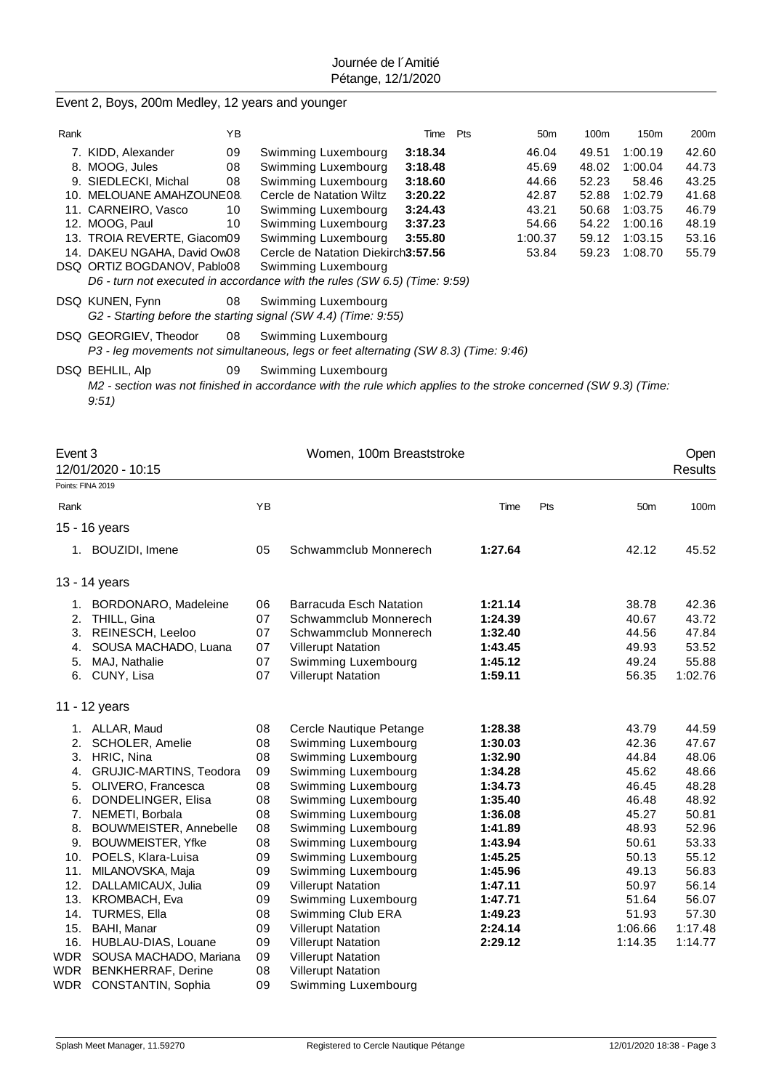# Event 2, Boys, 200m Medley, 12 years and younger

| Rank |                             | ΥB |                                                                                                                 | Time    | Pts | 50 <sub>m</sub> | 100m  | 150 <sub>m</sub> | 200m  |
|------|-----------------------------|----|-----------------------------------------------------------------------------------------------------------------|---------|-----|-----------------|-------|------------------|-------|
|      | 7. KIDD, Alexander          | 09 | Swimming Luxembourg                                                                                             | 3:18.34 |     | 46.04           | 49.51 | 1:00.19          | 42.60 |
| 8.   | MOOG, Jules                 | 08 | Swimming Luxembourg                                                                                             | 3:18.48 |     | 45.69           | 48.02 | 1:00.04          | 44.73 |
|      | 9. SIEDLECKI, Michal        | 08 | Swimming Luxembourg                                                                                             | 3:18.60 |     | 44.66           | 52.23 | 58.46            | 43.25 |
|      | 10. MELOUANE AMAHZOUNE08.   |    | Cercle de Natation Wiltz                                                                                        | 3:20.22 |     | 42.87           | 52.88 | 1:02.79          | 41.68 |
|      | 11. CARNEIRO, Vasco         | 10 | Swimming Luxembourg                                                                                             | 3:24.43 |     | 43.21           | 50.68 | 1:03.75          | 46.79 |
|      | 12. MOOG, Paul              | 10 | Swimming Luxembourg                                                                                             | 3:37.23 |     | 54.66           | 54.22 | 1:00.16          | 48.19 |
|      | 13. TROIA REVERTE, Giacom09 |    | Swimming Luxembourg                                                                                             | 3:55.80 |     | 1:00.37         | 59.12 | 1:03.15          | 53.16 |
|      | 14. DAKEU NGAHA, David Ow08 |    | Cercle de Natation Diekirch3:57.56                                                                              |         |     | 53.84           | 59.23 | 1:08.70          | 55.79 |
|      | DSQ ORTIZ BOGDANOV, Pablo08 |    | Swimming Luxembourg                                                                                             |         |     |                 |       |                  |       |
|      |                             |    | D6 - turn not executed in accordance with the rules (SW 6.5) (Time: 9:59)                                       |         |     |                 |       |                  |       |
|      | DSQ KUNEN, Fynn             | 08 | Swimming Luxembourg                                                                                             |         |     |                 |       |                  |       |
|      |                             |    | G2 - Starting before the starting signal (SW 4.4) (Time: 9:55)                                                  |         |     |                 |       |                  |       |
|      | DSQ GEORGIEV, Theodor       | 08 | Swimming Luxembourg                                                                                             |         |     |                 |       |                  |       |
|      |                             |    | P3 - leg movements not simultaneous, legs or feet alternating (SW 8.3) (Time: 9:46)                             |         |     |                 |       |                  |       |
|      | DSQ BEHLIL, Alp             | 09 | Swimming Luxembourg                                                                                             |         |     |                 |       |                  |       |
|      |                             |    | M2 - section was not finished in accordance with the rule which applies to the stroke concerned (SW 9.3) (Time: |         |     |                 |       |                  |       |

*9:51)*

| Event 3                                                              | 12/01/2020 - 10:15                                                                                                                                                                                                                                                                                                                                                                                                 |                                                                                                          | Women, 100m Breaststroke                                                                                                                                                                                                                                                                                                                                                                                                                                   |                                                                                                                                                                              |     |                                                                                                                                                  | Open<br><b>Results</b>                                                                                                                           |
|----------------------------------------------------------------------|--------------------------------------------------------------------------------------------------------------------------------------------------------------------------------------------------------------------------------------------------------------------------------------------------------------------------------------------------------------------------------------------------------------------|----------------------------------------------------------------------------------------------------------|------------------------------------------------------------------------------------------------------------------------------------------------------------------------------------------------------------------------------------------------------------------------------------------------------------------------------------------------------------------------------------------------------------------------------------------------------------|------------------------------------------------------------------------------------------------------------------------------------------------------------------------------|-----|--------------------------------------------------------------------------------------------------------------------------------------------------|--------------------------------------------------------------------------------------------------------------------------------------------------|
|                                                                      | Points: FINA 2019                                                                                                                                                                                                                                                                                                                                                                                                  |                                                                                                          |                                                                                                                                                                                                                                                                                                                                                                                                                                                            |                                                                                                                                                                              |     |                                                                                                                                                  |                                                                                                                                                  |
| Rank                                                                 |                                                                                                                                                                                                                                                                                                                                                                                                                    | YB                                                                                                       |                                                                                                                                                                                                                                                                                                                                                                                                                                                            | Time                                                                                                                                                                         | Pts | 50 <sub>m</sub>                                                                                                                                  | 100m                                                                                                                                             |
|                                                                      | 15 - 16 years                                                                                                                                                                                                                                                                                                                                                                                                      |                                                                                                          |                                                                                                                                                                                                                                                                                                                                                                                                                                                            |                                                                                                                                                                              |     |                                                                                                                                                  |                                                                                                                                                  |
|                                                                      | 1. BOUZIDI, Imene                                                                                                                                                                                                                                                                                                                                                                                                  | 05                                                                                                       | Schwammclub Monnerech                                                                                                                                                                                                                                                                                                                                                                                                                                      | 1:27.64                                                                                                                                                                      |     | 42.12                                                                                                                                            | 45.52                                                                                                                                            |
|                                                                      | 13 - 14 years                                                                                                                                                                                                                                                                                                                                                                                                      |                                                                                                          |                                                                                                                                                                                                                                                                                                                                                                                                                                                            |                                                                                                                                                                              |     |                                                                                                                                                  |                                                                                                                                                  |
| 1.<br>2.<br>4.<br>5.                                                 | <b>BORDONARO, Madeleine</b><br>THILL, Gina<br>3. REINESCH, Leeloo<br>SOUSA MACHADO, Luana<br>MAJ, Nathalie<br>6. CUNY, Lisa                                                                                                                                                                                                                                                                                        | 06<br>07<br>07<br>07<br>07<br>07                                                                         | <b>Barracuda Esch Natation</b><br>Schwammclub Monnerech<br>Schwammclub Monnerech<br><b>Villerupt Natation</b><br>Swimming Luxembourg<br><b>Villerupt Natation</b>                                                                                                                                                                                                                                                                                          | 1:21.14<br>1:24.39<br>1:32.40<br>1:43.45<br>1:45.12<br>1:59.11                                                                                                               |     | 38.78<br>40.67<br>44.56<br>49.93<br>49.24<br>56.35                                                                                               | 42.36<br>43.72<br>47.84<br>53.52<br>55.88<br>1:02.76                                                                                             |
|                                                                      | 11 - 12 years                                                                                                                                                                                                                                                                                                                                                                                                      |                                                                                                          |                                                                                                                                                                                                                                                                                                                                                                                                                                                            |                                                                                                                                                                              |     |                                                                                                                                                  |                                                                                                                                                  |
| 2.<br>3.<br>6.<br>8.<br>9.<br>11.<br>12.<br>13.<br>14.<br>15.<br>WDR | 1. ALLAR, Maud<br>SCHOLER, Amelie<br>HRIC, Nina<br>4. GRUJIC-MARTINS, Teodora<br>5. OLIVERO, Francesca<br>DONDELINGER, Elisa<br>7. NEMETI, Borbala<br>BOUWMEISTER, Annebelle<br><b>BOUWMEISTER, Yfke</b><br>10. POELS, Klara-Luisa<br>MILANOVSKA, Maja<br>DALLAMICAUX, Julia<br>KROMBACH, Eva<br><b>TURMES, Ella</b><br>BAHI, Manar<br>16. HUBLAU-DIAS, Louane<br>SOUSA MACHADO, Mariana<br>WDR BENKHERRAF, Derine | 08<br>08<br>08<br>09<br>08<br>08<br>08<br>08<br>08<br>09<br>09<br>09<br>09<br>08<br>09<br>09<br>09<br>08 | Cercle Nautique Petange<br>Swimming Luxembourg<br>Swimming Luxembourg<br>Swimming Luxembourg<br>Swimming Luxembourg<br>Swimming Luxembourg<br>Swimming Luxembourg<br>Swimming Luxembourg<br>Swimming Luxembourg<br>Swimming Luxembourg<br>Swimming Luxembourg<br><b>Villerupt Natation</b><br>Swimming Luxembourg<br>Swimming Club ERA<br><b>Villerupt Natation</b><br><b>Villerupt Natation</b><br><b>Villerupt Natation</b><br><b>Villerupt Natation</b> | 1:28.38<br>1:30.03<br>1:32.90<br>1:34.28<br>1:34.73<br>1:35.40<br>1:36.08<br>1:41.89<br>1:43.94<br>1:45.25<br>1:45.96<br>1:47.11<br>1:47.71<br>1:49.23<br>2:24.14<br>2:29.12 |     | 43.79<br>42.36<br>44.84<br>45.62<br>46.45<br>46.48<br>45.27<br>48.93<br>50.61<br>50.13<br>49.13<br>50.97<br>51.64<br>51.93<br>1:06.66<br>1:14.35 | 44.59<br>47.67<br>48.06<br>48.66<br>48.28<br>48.92<br>50.81<br>52.96<br>53.33<br>55.12<br>56.83<br>56.14<br>56.07<br>57.30<br>1:17.48<br>1:14.77 |
|                                                                      | WDR CONSTANTIN, Sophia                                                                                                                                                                                                                                                                                                                                                                                             | 09                                                                                                       | Swimming Luxembourg                                                                                                                                                                                                                                                                                                                                                                                                                                        |                                                                                                                                                                              |     |                                                                                                                                                  |                                                                                                                                                  |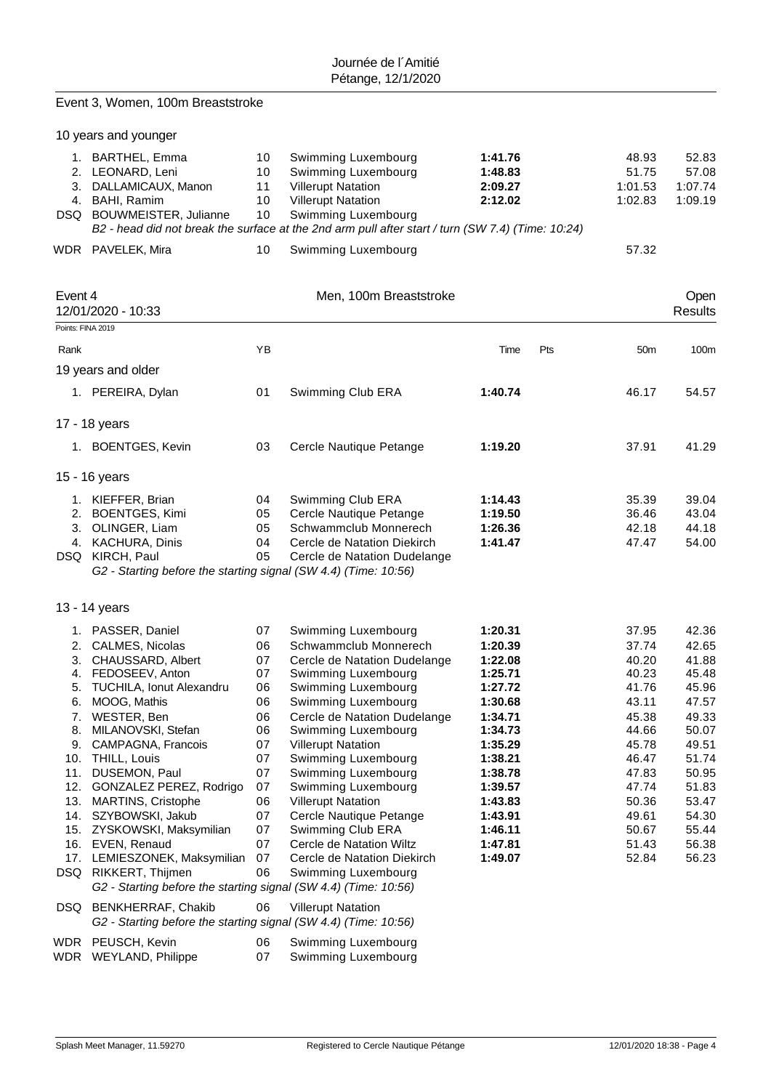|                              | Event 3, Women, 100m Breaststroke                                                            |                      |                                                                                                                          |                                          |     |                                      |                                      |
|------------------------------|----------------------------------------------------------------------------------------------|----------------------|--------------------------------------------------------------------------------------------------------------------------|------------------------------------------|-----|--------------------------------------|--------------------------------------|
|                              | 10 years and younger                                                                         |                      |                                                                                                                          |                                          |     |                                      |                                      |
|                              | 1. BARTHEL, Emma<br>2. LEONARD, Leni<br>3. DALLAMICAUX, Manon<br>4. BAHI, Ramim              | 10<br>10<br>11<br>10 | Swimming Luxembourg<br>Swimming Luxembourg<br><b>Villerupt Natation</b><br><b>Villerupt Natation</b>                     | 1:41.76<br>1:48.83<br>2:09.27<br>2:12.02 |     | 48.93<br>51.75<br>1:01.53<br>1:02.83 | 52.83<br>57.08<br>1:07.74<br>1:09.19 |
|                              | DSQ BOUWMEISTER, Julianne                                                                    | 10                   | Swimming Luxembourg<br>B2 - head did not break the surface at the 2nd arm pull after start / turn (SW 7.4) (Time: 10:24) |                                          |     |                                      |                                      |
|                              | WDR PAVELEK, Mira                                                                            | 10                   | Swimming Luxembourg                                                                                                      |                                          |     | 57.32                                |                                      |
| Event 4<br>Points: FINA 2019 | 12/01/2020 - 10:33                                                                           |                      | Men, 100m Breaststroke                                                                                                   |                                          |     |                                      | Open<br>Results                      |
| Rank                         |                                                                                              | YB                   |                                                                                                                          | Time                                     | Pts | 50 <sub>m</sub>                      | 100m                                 |
|                              | 19 years and older                                                                           |                      |                                                                                                                          |                                          |     |                                      |                                      |
|                              | 1. PEREIRA, Dylan                                                                            | 01                   | Swimming Club ERA                                                                                                        | 1:40.74                                  |     | 46.17                                | 54.57                                |
|                              | 17 - 18 years                                                                                |                      |                                                                                                                          |                                          |     |                                      |                                      |
|                              | 1. BOENTGES, Kevin                                                                           | 03                   | Cercle Nautique Petange                                                                                                  | 1:19.20                                  |     | 37.91                                | 41.29                                |
|                              | 15 - 16 years                                                                                |                      |                                                                                                                          |                                          |     |                                      |                                      |
|                              | 1. KIEFFER, Brian                                                                            | 04                   | Swimming Club ERA                                                                                                        | 1:14.43                                  |     | 35.39                                | 39.04                                |
|                              | 2. BOENTGES, Kimi                                                                            | 05                   | Cercle Nautique Petange                                                                                                  | 1:19.50                                  |     | 36.46                                | 43.04                                |
|                              | 3. OLINGER, Liam                                                                             | 05                   | Schwammclub Monnerech                                                                                                    | 1:26.36                                  |     | 42.18                                | 44.18                                |
|                              | 4. KACHURA, Dinis                                                                            | 04                   | Cercle de Natation Diekirch                                                                                              | 1:41.47                                  |     | 47.47                                | 54.00                                |
|                              | DSQ KIRCH, Paul<br>G2 - Starting before the starting signal (SW 4.4) (Time: 10:56)           | 05                   | Cercle de Natation Dudelange                                                                                             |                                          |     |                                      |                                      |
|                              | 13 - 14 years                                                                                |                      |                                                                                                                          |                                          |     |                                      |                                      |
|                              |                                                                                              |                      |                                                                                                                          |                                          |     |                                      |                                      |
|                              | 1. PASSER, Daniel                                                                            | 07                   | Swimming Luxembourg                                                                                                      | 1:20.31                                  |     | 37.95                                | 42.36                                |
|                              | 2. CALMES, Nicolas                                                                           | 06                   | Schwammclub Monnerech                                                                                                    | 1:20.39                                  |     | 37.74                                | 42.65                                |
| 4.                           | 3. CHAUSSARD, Albert<br>FEDOSEEV, Anton                                                      | 07<br>07             | Cercle de Natation Dudelange<br>Swimming Luxembourg                                                                      | 1:22.08<br>1:25.71                       |     | 40.20<br>40.23                       | 41.88<br>45.48                       |
| 5.                           | <b>TUCHILA, Ionut Alexandru</b>                                                              | 06                   | Swimming Luxembourg                                                                                                      | 1:27.72                                  |     | 41.76                                | 45.96                                |
| 6.                           | MOOG, Mathis                                                                                 | 06                   | Swimming Luxembourg                                                                                                      | 1:30.68                                  |     | 43.11                                | 47.57                                |
| 7.                           | WESTER, Ben                                                                                  | 06                   | Cercle de Natation Dudelange                                                                                             | 1:34.71                                  |     | 45.38                                | 49.33                                |
| 8.                           | MILANOVSKI, Stefan                                                                           | 06                   | Swimming Luxembourg                                                                                                      | 1:34.73                                  |     | 44.66                                | 50.07                                |
| 9.                           | CAMPAGNA, Francois                                                                           | 07                   | <b>Villerupt Natation</b>                                                                                                | 1:35.29                                  |     | 45.78                                | 49.51                                |
|                              | 10. THILL, Louis                                                                             | 07                   | Swimming Luxembourg                                                                                                      | 1:38.21                                  |     | 46.47                                | 51.74                                |
| 11.                          | DUSEMON, Paul                                                                                | 07                   | Swimming Luxembourg                                                                                                      | 1:38.78                                  |     | 47.83                                | 50.95                                |
|                              | 12. GONZALEZ PEREZ, Rodrigo                                                                  | 07                   | Swimming Luxembourg                                                                                                      | 1:39.57                                  |     | 47.74                                | 51.83                                |
|                              | 13. MARTINS, Cristophe<br>14. SZYBOWSKI, Jakub                                               | 06<br>07             | <b>Villerupt Natation</b><br>Cercle Nautique Petange                                                                     | 1:43.83<br>1:43.91                       |     | 50.36<br>49.61                       | 53.47<br>54.30                       |
|                              | 15. ZYSKOWSKI, Maksymilian                                                                   | 07                   | Swimming Club ERA                                                                                                        | 1:46.11                                  |     | 50.67                                | 55.44                                |
|                              | 16. EVEN, Renaud                                                                             | 07                   | Cercle de Natation Wiltz                                                                                                 | 1:47.81                                  |     | 51.43                                | 56.38                                |
|                              | 17. LEMIESZONEK, Maksymilian                                                                 | 07                   | Cercle de Natation Diekirch                                                                                              | 1:49.07                                  |     | 52.84                                | 56.23                                |
|                              | DSQ RIKKERT, Thijmen<br>G2 - Starting before the starting signal (SW 4.4) (Time: 10:56)      | 06                   | Swimming Luxembourg                                                                                                      |                                          |     |                                      |                                      |
| DSQ                          | <b>BENKHERRAF, Chakib</b><br>G2 - Starting before the starting signal (SW 4.4) (Time: 10:56) | 06                   | <b>Villerupt Natation</b>                                                                                                |                                          |     |                                      |                                      |
|                              | WDR PEUSCH, Kevin<br>WDR WEYLAND, Philippe                                                   | 06<br>07             | Swimming Luxembourg<br>Swimming Luxembourg                                                                               |                                          |     |                                      |                                      |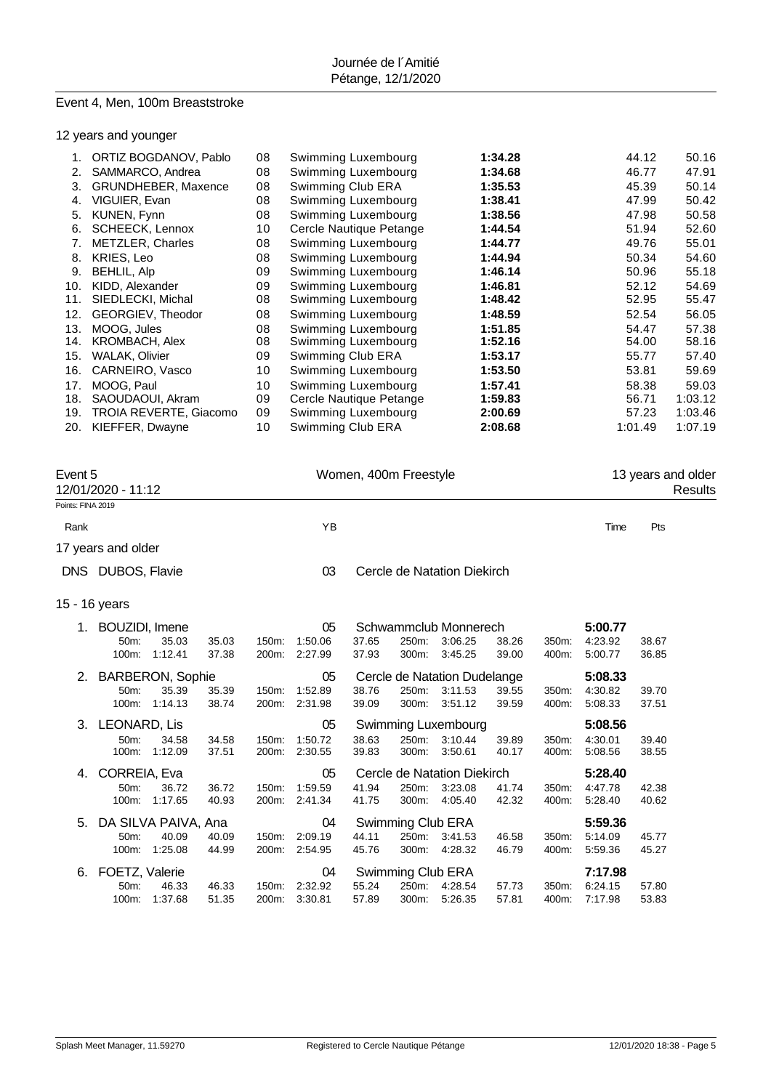# Event 4, Men, 100m Breaststroke

12 years and younger

|     | ORTIZ BOGDANOV, Pablo  | 08 | Swimming Luxembourg     | 1:34.28 | 44.12   | 50.16   |
|-----|------------------------|----|-------------------------|---------|---------|---------|
| 2.  | SAMMARCO, Andrea       | 08 | Swimming Luxembourg     | 1:34.68 | 46.77   | 47.91   |
| 3.  | GRUNDHEBER, Maxence    | 08 | Swimming Club ERA       | 1:35.53 | 45.39   | 50.14   |
| 4.  | VIGUIER, Evan          | 08 | Swimming Luxembourg     | 1:38.41 | 47.99   | 50.42   |
| 5.  | KUNEN, Fynn            | 08 | Swimming Luxembourg     | 1:38.56 | 47.98   | 50.58   |
| 6.  | SCHEECK, Lennox        | 10 | Cercle Nautique Petange | 1:44.54 | 51.94   | 52.60   |
| 7.  | METZLER, Charles       | 08 | Swimming Luxembourg     | 1:44.77 | 49.76   | 55.01   |
| 8.  | <b>KRIES, Leo</b>      | 08 | Swimming Luxembourg     | 1:44.94 | 50.34   | 54.60   |
| 9.  | BEHLIL, Alp            | 09 | Swimming Luxembourg     | 1:46.14 | 50.96   | 55.18   |
| 10. | KIDD, Alexander        | 09 | Swimming Luxembourg     | 1:46.81 | 52.12   | 54.69   |
| 11. | SIEDLECKI, Michal      | 08 | Swimming Luxembourg     | 1:48.42 | 52.95   | 55.47   |
| 12. | GEORGIEV, Theodor      | 08 | Swimming Luxembourg     | 1:48.59 | 52.54   | 56.05   |
| 13. | MOOG, Jules            | 08 | Swimming Luxembourg     | 1:51.85 | 54.47   | 57.38   |
| 14. | KROMBACH, Alex         | 08 | Swimming Luxembourg     | 1:52.16 | 54.00   | 58.16   |
| 15. | <b>WALAK, Olivier</b>  | 09 | Swimming Club ERA       | 1:53.17 | 55.77   | 57.40   |
| 16. | CARNEIRO, Vasco        | 10 | Swimming Luxembourg     | 1:53.50 | 53.81   | 59.69   |
| 17. | MOOG, Paul             | 10 | Swimming Luxembourg     | 1:57.41 | 58.38   | 59.03   |
| 18. | SAOUDAOUI, Akram       | 09 | Cercle Nautique Petange | 1:59.83 | 56.71   | 1:03.12 |
| 19. | TROIA REVERTE, Giacomo | 09 | Swimming Luxembourg     | 2:00.69 | 57.23   | 1:03.46 |
| 20. | KIEFFER, Dwayne        | 10 | Swimming Club ERA       | 2:08.68 | 1:01.49 | 1:07.19 |

|                   | Event 5<br>12/01/2020 - 11:12 |                         |       | Women, 400m Freestyle |         |       |                   |                              |       | 13 years and older |         |       | Results |
|-------------------|-------------------------------|-------------------------|-------|-----------------------|---------|-------|-------------------|------------------------------|-------|--------------------|---------|-------|---------|
| Points: FINA 2019 |                               |                         |       |                       |         |       |                   |                              |       |                    |         |       |         |
| Rank              |                               |                         |       |                       | YB      |       |                   |                              |       |                    | Time    | Pts   |         |
|                   | 17 years and older            |                         |       |                       |         |       |                   |                              |       |                    |         |       |         |
|                   | DNS DUBOS, Flavie             |                         |       |                       | 03      |       |                   | Cercle de Natation Diekirch  |       |                    |         |       |         |
|                   | 15 - 16 years                 |                         |       |                       |         |       |                   |                              |       |                    |         |       |         |
| 1.                | <b>BOUZIDI, Imene</b>         |                         |       |                       | 05      |       |                   | Schwammclub Monnerech        |       |                    | 5:00.77 |       |         |
|                   | 50m:                          | 35.03                   | 35.03 | 150m:                 | 1:50.06 | 37.65 | 250m:             | 3:06.25                      | 38.26 | 350m:              | 4:23.92 | 38.67 |         |
|                   | 100m:                         | 1:12.41                 | 37.38 | 200m:                 | 2:27.99 | 37.93 | 300m:             | 3:45.25                      | 39.00 | 400m:              | 5:00.77 | 36.85 |         |
| 2.                |                               | <b>BARBERON, Sophie</b> |       |                       | 05      |       |                   | Cercle de Natation Dudelange |       |                    | 5:08.33 |       |         |
|                   | 50m:                          | 35.39                   | 35.39 | 150m:                 | 1:52.89 | 38.76 | 250m:             | 3:11.53                      | 39.55 | 350m:              | 4:30.82 | 39.70 |         |
|                   | 100m:                         | 1:14.13                 | 38.74 | 200m:                 | 2:31.98 | 39.09 | 300m:             | 3:51.12                      | 39.59 | 400m:              | 5:08.33 | 37.51 |         |
|                   | 3. LEONARD, Lis               |                         |       |                       | 05      |       |                   | Swimming Luxembourg          |       |                    | 5:08.56 |       |         |
|                   | 50m:                          | 34.58                   | 34.58 | 150m:                 | 1:50.72 | 38.63 | 250m:             | 3:10.44                      | 39.89 | 350m:              | 4:30.01 | 39.40 |         |
|                   | 100m:                         | 1:12.09                 | 37.51 | 200m:                 | 2:30.55 | 39.83 | 300m:             | 3:50.61                      | 40.17 | 400m:              | 5:08.56 | 38.55 |         |
| 4.                | CORREIA, Eva                  |                         |       |                       | 05      |       |                   | Cercle de Natation Diekirch  |       |                    | 5:28.40 |       |         |
|                   | 50m:                          | 36.72                   | 36.72 | 150m:                 | 1:59.59 | 41.94 | 250m:             | 3:23.08                      | 41.74 | 350m:              | 4:47.78 | 42.38 |         |
|                   | 100m:                         | 1:17.65                 | 40.93 | 200m:                 | 2:41.34 | 41.75 | 300m:             | 4:05.40                      | 42.32 | 400m:              | 5:28.40 | 40.62 |         |
| 5.                |                               | DA SILVA PAIVA, Ana     |       |                       | 04      |       | Swimming Club ERA |                              |       |                    | 5:59.36 |       |         |
|                   | 50m:                          | 40.09                   | 40.09 | 150m:                 | 2:09.19 | 44.11 | 250m:             | 3:41.53                      | 46.58 | 350m:              | 5:14.09 | 45.77 |         |
|                   | 100m:                         | 1:25.08                 | 44.99 | 200m:                 | 2:54.95 | 45.76 | 300m:             | 4:28.32                      | 46.79 | 400m:              | 5:59.36 | 45.27 |         |
| 6.                | FOETZ, Valerie                |                         |       |                       | 04      |       | Swimming Club ERA |                              |       |                    | 7:17.98 |       |         |
|                   | 50m:                          | 46.33                   | 46.33 | 150m:                 | 2:32.92 | 55.24 | 250m:             | 4:28.54                      | 57.73 | 350m:              | 6:24.15 | 57.80 |         |
|                   | 100m:                         | 1:37.68                 | 51.35 | 200m:                 | 3:30.81 | 57.89 | 300m:             | 5.26.35                      | 57.81 | 400m:              | 7:17.98 | 53.83 |         |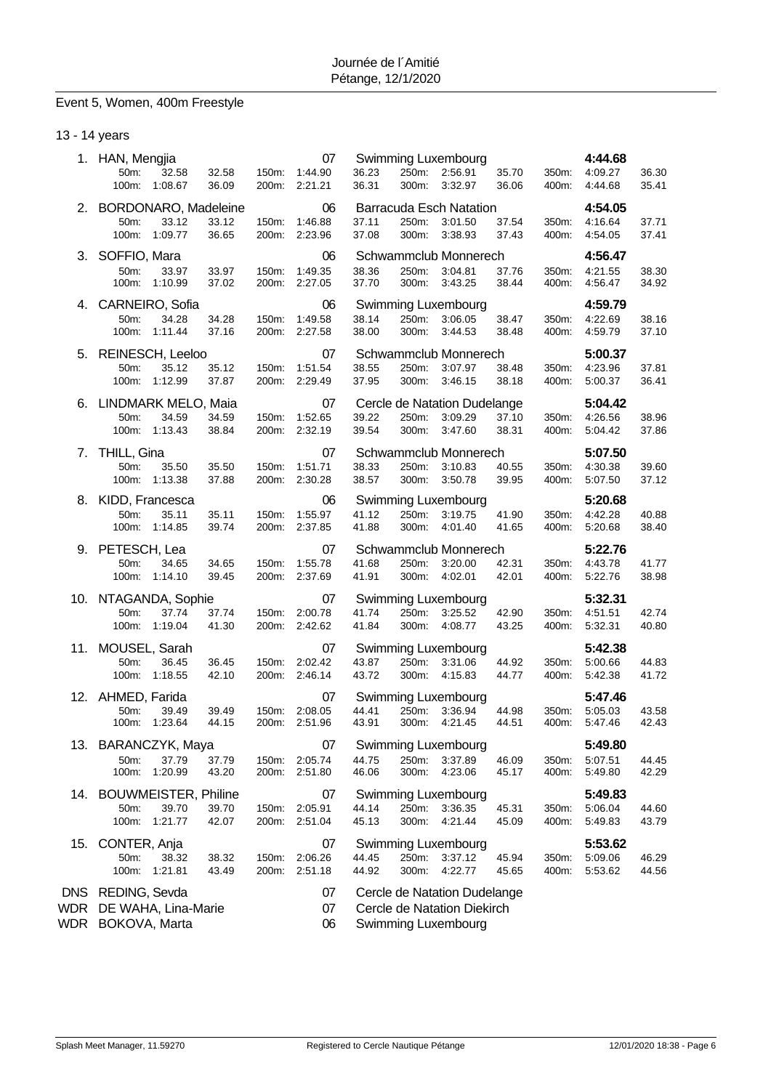# Event 5, Women, 400m Freestyle

### 13 - 14 years

|                          | 1. HAN, Mengjia                      |                        |                |                | 07                       |                |                | Swimming Luxembourg                                |                |                | 4:44.68            |                |
|--------------------------|--------------------------------------|------------------------|----------------|----------------|--------------------------|----------------|----------------|----------------------------------------------------|----------------|----------------|--------------------|----------------|
|                          | 50m:                                 | 32.58                  | 32.58          |                | 150m: 1:44.90            | 36.23          |                | 250m: 2:56.91                                      | 35.70          | 350m:          | 4:09.27            | 36.30          |
|                          |                                      | 100m: 1:08.67          | 36.09          | 200m:          | 2:21.21                  | 36.31          | 300m:          | 3:32.97                                            | 36.06          | 400m:          | 4:44.68            | 35.41          |
|                          | 2. BORDONARO, Madeleine              |                        |                |                | 06                       |                |                | <b>Barracuda Esch Natation</b>                     |                |                | 4:54.05            |                |
|                          | 50m:                                 | 33.12                  | 33.12          | 150m:          | 1:46.88                  | 37.11          | 250m:          | 3:01.50                                            | 37.54          | 350m:          | 4:16.64            | 37.71          |
|                          |                                      | 100m: 1:09.77          | 36.65          |                | 200m: 2:23.96            | 37.08          | 300m:          | 3:38.93                                            | 37.43          | 400m:          | 4:54.05            | 37.41          |
| 3.                       | SOFFIO, Mara                         |                        |                |                | 06                       |                |                | Schwammclub Monnerech                              |                |                | 4:56.47            |                |
|                          | 50m:                                 | 33.97                  | 33.97          | 150m:          | 1:49.35                  | 38.36          | 250m:          | 3:04.81                                            | 37.76          | 350m:          | 4:21.55            | 38.30          |
|                          |                                      | 100m: 1:10.99          | 37.02          | 200m:          | 2:27.05                  | 37.70          | 300m:          | 3:43.25                                            | 38.44          | 400m:          | 4:56.47            | 34.92          |
|                          | 4. CARNEIRO, Sofia                   |                        |                |                | 06                       |                |                | Swimming Luxembourg                                |                |                | 4:59.79            |                |
|                          | 50 <sub>m</sub> :                    | 34.28                  | 34.28          | 150m:          | 1:49.58                  | 38.14          | 250m:          | 3:06.05                                            | 38.47          | 350m:          | 4:22.69            | 38.16          |
|                          |                                      | 100m: 1:11.44          | 37.16          |                | 200m: 2:27.58            | 38.00          | 300m:          | 3:44.53                                            | 38.48          | 400m:          | 4:59.79            | 37.10          |
|                          | 5. REINESCH, Leeloo                  |                        |                |                | 07                       |                |                | Schwammclub Monnerech                              |                |                | 5:00.37            |                |
|                          | 50m:                                 | 35.12                  | 35.12          | 150m:          | 1:51.54                  | 38.55          | 250m:          | 3:07.97                                            | 38.48          | 350m:          | 4:23.96            | 37.81          |
|                          |                                      | 100m: 1:12.99          | 37.87          |                | 200m: 2:29.49            | 37.95          | 300m:          | 3:46.15                                            | 38.18          | 400m:          | 5:00.37            | 36.41          |
|                          | 6. LINDMARK MELO, Maia               |                        |                |                | 07                       |                |                | Cercle de Natation Dudelange                       |                |                | 5:04.42            |                |
|                          | 50m:                                 | 34.59                  | 34.59          | 150m:          | 1:52.65                  | 39.22          | 250m:          | 3:09.29                                            | 37.10          | 350m:          | 4:26.56            | 38.96          |
|                          |                                      | 100m: 1:13.43          | 38.84          |                | 200m: 2:32.19            | 39.54          |                | 300m: 3:47.60                                      | 38.31          | 400m:          | 5:04.42            | 37.86          |
| 7.                       | THILL, Gina                          |                        |                |                | 07                       |                |                | Schwammclub Monnerech                              |                |                | 5:07.50            |                |
|                          | 50m:                                 | 35.50                  | 35.50          | 150m:          | 1:51.71                  | 38.33          | 250m:          | 3:10.83                                            | 40.55          | 350m:          | 4:30.38            | 39.60          |
|                          |                                      | 100m: 1:13.38          | 37.88          |                | 200m: 2:30.28            | 38.57          | 300m:          | 3:50.78                                            | 39.95          | 400m:          | 5:07.50            | 37.12          |
|                          | 8. KIDD, Francesca                   |                        |                |                | 06                       |                |                | Swimming Luxembourg                                |                |                | 5:20.68            |                |
|                          | 50m:                                 | 35.11                  | 35.11          | 150m:          | 1:55.97                  | 41.12          |                | 250m: 3:19.75                                      | 41.90          | 350m:          | 4:42.28            | 40.88          |
|                          |                                      | 100m: 1:14.85          | 39.74          | 200m:          | 2:37.85                  | 41.88          | 300m:          | 4:01.40                                            | 41.65          | 400m:          | 5:20.68            | 38.40          |
|                          |                                      |                        |                |                |                          |                |                |                                                    |                |                | 5:22.76            |                |
|                          |                                      |                        |                |                | 07                       |                |                |                                                    |                |                |                    |                |
|                          | 9. PETESCH, Lea<br>50m:              | 34.65                  | 34.65          | 150m:          | 1:55.78                  | 41.68          | 250m:          | Schwammclub Monnerech<br>3:20.00                   | 42.31          | 350m:          | 4:43.78            | 41.77          |
|                          |                                      | 100m: 1:14.10          | 39.45          |                | 200m: 2:37.69            | 41.91          | 300m:          | 4:02.01                                            | 42.01          | 400m:          | 5:22.76            | 38.98          |
|                          |                                      |                        |                |                | 07                       |                |                |                                                    |                |                |                    |                |
|                          | 10. NTAGANDA, Sophie<br>50m:         | 37.74                  | 37.74          | 150m:          | 2:00.78                  | 41.74          | 250m:          | Swimming Luxembourg<br>3:25.52                     | 42.90          | 350m:          | 5:32.31<br>4:51.51 | 42.74          |
|                          |                                      | 100m: 1:19.04          | 41.30          |                | 200m: 2:42.62            | 41.84          | 300m:          | 4:08.77                                            | 43.25          | 400m:          | 5:32.31            | 40.80          |
|                          |                                      |                        |                |                |                          |                |                |                                                    |                |                |                    |                |
|                          | 11. MOUSEL, Sarah<br>50m:            | 36.45                  |                |                | 07                       | 43.87          |                | Swimming Luxembourg                                |                | 350m:          | 5:42.38            |                |
|                          |                                      | 100m: 1:18.55          | 36.45<br>42.10 | 150m:          | 2:02.42<br>200m: 2:46.14 | 43.72          | 300m:          | 250m: 3:31.06<br>4:15.83                           | 44.92<br>44.77 | 400m:          | 5:00.66<br>5:42.38 | 44.83<br>41.72 |
|                          |                                      |                        |                |                |                          |                |                |                                                    |                |                |                    |                |
|                          | 12. AHMED, Farida                    |                        |                |                | 07                       |                |                | Swimming Luxembourg                                |                |                | 5:47.46            |                |
|                          | 50m:                                 | 39.49<br>100m: 1:23.64 | 39.49<br>44.15 | 150m:          | 2:08.05<br>200m: 2:51.96 | 44.41<br>43.91 | 250m:          | 3:36.94<br>300m: 4:21.45                           | 44.98<br>44.51 | 350m:<br>400m: | 5:05.03<br>5:47.46 | 43.58<br>42.43 |
|                          |                                      |                        |                |                |                          |                |                |                                                    |                |                |                    |                |
|                          | 13. BARANCZYK, Maya                  |                        |                |                | 07                       |                |                | Swimming Luxembourg                                |                |                | 5:49.80            |                |
|                          | 50m:<br>100m:                        | 37.79<br>1:20.99       | 37.79<br>43.20 | 150m:<br>200m: | 2:05.74<br>2:51.80       | 44.75<br>46.06 | 250m:<br>300m: | 3:37.89<br>4:23.06                                 | 46.09<br>45.17 | 350m:<br>400m: | 5:07.51<br>5:49.80 | 44.45<br>42.29 |
|                          |                                      |                        |                |                |                          |                |                |                                                    |                |                |                    |                |
| 14.                      | <b>BOUWMEISTER, Philine</b>          |                        |                |                | 07                       |                |                | Swimming Luxembourg                                |                |                | 5:49.83            |                |
|                          | 50m:<br>100m:                        | 39.70<br>1:21.77       | 39.70<br>42.07 | 150m:<br>200m: | 2:05.91<br>2:51.04       | 44.14<br>45.13 | 250m:<br>300m: | 3:36.35<br>4:21.44                                 | 45.31<br>45.09 | 350m:<br>400m: | 5:06.04<br>5:49.83 | 44.60<br>43.79 |
|                          |                                      |                        |                |                |                          |                |                |                                                    |                |                |                    |                |
| 15.                      | CONTER, Anja                         |                        |                |                | 07                       |                |                | Swimming Luxembourg                                |                |                | 5:53.62            |                |
|                          | 50m:<br>100m:                        | 38.32<br>1:21.81       | 38.32<br>43.49 | 150m:<br>200m: | 2:06.26<br>2:51.18       | 44.45<br>44.92 | 250m:<br>300m: | 3:37.12<br>4:22.77                                 | 45.94<br>45.65 | 350m:<br>400m: | 5:09.06<br>5.53.62 | 46.29<br>44.56 |
|                          |                                      |                        |                |                |                          |                |                |                                                    |                |                |                    |                |
| <b>DNS</b>               | REDING, Sevda                        |                        |                |                | 07                       |                |                | Cercle de Natation Dudelange                       |                |                |                    |                |
| <b>WDR</b><br><b>WDR</b> | DE WAHA, Lina-Marie<br>BOKOVA, Marta |                        |                |                | 07<br>06                 |                |                | Cercle de Natation Diekirch<br>Swimming Luxembourg |                |                |                    |                |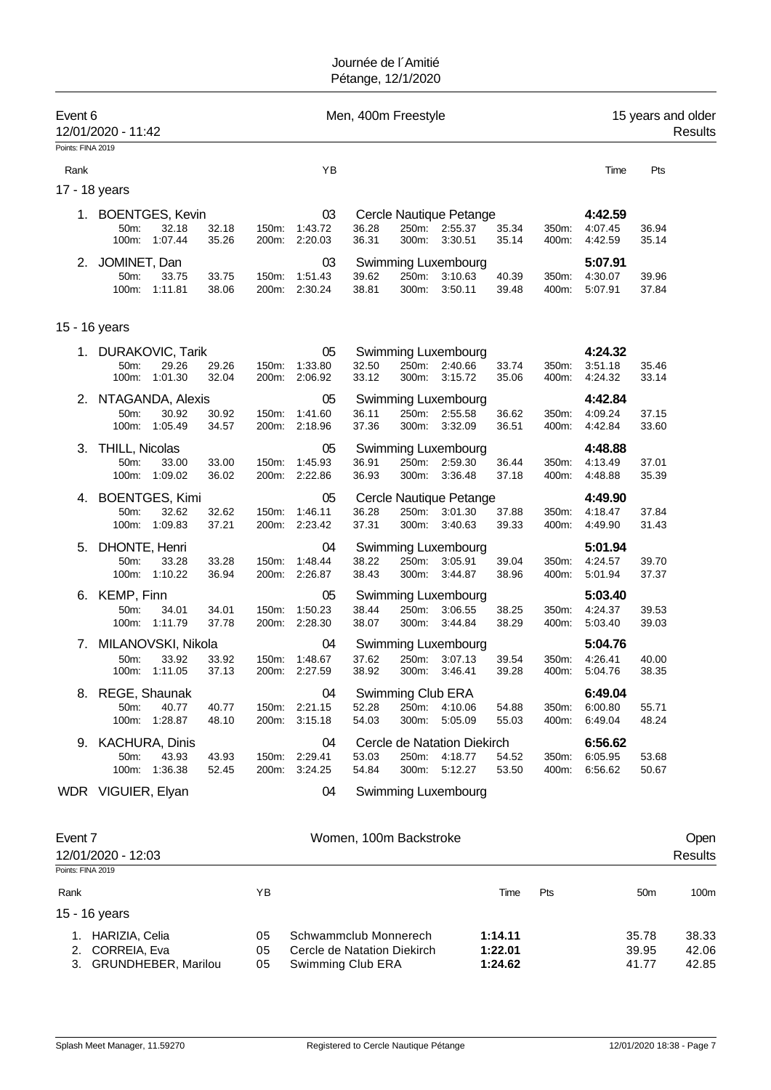| Event 6<br>Points: FINA 2019 | 12/01/2020 - 11:42                                         |                |                |                                | Men, 400m Freestyle    |                |                                                     |                |                |                               |                 | 15 years and older<br>Results |
|------------------------------|------------------------------------------------------------|----------------|----------------|--------------------------------|------------------------|----------------|-----------------------------------------------------|----------------|----------------|-------------------------------|-----------------|-------------------------------|
| Rank                         |                                                            |                |                | ΥB                             |                        |                |                                                     |                |                | Time                          | Pts             |                               |
|                              | 17 - 18 years                                              |                |                |                                |                        |                |                                                     |                |                |                               |                 |                               |
|                              | 1. BOENTGES, Kevin<br>50m:<br>32.18<br>100m:<br>1:07.44    | 32.18<br>35.26 | 150m:          | 03<br>1:43.72<br>200m: 2:20.03 | 36.28<br>36.31         | 300m:          | Cercle Nautique Petange<br>250m: 2:55.37<br>3:30.51 | 35.34<br>35.14 | 350m:<br>400m: | 4:42.59<br>4:07.45<br>4:42.59 | 36.94<br>35.14  |                               |
| 2.                           | JOMINET, Dan<br>50m:<br>33.75<br>1:11.81<br>100m:          | 33.75<br>38.06 | 150m:<br>200m: | 03<br>1:51.43<br>2:30.24       | 39.62<br>38.81         | 250m:<br>300m: | Swimming Luxembourg<br>3:10.63<br>3:50.11           | 40.39<br>39.48 | 350m:<br>400m: | 5:07.91<br>4:30.07<br>5:07.91 | 39.96<br>37.84  |                               |
|                              | 15 - 16 years                                              |                |                |                                |                        |                |                                                     |                |                |                               |                 |                               |
| 1.                           | DURAKOVIC, Tarik<br>29.26<br>50m:<br>100m:<br>1:01.30      | 29.26<br>32.04 | 150m:<br>200m: | 05<br>1:33.80<br>2:06.92       | 32.50<br>33.12         | 250m:<br>300m: | Swimming Luxembourg<br>2:40.66<br>3:15.72           | 33.74<br>35.06 | 350m:<br>400m: | 4:24.32<br>3:51.18<br>4:24.32 | 35.46<br>33.14  |                               |
|                              | 2. NTAGANDA, Alexis<br>50m:<br>30.92<br>100m:<br>1:05.49   | 30.92<br>34.57 | 150m:          | 05<br>1:41.60<br>200m: 2:18.96 | 36.11<br>37.36         | 250m:<br>300m: | Swimming Luxembourg<br>2:55.58<br>3:32.09           | 36.62<br>36.51 | 350m:<br>400m: | 4:42.84<br>4:09.24<br>4:42.84 | 37.15<br>33.60  |                               |
| З.                           | <b>THILL, Nicolas</b><br>50m:<br>33.00<br>100m: 1:09.02    | 33.00<br>36.02 | 150m:          | 05<br>1:45.93<br>200m: 2:22.86 | 36.91<br>36.93         | 250m:<br>300m: | Swimming Luxembourg<br>2:59.30<br>3:36.48           | 36.44<br>37.18 | 350m:<br>400m: | 4:48.88<br>4:13.49<br>4:48.88 | 37.01<br>35.39  |                               |
| 4.                           | <b>BOENTGES, Kimi</b><br>50m:<br>32.62<br>100m:<br>1:09.83 | 32.62<br>37.21 | 150m:<br>200m: | 05<br>1:46.11<br>2:23.42       | 36.28<br>37.31         | 250m:<br>300m: | Cercle Nautique Petange<br>3:01.30<br>3:40.63       | 37.88<br>39.33 | 350m:<br>400m: | 4:49.90<br>4:18.47<br>4:49.90 | 37.84<br>31.43  |                               |
| 5.                           | DHONTE, Henri<br>50m:<br>33.28<br>100m:<br>1:10.22         | 33.28<br>36.94 | 150m:<br>200m: | 04<br>1:48.44<br>2:26.87       | 38.22<br>38.43         | 250m:<br>300m: | <b>Swimming Luxembourg</b><br>3:05.91<br>3:44.87    | 39.04<br>38.96 | 350m:<br>400m: | 5:01.94<br>4:24.57<br>5:01.94 | 39.70<br>37.37  |                               |
|                              | 6. KEMP, Finn<br>50m:<br>34.01<br>100m:<br>1:11.79         | 34.01<br>37.78 | 150m:          | 05<br>1:50.23<br>200m: 2:28.30 | 38.44<br>38.07         | 250m:<br>300m: | Swimming Luxembourg<br>3:06.55<br>3:44.84           | 38.25<br>38.29 | 350m:<br>400m: | 5:03.40<br>4:24.37<br>5:03.40 | 39.53<br>39.03  |                               |
| 7.                           | MILANOVSKI, Nikola<br>33.92<br>50m:<br>1:11.05<br>100m:    | 33.92<br>37.13 | 150m:          | 04<br>1:48.67<br>200m: 2:27.59 | 37.62<br>38.92         | 250m:<br>300m: | Swimming Luxembourg<br>3:07.13<br>3:46.41           | 39.54<br>39.28 | 350m:<br>400m: | 5:04.76<br>4:26.41<br>5:04.76 | 40.00<br>38.35  |                               |
|                              | 8. REGE, Shaunak<br>50m:<br>40.77<br>100m:<br>1:28.87      | 40.77<br>48.10 | 200m:          | 04<br>150m: 2:21.15<br>3:15.18 | 52.28<br>54.03         | 250m:<br>300m: | Swimming Club ERA<br>4:10.06<br>5:05.09             | 54.88<br>55.03 | 350m:<br>400m: | 6:49.04<br>6:00.80<br>6:49.04 | 55.71<br>48.24  |                               |
|                              | 9. KACHURA, Dinis<br>50m:<br>43.93<br>100m: 1:36.38        | 43.93<br>52.45 | 150m:<br>200m: | 04<br>2:29.41<br>3:24.25       | 53.03<br>54.84         | 250m:<br>300m: | Cercle de Natation Diekirch<br>4:18.77<br>5:12.27   | 54.52<br>53.50 | 350m:<br>400m: | 6:56.62<br>6:05.95<br>6:56.62 | 53.68<br>50.67  |                               |
|                              | WDR VIGUIER, Elyan                                         |                |                | 04                             |                        |                | Swimming Luxembourg                                 |                |                |                               |                 |                               |
| Event 7                      | 12/01/2020 - 12:03                                         |                |                |                                | Women, 100m Backstroke |                |                                                     |                |                |                               |                 | Open<br><b>Results</b>        |
| Points: FINA 2019<br>Rank    |                                                            |                | ΥB             |                                |                        |                |                                                     | Time           | Pts            |                               | 50 <sub>m</sub> | 100m                          |

15 - 16 years 1. HARIZIA, Celia 05 Schwammclub Monnerech **1:14.11** 35.78 38.33 05 Cercle de Natation Diekirch **1:22.01** 39.95 42.06<br>05 Swimming Club ERA **1:24.62** 41.77 42.85 3. GRUNDHEBER, Marilou 05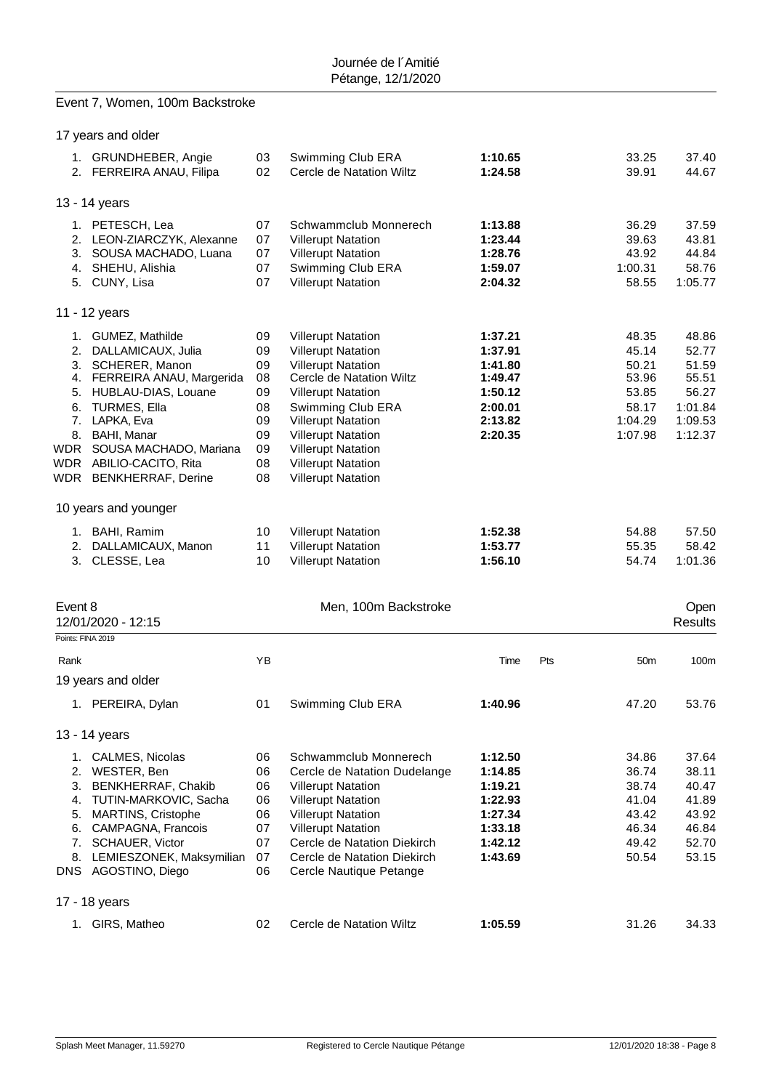# Event 7, Women, 100m Backstroke

|                   | 17 years and older                                                                                                                                                                                                                                                     |                                                                |                                                                                                                                                                                                                                                                                                                    |                                                                                      |                                                                          |                                                                            |
|-------------------|------------------------------------------------------------------------------------------------------------------------------------------------------------------------------------------------------------------------------------------------------------------------|----------------------------------------------------------------|--------------------------------------------------------------------------------------------------------------------------------------------------------------------------------------------------------------------------------------------------------------------------------------------------------------------|--------------------------------------------------------------------------------------|--------------------------------------------------------------------------|----------------------------------------------------------------------------|
|                   | 1. GRUNDHEBER, Angie<br>2. FERREIRA ANAU, Filipa                                                                                                                                                                                                                       | 03<br>02                                                       | Swimming Club ERA<br>Cercle de Natation Wiltz                                                                                                                                                                                                                                                                      | 1:10.65<br>1:24.58                                                                   | 33.25<br>39.91                                                           | 37.40<br>44.67                                                             |
|                   | 13 - 14 years                                                                                                                                                                                                                                                          |                                                                |                                                                                                                                                                                                                                                                                                                    |                                                                                      |                                                                          |                                                                            |
|                   | 1. PETESCH, Lea<br>2. LEON-ZIARCZYK, Alexanne<br>3. SOUSA MACHADO, Luana<br>4. SHEHU, Alishia<br>5. CUNY, Lisa                                                                                                                                                         | 07<br>07<br>07<br>07<br>07                                     | Schwammclub Monnerech<br><b>Villerupt Natation</b><br><b>Villerupt Natation</b><br>Swimming Club ERA<br><b>Villerupt Natation</b>                                                                                                                                                                                  | 1:13.88<br>1:23.44<br>1:28.76<br>1:59.07<br>2:04.32                                  | 36.29<br>39.63<br>43.92<br>1:00.31<br>58.55                              | 37.59<br>43.81<br>44.84<br>58.76<br>1:05.77                                |
|                   | 11 - 12 years                                                                                                                                                                                                                                                          |                                                                |                                                                                                                                                                                                                                                                                                                    |                                                                                      |                                                                          |                                                                            |
| 6.                | 1. GUMEZ, Mathilde<br>2. DALLAMICAUX, Julia<br>3. SCHERER, Manon<br>4. FERREIRA ANAU, Margerida<br>5. HUBLAU-DIAS, Louane<br><b>TURMES, Ella</b><br>7. LAPKA, Eva<br>8. BAHI, Manar<br>WDR SOUSA MACHADO, Mariana<br>WDR ABILIO-CACITO, Rita<br>WDR BENKHERRAF, Derine | 09<br>09<br>09<br>08<br>09<br>08<br>09<br>09<br>09<br>08<br>08 | <b>Villerupt Natation</b><br><b>Villerupt Natation</b><br><b>Villerupt Natation</b><br>Cercle de Natation Wiltz<br><b>Villerupt Natation</b><br>Swimming Club ERA<br><b>Villerupt Natation</b><br><b>Villerupt Natation</b><br><b>Villerupt Natation</b><br><b>Villerupt Natation</b><br><b>Villerupt Natation</b> | 1:37.21<br>1:37.91<br>1:41.80<br>1:49.47<br>1:50.12<br>2:00.01<br>2:13.82<br>2:20.35 | 48.35<br>45.14<br>50.21<br>53.96<br>53.85<br>58.17<br>1:04.29<br>1:07.98 | 48.86<br>52.77<br>51.59<br>55.51<br>56.27<br>1:01.84<br>1:09.53<br>1:12.37 |
|                   | 10 years and younger                                                                                                                                                                                                                                                   |                                                                |                                                                                                                                                                                                                                                                                                                    |                                                                                      |                                                                          |                                                                            |
|                   | 1. BAHI, Ramim<br>2. DALLAMICAUX, Manon<br>3. CLESSE, Lea                                                                                                                                                                                                              | 10<br>11<br>10                                                 | <b>Villerupt Natation</b><br><b>Villerupt Natation</b><br><b>Villerupt Natation</b>                                                                                                                                                                                                                                | 1:52.38<br>1:53.77<br>1:56.10                                                        | 54.88<br>55.35<br>54.74                                                  | 57.50<br>58.42<br>1:01.36                                                  |
| Event 8           | 12/01/2020 - 12:15                                                                                                                                                                                                                                                     |                                                                | Men, 100m Backstroke                                                                                                                                                                                                                                                                                               |                                                                                      |                                                                          | Open<br>Results                                                            |
| Points: FINA 2019 |                                                                                                                                                                                                                                                                        |                                                                |                                                                                                                                                                                                                                                                                                                    |                                                                                      |                                                                          |                                                                            |
| Rank              |                                                                                                                                                                                                                                                                        | ΥB                                                             |                                                                                                                                                                                                                                                                                                                    | Time                                                                                 | Pts<br>50 <sub>m</sub>                                                   | 100m                                                                       |
|                   | 19 years and older<br>1. PEREIRA, Dylan                                                                                                                                                                                                                                | 01                                                             | Swimming Club ERA                                                                                                                                                                                                                                                                                                  | 1:40.96                                                                              | 47.20                                                                    | 53.76                                                                      |
|                   | 13 - 14 years                                                                                                                                                                                                                                                          |                                                                |                                                                                                                                                                                                                                                                                                                    |                                                                                      |                                                                          |                                                                            |
| 3.                | 1. CALMES, Nicolas<br>2. WESTER, Ben<br><b>BENKHERRAF, Chakib</b><br>4. TUTIN-MARKOVIC, Sacha<br>5. MARTINS, Cristophe<br>6. CAMPAGNA, Francois<br>7. SCHAUER, Victor<br>8. LEMIESZONEK, Maksymilian<br>DNS AGOSTINO, Diego                                            | 06<br>06<br>06<br>06<br>06<br>07<br>07<br>07<br>06             | Schwammclub Monnerech<br>Cercle de Natation Dudelange<br><b>Villerupt Natation</b><br><b>Villerupt Natation</b><br><b>Villerupt Natation</b><br><b>Villerupt Natation</b><br>Cercle de Natation Diekirch<br>Cercle de Natation Diekirch<br>Cercle Nautique Petange                                                 | 1:12.50<br>1:14.85<br>1:19.21<br>1:22.93<br>1:27.34<br>1:33.18<br>1:42.12<br>1:43.69 | 34.86<br>36.74<br>38.74<br>41.04<br>43.42<br>46.34<br>49.42<br>50.54     | 37.64<br>38.11<br>40.47<br>41.89<br>43.92<br>46.84<br>52.70<br>53.15       |
|                   | 17 - 18 years                                                                                                                                                                                                                                                          |                                                                |                                                                                                                                                                                                                                                                                                                    |                                                                                      |                                                                          |                                                                            |
|                   | 1. GIRS, Matheo                                                                                                                                                                                                                                                        | 02                                                             | Cercle de Natation Wiltz                                                                                                                                                                                                                                                                                           | 1:05.59                                                                              | 31.26                                                                    | 34.33                                                                      |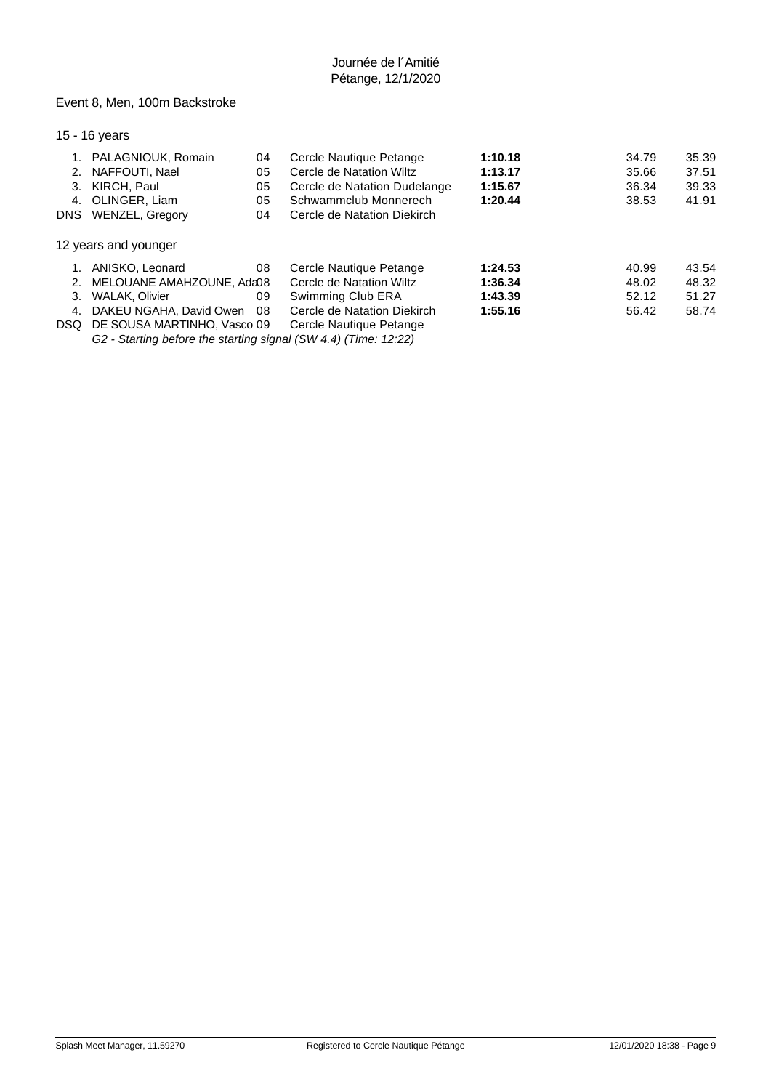### Event 8, Men, 100m Backstroke

### 15 - 16 years

|     | PALAGNIOUK, Romain          | 04 | Cercle Nautique Petange      | 1:10.18 | 34.79 | 35.39 |
|-----|-----------------------------|----|------------------------------|---------|-------|-------|
| 2.  | NAFFOUTI, Nael              | 05 | Cercle de Natation Wiltz     | 1:13.17 | 35.66 | 37.51 |
| 3.  | KIRCH, Paul                 | 05 | Cercle de Natation Dudelange | 1:15.67 | 36.34 | 39.33 |
| 4.  | OLINGER, Liam               | 05 | Schwammclub Monnerech        | 1:20.44 | 38.53 | 41.91 |
|     | DNS WENZEL, Gregory         | 04 | Cercle de Natation Diekirch  |         |       |       |
|     | 12 years and younger        |    |                              |         |       |       |
|     | ANISKO, Leonard             | 08 | Cercle Nautique Petange      | 1:24.53 | 40.99 | 43.54 |
| 2.  | MELOUANE AMAHZOUNE, Ada08   |    | Cercle de Natation Wiltz     | 1:36.34 | 48.02 | 48.32 |
| 3.  | WALAK, Olivier              | 09 | Swimming Club ERA            | 1:43.39 | 52.12 | 51.27 |
| 4.  | DAKEU NGAHA, David Owen     | 08 | Cercle de Natation Diekirch  | 1:55.16 | 56.42 | 58.74 |
| DSQ | DE SOUSA MARTINHO, Vasco 09 |    | Cercle Nautique Petange      |         |       |       |
|     |                             |    |                              |         |       |       |

*G2 - Starting before the starting signal (SW 4.4) (Time: 12:22)*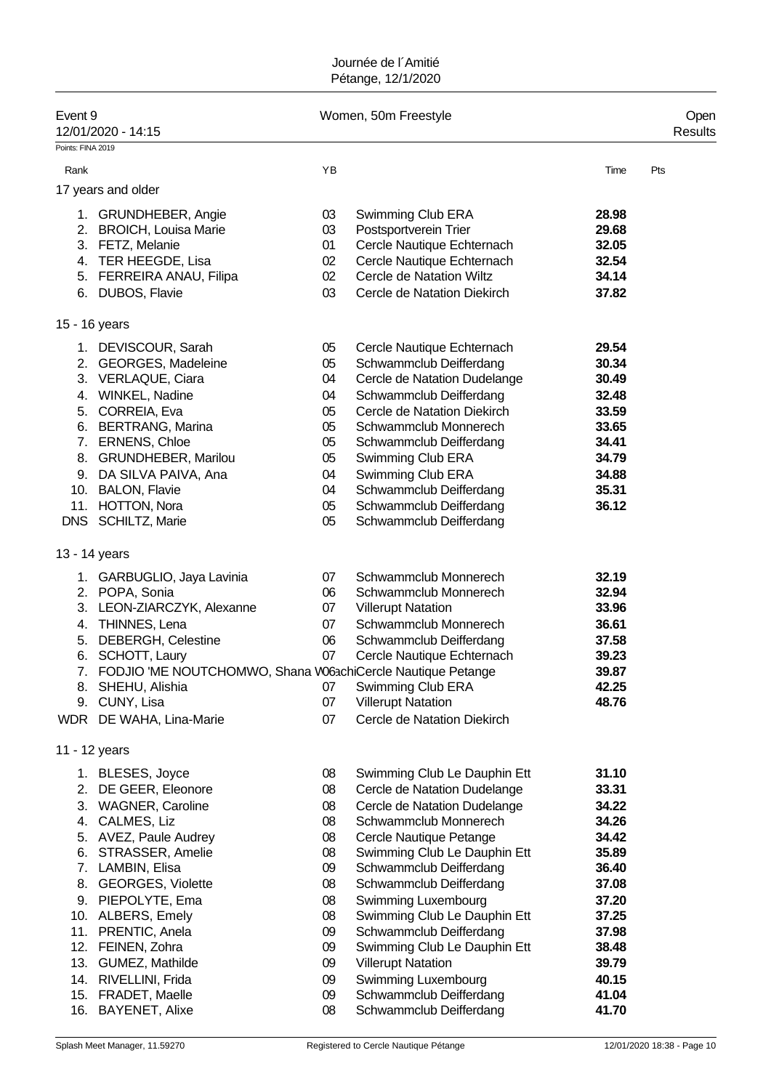| Event 9<br>12/01/2020 - 14:15<br>Points: FINA 2019                                                                                                                                                                                                                                                                |                                                                                  | Women, 50m Freestyle                                                                                                                                                                                                                                                                                                                                                                                         |                                                                                                                            | Open<br>Results |
|-------------------------------------------------------------------------------------------------------------------------------------------------------------------------------------------------------------------------------------------------------------------------------------------------------------------|----------------------------------------------------------------------------------|--------------------------------------------------------------------------------------------------------------------------------------------------------------------------------------------------------------------------------------------------------------------------------------------------------------------------------------------------------------------------------------------------------------|----------------------------------------------------------------------------------------------------------------------------|-----------------|
| Rank                                                                                                                                                                                                                                                                                                              | YB                                                                               |                                                                                                                                                                                                                                                                                                                                                                                                              | Time                                                                                                                       | Pts             |
| 17 years and older                                                                                                                                                                                                                                                                                                |                                                                                  |                                                                                                                                                                                                                                                                                                                                                                                                              |                                                                                                                            |                 |
| 1. GRUNDHEBER, Angie<br>2. BROICH, Louisa Marie<br>3. FETZ, Melanie<br>4. TER HEEGDE, Lisa<br>5. FERREIRA ANAU, Filipa<br>6. DUBOS, Flavie                                                                                                                                                                        | 03<br>03<br>01<br>02<br>02<br>03                                                 | Swimming Club ERA<br>Postsportverein Trier<br>Cercle Nautique Echternach<br>Cercle Nautique Echternach<br>Cercle de Natation Wiltz<br>Cercle de Natation Diekirch                                                                                                                                                                                                                                            | 28.98<br>29.68<br>32.05<br>32.54<br>34.14<br>37.82                                                                         |                 |
| 15 - 16 years                                                                                                                                                                                                                                                                                                     |                                                                                  |                                                                                                                                                                                                                                                                                                                                                                                                              |                                                                                                                            |                 |
| 1. DEVISCOUR, Sarah<br>2. GEORGES, Madeleine<br>3. VERLAQUE, Ciara<br>4. WINKEL, Nadine<br>5. CORREIA, Eva<br>6. BERTRANG, Marina<br>7. ERNENS, Chloe<br>8. GRUNDHEBER, Marilou<br>9. DA SILVA PAIVA, Ana<br>10. BALON, Flavie<br>11. HOTTON, Nora<br>DNS SCHILTZ, Marie                                          | 05<br>05<br>04<br>04<br>05<br>05<br>05<br>05<br>04<br>04<br>05<br>05             | Cercle Nautique Echternach<br>Schwammclub Deifferdang<br>Cercle de Natation Dudelange<br>Schwammclub Deifferdang<br>Cercle de Natation Diekirch<br>Schwammclub Monnerech<br>Schwammclub Deifferdang<br>Swimming Club ERA<br>Swimming Club ERA<br>Schwammclub Deifferdang<br>Schwammclub Deifferdang<br>Schwammclub Deifferdang                                                                               | 29.54<br>30.34<br>30.49<br>32.48<br>33.59<br>33.65<br>34.41<br>34.79<br>34.88<br>35.31<br>36.12                            |                 |
| 13 - 14 years                                                                                                                                                                                                                                                                                                     |                                                                                  |                                                                                                                                                                                                                                                                                                                                                                                                              |                                                                                                                            |                 |
| 1. GARBUGLIO, Jaya Lavinia<br>2. POPA, Sonia<br>3. LEON-ZIARCZYK, Alexanne<br>4. THINNES, Lena<br>5. DEBERGH, Celestine<br>6. SCHOTT, Laury<br>7.<br>FODJIO 'ME NOUTCHOMWO, Shana W06achiCercle Nautique Petange<br>8. SHEHU, Alishia<br>9. CUNY, Lisa<br>WDR DE WAHA, Lina-Marie                                 | 07<br>06<br>07<br>07<br>06<br>07<br>07<br>07<br>07                               | Schwammclub Monnerech<br>Schwammclub Monnerech<br><b>Villerupt Natation</b><br>Schwammclub Monnerech<br>Schwammclub Deifferdang<br>Cercle Nautique Echternach<br>Swimming Club ERA<br><b>Villerupt Natation</b><br>Cercle de Natation Diekirch                                                                                                                                                               | 32.19<br>32.94<br>33.96<br>36.61<br>37.58<br>39.23<br>39.87<br>42.25<br>48.76                                              |                 |
| 11 - 12 years                                                                                                                                                                                                                                                                                                     |                                                                                  |                                                                                                                                                                                                                                                                                                                                                                                                              |                                                                                                                            |                 |
| 1. BLESES, Joyce<br>2. DE GEER, Eleonore<br>3. WAGNER, Caroline<br>4. CALMES, Liz<br>5. AVEZ, Paule Audrey<br>6. STRASSER, Amelie<br>7. LAMBIN, Elisa<br>8. GEORGES, Violette<br>9. PIEPOLYTE, Ema<br>10. ALBERS, Emely<br>11. PRENTIC, Anela<br>12. FEINEN, Zohra<br>13. GUMEZ, Mathilde<br>14. RIVELLINI, Frida | 08<br>08<br>08<br>08<br>08<br>08<br>09<br>08<br>08<br>08<br>09<br>09<br>09<br>09 | Swimming Club Le Dauphin Ett<br>Cercle de Natation Dudelange<br>Cercle de Natation Dudelange<br>Schwammclub Monnerech<br>Cercle Nautique Petange<br>Swimming Club Le Dauphin Ett<br>Schwammclub Deifferdang<br>Schwammclub Deifferdang<br>Swimming Luxembourg<br>Swimming Club Le Dauphin Ett<br>Schwammclub Deifferdang<br>Swimming Club Le Dauphin Ett<br><b>Villerupt Natation</b><br>Swimming Luxembourg | 31.10<br>33.31<br>34.22<br>34.26<br>34.42<br>35.89<br>36.40<br>37.08<br>37.20<br>37.25<br>37.98<br>38.48<br>39.79<br>40.15 |                 |
| 15. FRADET, Maelle<br>16. BAYENET, Alixe                                                                                                                                                                                                                                                                          | 09<br>08                                                                         | Schwammclub Deifferdang<br>Schwammclub Deifferdang                                                                                                                                                                                                                                                                                                                                                           | 41.04<br>41.70                                                                                                             |                 |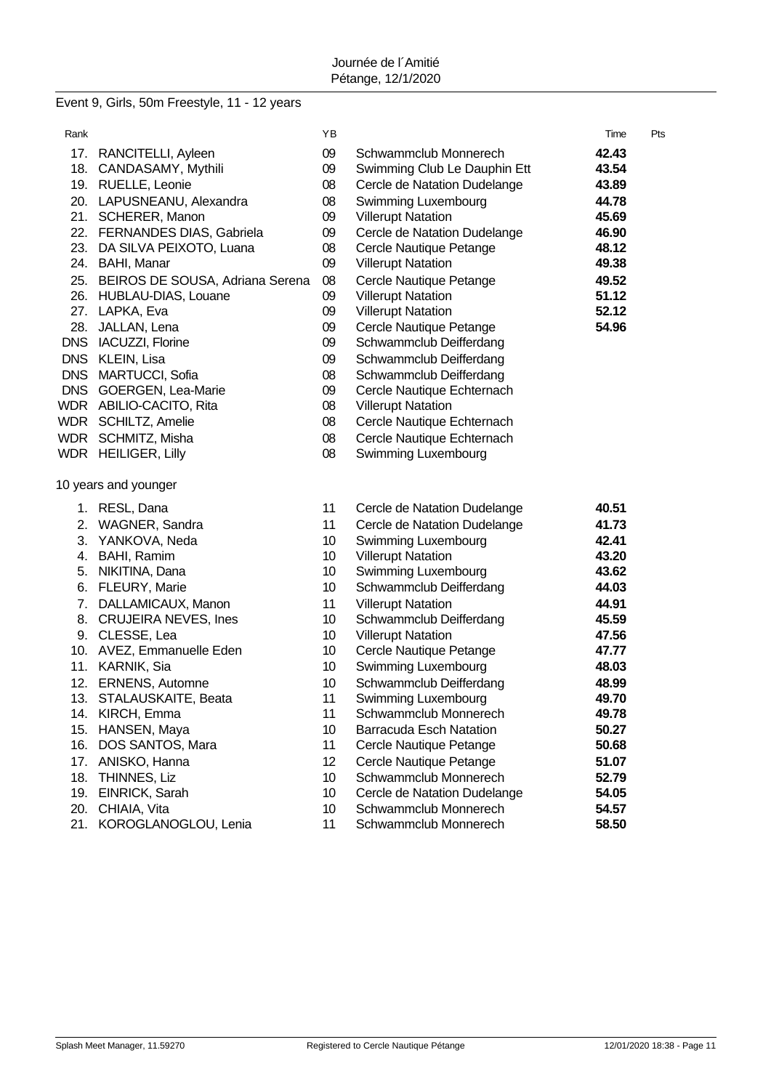# Event 9, Girls, 50m Freestyle, 11 - 12 years

| Rank |                                     | ΥB              |                                | Time  | Pts |
|------|-------------------------------------|-----------------|--------------------------------|-------|-----|
|      | 17. RANCITELLI, Ayleen              | 09              | Schwammclub Monnerech          | 42.43 |     |
| 18.  | CANDASAMY, Mythili                  | 09              | Swimming Club Le Dauphin Ett   | 43.54 |     |
|      | 19. RUELLE, Leonie                  | 08              | Cercle de Natation Dudelange   | 43.89 |     |
|      | 20. LAPUSNEANU, Alexandra           | 08              | Swimming Luxembourg            | 44.78 |     |
|      | 21. SCHERER, Manon                  | 09              | <b>Villerupt Natation</b>      | 45.69 |     |
|      | 22. FERNANDES DIAS, Gabriela        | 09              | Cercle de Natation Dudelange   | 46.90 |     |
|      | 23. DA SILVA PEIXOTO, Luana         | 08              | Cercle Nautique Petange        | 48.12 |     |
|      | 24. BAHI, Manar                     | 09              | <b>Villerupt Natation</b>      | 49.38 |     |
|      | 25. BEIROS DE SOUSA, Adriana Serena | 08              | Cercle Nautique Petange        | 49.52 |     |
|      | 26. HUBLAU-DIAS, Louane             | 09              | <b>Villerupt Natation</b>      | 51.12 |     |
|      | 27. LAPKA, Eva                      | 09              | <b>Villerupt Natation</b>      | 52.12 |     |
|      | 28. JALLAN, Lena                    | 09              | Cercle Nautique Petange        | 54.96 |     |
|      | DNS IACUZZI, Florine                | 09              | Schwammclub Deifferdang        |       |     |
|      | DNS KLEIN, Lisa                     | 09              | Schwammclub Deifferdang        |       |     |
|      | DNS MARTUCCI, Sofia                 | 08              | Schwammclub Deifferdang        |       |     |
|      | DNS GOERGEN, Lea-Marie              | 09              | Cercle Nautique Echternach     |       |     |
|      | WDR ABILIO-CACITO, Rita             | 08              | <b>Villerupt Natation</b>      |       |     |
|      | WDR SCHILTZ, Amelie                 | 08              | Cercle Nautique Echternach     |       |     |
|      | WDR SCHMITZ, Misha                  | 08              | Cercle Nautique Echternach     |       |     |
|      | WDR HEILIGER, Lilly                 | 08              | Swimming Luxembourg            |       |     |
|      | 10 years and younger                |                 |                                |       |     |
|      | 1. RESL, Dana                       | 11              | Cercle de Natation Dudelange   | 40.51 |     |
| 2.   | WAGNER, Sandra                      | 11              | Cercle de Natation Dudelange   | 41.73 |     |
| 3.   | YANKOVA, Neda                       | 10              | Swimming Luxembourg            | 42.41 |     |
|      | 4. BAHI, Ramim                      | 10 <sup>°</sup> | <b>Villerupt Natation</b>      | 43.20 |     |
| 5.   | NIKITINA, Dana                      | 10 <sup>°</sup> | Swimming Luxembourg            | 43.62 |     |
| 6.   | <b>FLEURY, Marie</b>                | 10 <sup>°</sup> | Schwammclub Deifferdang        | 44.03 |     |
| 7.   | DALLAMICAUX, Manon                  | 11              | <b>Villerupt Natation</b>      | 44.91 |     |
| 8.   | <b>CRUJEIRA NEVES, Ines</b>         | 10              | Schwammclub Deifferdang        | 45.59 |     |
|      | 9. CLESSE, Lea                      | 10              | <b>Villerupt Natation</b>      | 47.56 |     |
|      | 10. AVEZ, Emmanuelle Eden           | 10              | Cercle Nautique Petange        | 47.77 |     |
|      | 11. KARNIK, Sia                     | 10              | Swimming Luxembourg            | 48.03 |     |
|      | 12. ERNENS, Automne                 | 10              | Schwammclub Deifferdang        | 48.99 |     |
|      | 13. STALAUSKAITE, Beata             | 11              | Swimming Luxembourg            | 49.70 |     |
|      | 14. KIRCH, Emma                     | 11              | Schwammclub Monnerech          | 49.78 |     |
| 15.  | HANSEN, Maya                        | 10              | <b>Barracuda Esch Natation</b> | 50.27 |     |
| 16.  | DOS SANTOS, Mara                    | 11              | Cercle Nautique Petange        | 50.68 |     |
| 17.  | ANISKO, Hanna                       | 12              | Cercle Nautique Petange        | 51.07 |     |
| 18.  | THINNES, Liz                        | 10              | Schwammclub Monnerech          | 52.79 |     |
| 19.  | EINRICK, Sarah                      | 10              | Cercle de Natation Dudelange   | 54.05 |     |
| 20.  | CHIAIA, Vita                        | 10              | Schwammclub Monnerech          | 54.57 |     |
| 21.  | KOROGLANOGLOU, Lenia                | 11              | Schwammclub Monnerech          | 58.50 |     |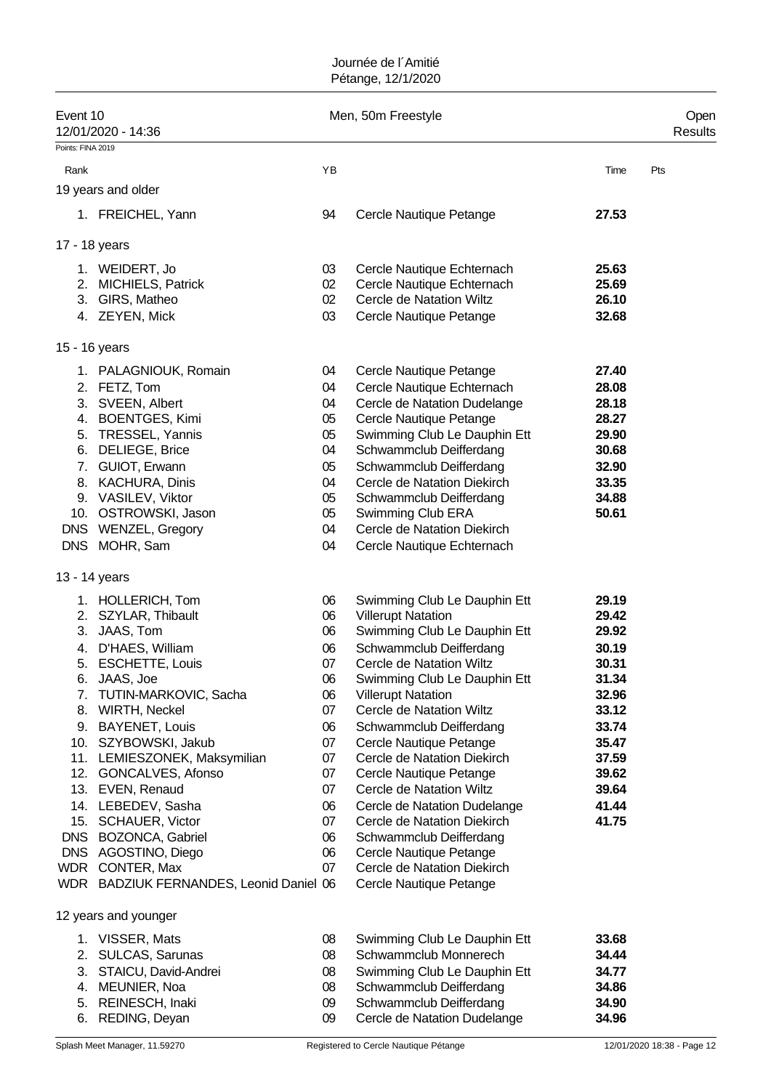| Event 10<br>12/01/2020 - 14:36<br>Points: FINA 2019 |                 | Men, 50m Freestyle                                     |       | Open<br>Results |
|-----------------------------------------------------|-----------------|--------------------------------------------------------|-------|-----------------|
| Rank                                                | YB              |                                                        | Time  | Pts             |
| 19 years and older                                  |                 |                                                        |       |                 |
| 1. FREICHEL, Yann                                   | 94              | Cercle Nautique Petange                                | 27.53 |                 |
|                                                     |                 |                                                        |       |                 |
| 17 - 18 years                                       |                 |                                                        |       |                 |
| 1. WEIDERT, Jo                                      | 03              | Cercle Nautique Echternach                             | 25.63 |                 |
| 2. MICHIELS, Patrick                                | 02              | Cercle Nautique Echternach                             | 25.69 |                 |
| 3. GIRS, Matheo                                     | 02 <sub>2</sub> | Cercle de Natation Wiltz                               | 26.10 |                 |
| 4. ZEYEN, Mick                                      | 03              | Cercle Nautique Petange                                | 32.68 |                 |
| 15 - 16 years                                       |                 |                                                        |       |                 |
| 1. PALAGNIOUK, Romain                               | 04              | Cercle Nautique Petange                                | 27.40 |                 |
| 2. FETZ, Tom                                        | 04              | Cercle Nautique Echternach                             | 28.08 |                 |
| 3. SVEEN, Albert                                    | 04              | Cercle de Natation Dudelange                           | 28.18 |                 |
| 4. BOENTGES, Kimi                                   | 05              | Cercle Nautique Petange                                | 28.27 |                 |
| 5. TRESSEL, Yannis                                  | 05              | Swimming Club Le Dauphin Ett                           | 29.90 |                 |
| 6. DELIEGE, Brice                                   | 04              | Schwammclub Deifferdang                                | 30.68 |                 |
| 7. GUIOT, Erwann                                    | 05              | Schwammclub Deifferdang                                | 32.90 |                 |
| 8. KACHURA, Dinis                                   | 04              | Cercle de Natation Diekirch                            | 33.35 |                 |
| 9. VASILEV, Viktor                                  | 05              | Schwammclub Deifferdang                                | 34.88 |                 |
| 10. OSTROWSKI, Jason                                | 05              | Swimming Club ERA                                      | 50.61 |                 |
| DNS WENZEL, Gregory                                 | 04              | Cercle de Natation Diekirch                            |       |                 |
| DNS MOHR, Sam                                       | 04              | Cercle Nautique Echternach                             |       |                 |
| 13 - 14 years                                       |                 |                                                        |       |                 |
| 1. HOLLERICH, Tom                                   | 06              | Swimming Club Le Dauphin Ett                           | 29.19 |                 |
| 2. SZYLAR, Thibault                                 | 06              | <b>Villerupt Natation</b>                              | 29.42 |                 |
| 3. JAAS, Tom                                        | 06              | Swimming Club Le Dauphin Ett                           | 29.92 |                 |
| 4. D'HAES, William                                  | 06              | Schwammclub Deifferdang                                | 30.19 |                 |
| 5. ESCHETTE, Louis                                  | 07              | Cercle de Natation Wiltz                               | 30.31 |                 |
| 6. JAAS, Joe                                        | 06              | Swimming Club Le Dauphin Ett                           | 31.34 |                 |
| 7. TUTIN-MARKOVIC, Sacha                            | 06              | <b>Villerupt Natation</b>                              | 32.96 |                 |
| 8. WIRTH, Neckel                                    | 07              | Cercle de Natation Wiltz                               | 33.12 |                 |
| 9. BAYENET, Louis                                   | 06              | Schwammclub Deifferdang                                | 33.74 |                 |
| 10. SZYBOWSKI, Jakub                                | 07              | Cercle Nautique Petange                                | 35.47 |                 |
| 11. LEMIESZONEK, Maksymilian                        | 07              | Cercle de Natation Diekirch                            | 37.59 |                 |
| 12. GONCALVES, Afonso                               | 07              | Cercle Nautique Petange                                | 39.62 |                 |
| 13. EVEN, Renaud                                    | 07              | Cercle de Natation Wiltz                               | 39.64 |                 |
| 14. LEBEDEV, Sasha<br>15. SCHAUER, Victor           | 06              | Cercle de Natation Dudelange                           | 41.44 |                 |
| DNS BOZONCA, Gabriel                                | 07<br>06        | Cercle de Natation Diekirch<br>Schwammclub Deifferdang | 41.75 |                 |
| DNS AGOSTINO, Diego                                 | 06              | Cercle Nautique Petange                                |       |                 |
| WDR CONTER, Max                                     | 07              | Cercle de Natation Diekirch                            |       |                 |
| WDR BADZIUK FERNANDES, Leonid Daniel 06             |                 | Cercle Nautique Petange                                |       |                 |
| 12 years and younger                                |                 |                                                        |       |                 |
| 1. VISSER, Mats                                     | 08              | Swimming Club Le Dauphin Ett                           | 33.68 |                 |
| 2. SULCAS, Sarunas                                  | 08              | Schwammclub Monnerech                                  | 34.44 |                 |
| 3. STAICU, David-Andrei                             | 08              | Swimming Club Le Dauphin Ett                           | 34.77 |                 |
| 4. MEUNIER, Noa                                     | 08              | Schwammclub Deifferdang                                | 34.86 |                 |
| 5. REINESCH, Inaki                                  | 09              | Schwammclub Deifferdang                                | 34.90 |                 |
| 6. REDING, Deyan                                    | 09              | Cercle de Natation Dudelange                           | 34.96 |                 |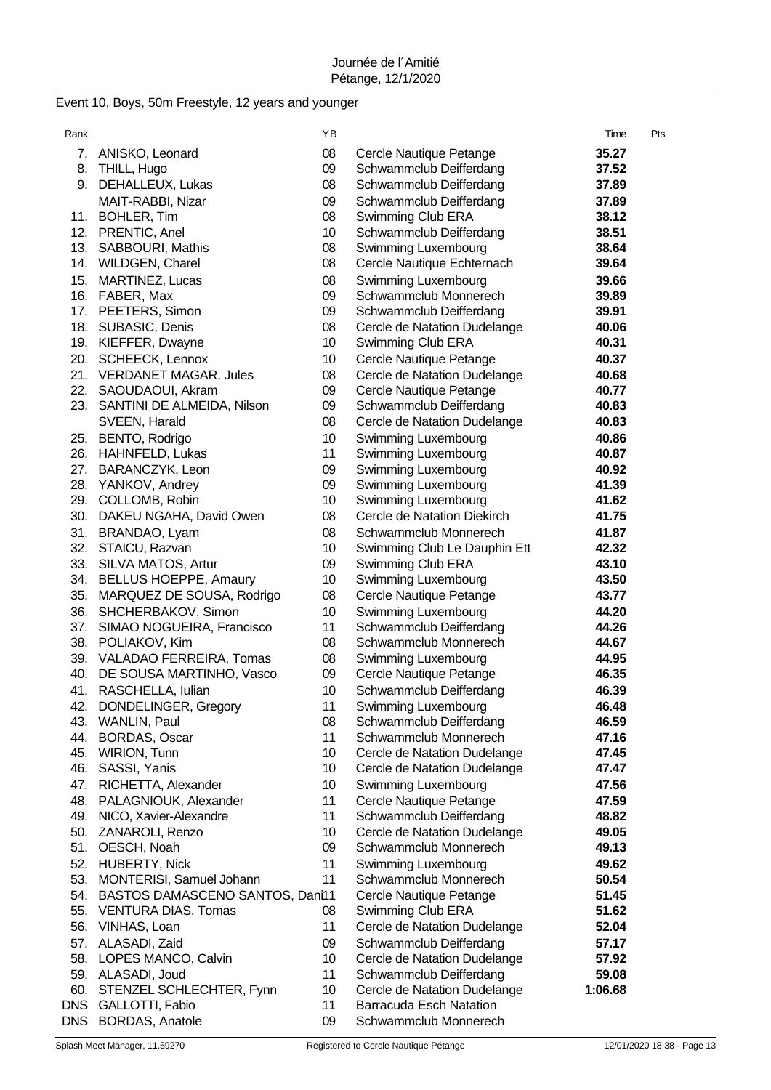# Event 10, Boys, 50m Freestyle, 12 years and younger

| Rank       |                                                                   | ΥB       |                                                         | Time             | Pts |
|------------|-------------------------------------------------------------------|----------|---------------------------------------------------------|------------------|-----|
|            | 7. ANISKO, Leonard                                                | 08       | Cercle Nautique Petange                                 | 35.27            |     |
| 8.         | THILL, Hugo                                                       | 09       | Schwammclub Deifferdang                                 | 37.52            |     |
| 9.         | DEHALLEUX, Lukas                                                  | 08       | Schwammclub Deifferdang                                 | 37.89            |     |
|            | MAIT-RABBI, Nizar                                                 | 09       | Schwammclub Deifferdang                                 | 37.89            |     |
|            | 11. BOHLER, Tim                                                   | 08       | Swimming Club ERA                                       | 38.12            |     |
|            | 12. PRENTIC, Anel                                                 | 10       | Schwammclub Deifferdang                                 | 38.51            |     |
|            | 13. SABBOURI, Mathis                                              | 08       | Swimming Luxembourg                                     | 38.64            |     |
|            | 14. WILDGEN, Charel                                               | 08       | Cercle Nautique Echternach                              | 39.64            |     |
|            | 15. MARTINEZ, Lucas                                               | 08       | Swimming Luxembourg                                     | 39.66            |     |
|            | 16. FABER, Max                                                    | 09       | Schwammclub Monnerech                                   | 39.89            |     |
|            | 17. PEETERS, Simon                                                | 09       | Schwammclub Deifferdang                                 | 39.91            |     |
|            | 18. SUBASIC, Denis                                                | 08       | Cercle de Natation Dudelange                            | 40.06            |     |
|            | 19. KIEFFER, Dwayne                                               | 10       | Swimming Club ERA                                       | 40.31            |     |
|            | 20. SCHEECK, Lennox                                               | 10       | Cercle Nautique Petange                                 | 40.37            |     |
|            | 21. VERDANET MAGAR, Jules                                         | 08       | Cercle de Natation Dudelange                            | 40.68            |     |
|            | 22. SAOUDAOUI, Akram                                              | 09       | Cercle Nautique Petange                                 | 40.77            |     |
|            | 23. SANTINI DE ALMEIDA, Nilson                                    | 09       | Schwammclub Deifferdang                                 | 40.83            |     |
|            | SVEEN, Harald                                                     | 08       | Cercle de Natation Dudelange                            | 40.83            |     |
|            | 25. BENTO, Rodrigo                                                | 10       | Swimming Luxembourg                                     | 40.86            |     |
|            | 26. HAHNFELD, Lukas                                               | 11       | Swimming Luxembourg                                     | 40.87            |     |
|            | 27. BARANCZYK, Leon                                               | 09       | Swimming Luxembourg                                     | 40.92            |     |
|            | 28. YANKOV, Andrey                                                | 09       | Swimming Luxembourg                                     | 41.39            |     |
|            | 29. COLLOMB, Robin                                                | 10       | Swimming Luxembourg                                     | 41.62            |     |
|            | 30. DAKEU NGAHA, David Owen                                       | 08       | Cercle de Natation Diekirch                             | 41.75            |     |
|            | 31. BRANDAO, Lyam                                                 | 08       | Schwammclub Monnerech                                   | 41.87            |     |
|            | 32. STAICU, Razvan                                                | 10       | Swimming Club Le Dauphin Ett                            | 42.32            |     |
|            | 33. SILVA MATOS, Artur                                            | 09       | Swimming Club ERA                                       | 43.10            |     |
|            | 34. BELLUS HOEPPE, Amaury                                         | 10       | Swimming Luxembourg                                     | 43.50            |     |
| 35.        | MARQUEZ DE SOUSA, Rodrigo                                         | 08       | Cercle Nautique Petange                                 | 43.77            |     |
| 36.        | SHCHERBAKOV, Simon                                                | 10       | Swimming Luxembourg                                     | 44.20            |     |
| 37.        | SIMAO NOGUEIRA, Francisco                                         | 11       | Schwammclub Deifferdang                                 | 44.26            |     |
|            | 38. POLIAKOV, Kim                                                 | 08       | Schwammclub Monnerech                                   | 44.67            |     |
|            | 39. VALADAO FERREIRA, Tomas                                       | 08       | Swimming Luxembourg                                     | 44.95            |     |
| 40.        | DE SOUSA MARTINHO, Vasco                                          | 09       | Cercle Nautique Petange                                 | 46.35            |     |
| 41.        | RASCHELLA, Iulian                                                 | 10       | Schwammclub Deifferdang                                 | 46.39            |     |
| 42         | DONDELINGER, Gregory                                              | 11       | Swimming Luxembourg                                     | 46.48            |     |
|            | 43. WANLIN, Paul                                                  | 08       | Schwammclub Deifferdang                                 | 46.59            |     |
| 44.        | <b>BORDAS, Oscar</b>                                              | 11       | Schwammclub Monnerech                                   | 47.16            |     |
| 45.        | WIRION, Tunn                                                      | 10       | Cercle de Natation Dudelange                            | 47.45            |     |
| 46.        | SASSI, Yanis                                                      | 10       | Cercle de Natation Dudelange                            | 47.47            |     |
|            | 47. RICHETTA, Alexander                                           | 10       | Swimming Luxembourg                                     | 47.56            |     |
|            | 48. PALAGNIOUK, Alexander                                         | 11       | Cercle Nautique Petange                                 | 47.59            |     |
|            | 49. NICO, Xavier-Alexandre                                        | 11       | Schwammclub Deifferdang                                 | 48.82            |     |
|            | 50. ZANAROLI, Renzo                                               | 10       | Cercle de Natation Dudelange                            | 49.05            |     |
|            | 51. OESCH, Noah                                                   | 09       | Schwammclub Monnerech                                   | 49.13            |     |
|            | 52. HUBERTY, Nick                                                 | 11       | Swimming Luxembourg                                     | 49.62            |     |
|            | 53. MONTERISI, Samuel Johann                                      | 11       | Schwammclub Monnerech                                   | 50.54            |     |
| 55.        | 54. BASTOS DAMASCENO SANTOS, Dani11<br><b>VENTURA DIAS, Tomas</b> | 08       | Cercle Nautique Petange                                 | 51.45<br>51.62   |     |
| 56.        |                                                                   | 11       | Swimming Club ERA                                       |                  |     |
|            | VINHAS, Loan                                                      |          | Cercle de Natation Dudelange                            | 52.04            |     |
|            | 57. ALASADI, Zaid                                                 | 09       | Schwammclub Deifferdang                                 | 57.17            |     |
| 58.        | <b>LOPES MANCO, Calvin</b>                                        | 10<br>11 | Cercle de Natation Dudelange                            | 57.92            |     |
|            | 59. ALASADI, Joud<br>60. STENZEL SCHLECHTER, Fynn                 | 10       | Schwammclub Deifferdang<br>Cercle de Natation Dudelange | 59.08<br>1:06.68 |     |
|            | DNS GALLOTTI, Fabio                                               | 11       | <b>Barracuda Esch Natation</b>                          |                  |     |
| <b>DNS</b> | <b>BORDAS, Anatole</b>                                            | 09       | Schwammclub Monnerech                                   |                  |     |
|            |                                                                   |          |                                                         |                  |     |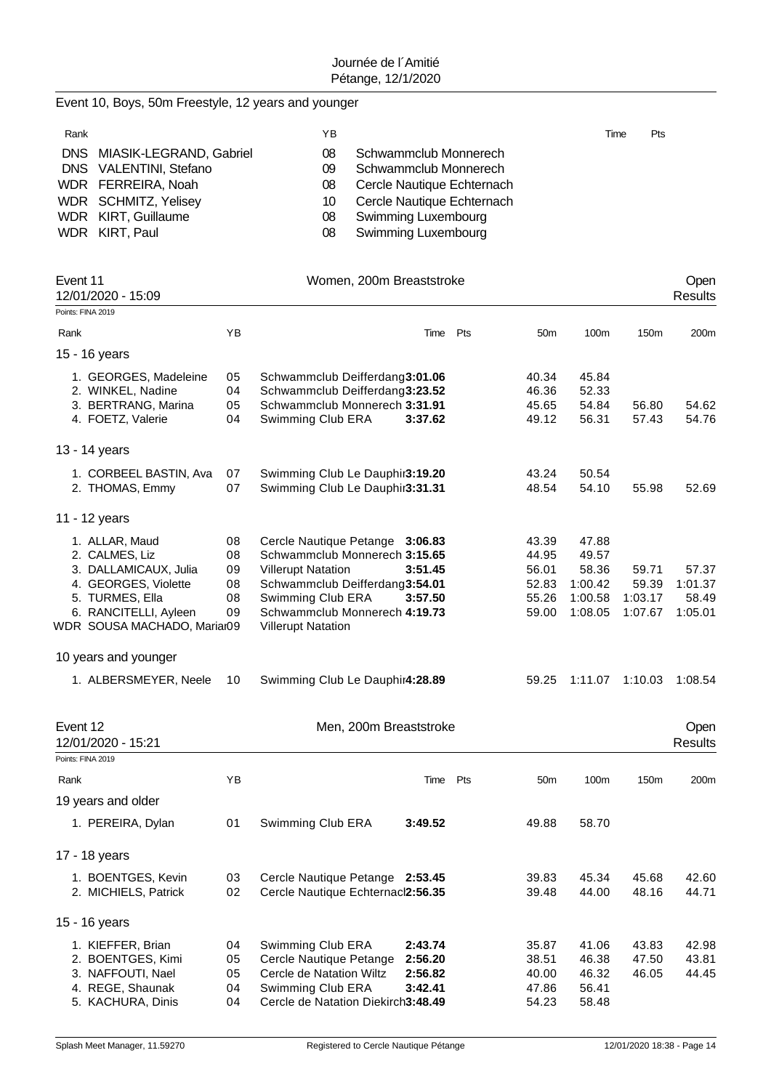Event 10, Boys, 50m Freestyle, 12 years and younger

| Rank |                             | YΒ |                            | Time | Pts |
|------|-----------------------------|----|----------------------------|------|-----|
|      | DNS MIASIK-LEGRAND, Gabriel | 08 | Schwammclub Monnerech      |      |     |
|      | DNS VALENTINI, Stefano      | 09 | Schwammclub Monnerech      |      |     |
|      | WDR FERREIRA, Noah          | 08 | Cercle Nautique Echternach |      |     |
|      | WDR SCHMITZ, Yelisey        | 10 | Cercle Nautique Echternach |      |     |
|      | WDR KIRT, Guillaume         | 08 | Swimming Luxembourg        |      |     |
|      | WDR KIRT, Paul              | 08 | <b>Swimming Luxembourg</b> |      |     |
|      |                             |    |                            |      |     |

| Event 11<br>12/01/2020 - 15:09                                                                                                                               |                                  | Women, 200m Breaststroke                                                                                                                                                                                                                 |     |                                                    |                                                          |                                      | Open<br><b>Results</b>               |
|--------------------------------------------------------------------------------------------------------------------------------------------------------------|----------------------------------|------------------------------------------------------------------------------------------------------------------------------------------------------------------------------------------------------------------------------------------|-----|----------------------------------------------------|----------------------------------------------------------|--------------------------------------|--------------------------------------|
| Points: FINA 2019                                                                                                                                            |                                  |                                                                                                                                                                                                                                          |     |                                                    |                                                          |                                      |                                      |
| Rank                                                                                                                                                         | YB                               | Time Pts                                                                                                                                                                                                                                 |     | 50 <sub>m</sub>                                    | 100m                                                     | 150m                                 | 200m                                 |
| 15 - 16 years                                                                                                                                                |                                  |                                                                                                                                                                                                                                          |     |                                                    |                                                          |                                      |                                      |
| 1. GEORGES, Madeleine<br>2. WINKEL, Nadine<br>3. BERTRANG, Marina<br>4. FOETZ, Valerie                                                                       | 05<br>04<br>05<br>04             | Schwammclub Deifferdang3:01.06<br>Schwammclub Deifferdang3:23.52<br>Schwammclub Monnerech 3:31.91<br>Swimming Club ERA<br>3:37.62                                                                                                        |     | 40.34<br>46.36<br>45.65<br>49.12                   | 45.84<br>52.33<br>54.84<br>56.31                         | 56.80<br>57.43                       | 54.62<br>54.76                       |
| 13 - 14 years                                                                                                                                                |                                  |                                                                                                                                                                                                                                          |     |                                                    |                                                          |                                      |                                      |
| 1. CORBEEL BASTIN, Ava<br>2. THOMAS, Emmy                                                                                                                    | 07<br>07                         | Swimming Club Le Dauphir3:19.20<br>Swimming Club Le Dauphir3:31.31                                                                                                                                                                       |     | 43.24<br>48.54                                     | 50.54<br>54.10                                           | 55.98                                | 52.69                                |
| 11 - 12 years                                                                                                                                                |                                  |                                                                                                                                                                                                                                          |     |                                                    |                                                          |                                      |                                      |
| 1. ALLAR, Maud<br>2. CALMES, Liz<br>3. DALLAMICAUX, Julia<br>4. GEORGES, Violette<br>5. TURMES, Ella<br>6. RANCITELLI, Ayleen<br>WDR SOUSA MACHADO, Mariar09 | 08<br>08<br>09<br>08<br>08<br>09 | Cercle Nautique Petange 3:06.83<br>Schwammclub Monnerech 3:15.65<br><b>Villerupt Natation</b><br>3:51.45<br>Schwammclub Deifferdang3:54.01<br>Swimming Club ERA<br>3:57.50<br>Schwammclub Monnerech 4:19.73<br><b>Villerupt Natation</b> |     | 43.39<br>44.95<br>56.01<br>52.83<br>55.26<br>59.00 | 47.88<br>49.57<br>58.36<br>1:00.42<br>1:00.58<br>1:08.05 | 59.71<br>59.39<br>1:03.17<br>1:07.67 | 57.37<br>1:01.37<br>58.49<br>1:05.01 |
| 10 years and younger                                                                                                                                         |                                  |                                                                                                                                                                                                                                          |     |                                                    |                                                          |                                      |                                      |
| 1. ALBERSMEYER, Neele                                                                                                                                        | 10                               | Swimming Club Le Dauphir4:28.89                                                                                                                                                                                                          |     | 59.25                                              | 1:11.07                                                  | 1:10.03                              | 1:08.54                              |
| Event 12<br>12/01/2020 - 15:21                                                                                                                               |                                  | Men, 200m Breaststroke                                                                                                                                                                                                                   |     |                                                    |                                                          |                                      | Open<br>Results                      |
| Points: FINA 2019<br>Rank                                                                                                                                    | YB                               | Time                                                                                                                                                                                                                                     | Pts | 50 <sub>m</sub>                                    | 100m                                                     | 150m                                 | 200m                                 |
| 19 years and older                                                                                                                                           |                                  |                                                                                                                                                                                                                                          |     |                                                    |                                                          |                                      |                                      |
| 1. PEREIRA, Dylan                                                                                                                                            | 01                               | Swimming Club ERA<br>3:49.52                                                                                                                                                                                                             |     | 49.88                                              | 58.70                                                    |                                      |                                      |
| 17 - 18 years                                                                                                                                                |                                  |                                                                                                                                                                                                                                          |     |                                                    |                                                          |                                      |                                      |
| 1. BOENTGES, Kevin<br>2. MICHIELS, Patrick                                                                                                                   | 03<br>02                         | Cercle Nautique Petange 2:53.45<br>Cercle Nautique Echternacl2:56.35                                                                                                                                                                     |     | 39.83<br>39.48                                     | 45.34<br>44.00                                           | 45.68<br>48.16                       | 42.60<br>44.71                       |
| 15 - 16 years                                                                                                                                                |                                  |                                                                                                                                                                                                                                          |     |                                                    |                                                          |                                      |                                      |
| 1. KIEFFER, Brian<br>2. BOENTGES, Kimi<br>3. NAFFOUTI, Nael<br>4. REGE, Shaunak<br>5. KACHURA, Dinis                                                         | 04<br>05<br>05<br>04<br>04       | Swimming Club ERA<br>2:43.74<br>Cercle Nautique Petange<br>2:56.20<br>Cercle de Natation Wiltz<br>2:56.82<br>Swimming Club ERA<br>3:42.41<br>Cercle de Natation Diekirch3:48.49                                                          |     | 35.87<br>38.51<br>40.00<br>47.86<br>54.23          | 41.06<br>46.38<br>46.32<br>56.41<br>58.48                | 43.83<br>47.50<br>46.05              | 42.98<br>43.81<br>44.45              |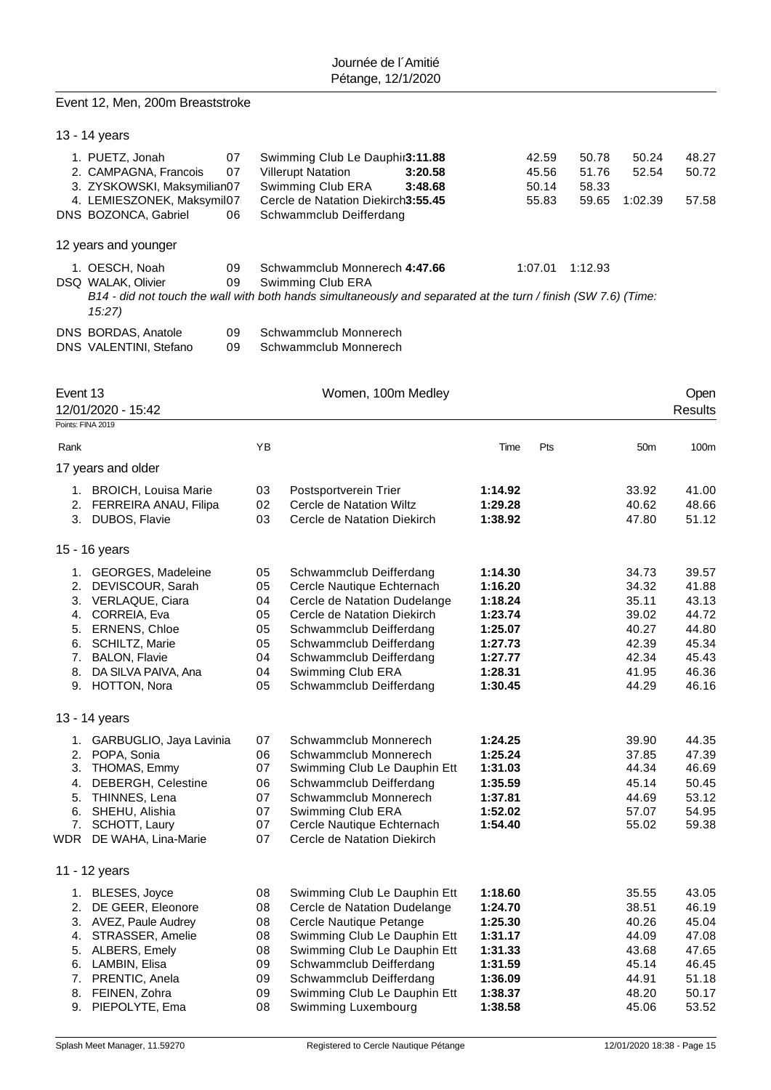### Event 12, Men, 200m Breaststroke

| 13 - 14 years |  |
|---------------|--|
|---------------|--|

| 1. PUETZ, Jonah                              | 07                  | Swimming Club Le Dauphir3:11.88    |         | 42.59   | 50.78   | 50.24   | 48.27 |
|----------------------------------------------|---------------------|------------------------------------|---------|---------|---------|---------|-------|
| 2. CAMPAGNA, Francois                        | 07                  | <b>Villerupt Natation</b>          | 3:20.58 | 45.56   | 51.76   | 52.54   | 50.72 |
| 3. ZYSKOWSKI, Maksymilian07                  |                     | Swimming Club ERA                  | 3:48.68 | 50.14   | 58.33   |         |       |
| 4. LEMIESZONEK, Maksymil07                   |                     | Cercle de Natation Diekirch3:55.45 |         | 55.83   | 59.65   | 1:02.39 | 57.58 |
| DNS BOZONCA, Gabriel                         | 06                  | Schwammclub Deifferdang            |         |         |         |         |       |
| 12 years and younger                         |                     |                                    |         |         |         |         |       |
| 1. OESCH, Noah<br><b>BOO 14141 414 ALL 1</b> | 09<br>$\sim$ $\sim$ | Schwammclub Monnerech 4:47.66      |         | 1:07.01 | 1:12.93 |         |       |

DSQ WALAK, Olivier 09 Swimming Club ERA

|                     |    | B14 - did not touch the wall with both hands simultaneously and separated at the turn / finish (SW 7.6) (Time: |
|---------------------|----|----------------------------------------------------------------------------------------------------------------|
| 15:27)              |    |                                                                                                                |
| DNS BORDAS, Anatole | 09 | Schwammclub Monnerech                                                                                          |

DNS VALENTINI, Stefano 09 Schwammclub Monnerech

| Event 13 |                            |    | Women, 100m Medley           |         |     |                 | Open           |
|----------|----------------------------|----|------------------------------|---------|-----|-----------------|----------------|
|          | 12/01/2020 - 15:42         |    |                              |         |     |                 | <b>Results</b> |
|          | Points: FINA 2019          |    |                              |         |     |                 |                |
| Rank     |                            | YB |                              | Time    | Pts | 50 <sub>m</sub> | 100m           |
|          | 17 years and older         |    |                              |         |     |                 |                |
|          | 1. BROICH, Louisa Marie    | 03 | Postsportverein Trier        | 1:14.92 |     | 33.92           | 41.00          |
|          | 2. FERREIRA ANAU, Filipa   | 02 | Cercle de Natation Wiltz     | 1:29.28 |     | 40.62           | 48.66          |
|          | 3. DUBOS, Flavie           | 03 | Cercle de Natation Diekirch  | 1:38.92 |     | 47.80           | 51.12          |
|          | 15 - 16 years              |    |                              |         |     |                 |                |
|          | 1. GEORGES, Madeleine      | 05 | Schwammclub Deifferdang      | 1:14.30 |     | 34.73           | 39.57          |
|          | 2. DEVISCOUR, Sarah        | 05 | Cercle Nautique Echternach   | 1:16.20 |     | 34.32           | 41.88          |
|          | 3. VERLAQUE, Ciara         | 04 | Cercle de Natation Dudelange | 1:18.24 |     | 35.11           | 43.13          |
|          | 4. CORREIA, Eva            | 05 | Cercle de Natation Diekirch  | 1:23.74 |     | 39.02           | 44.72          |
|          | 5. ERNENS, Chloe           | 05 | Schwammclub Deifferdang      | 1:25.07 |     | 40.27           | 44.80          |
|          | 6. SCHILTZ, Marie          | 05 | Schwammclub Deifferdang      | 1:27.73 |     | 42.39           | 45.34          |
|          | 7. BALON, Flavie           | 04 | Schwammclub Deifferdang      | 1:27.77 |     | 42.34           | 45.43          |
| 8.       | DA SILVA PAIVA, Ana        | 04 | Swimming Club ERA            | 1:28.31 |     | 41.95           | 46.36          |
|          | 9. HOTTON, Nora            | 05 | Schwammclub Deifferdang      | 1:30.45 |     | 44.29           | 46.16          |
|          | 13 - 14 years              |    |                              |         |     |                 |                |
|          | 1. GARBUGLIO, Jaya Lavinia | 07 | Schwammclub Monnerech        | 1:24.25 |     | 39.90           | 44.35          |
|          | 2. POPA, Sonia             | 06 | Schwammclub Monnerech        | 1:25.24 |     | 37.85           | 47.39          |
|          | 3. THOMAS, Emmy            | 07 | Swimming Club Le Dauphin Ett | 1:31.03 |     | 44.34           | 46.69          |
| 4.       | DEBERGH, Celestine         | 06 | Schwammclub Deifferdang      | 1:35.59 |     | 45.14           | 50.45          |
| 5.       | THINNES, Lena              | 07 | Schwammclub Monnerech        | 1:37.81 |     | 44.69           | 53.12          |
| 6.       | SHEHU, Alishia             | 07 | Swimming Club ERA            | 1:52.02 |     | 57.07           | 54.95          |
| 7.       | SCHOTT, Laury              | 07 | Cercle Nautique Echternach   | 1:54.40 |     | 55.02           | 59.38          |
|          | WDR DE WAHA, Lina-Marie    | 07 | Cercle de Natation Diekirch  |         |     |                 |                |
|          | 11 - 12 years              |    |                              |         |     |                 |                |
|          | 1. BLESES, Joyce           | 08 | Swimming Club Le Dauphin Ett | 1:18.60 |     | 35.55           | 43.05          |
|          | 2. DE GEER, Eleonore       | 08 | Cercle de Natation Dudelange | 1:24.70 |     | 38.51           | 46.19          |
|          | 3. AVEZ, Paule Audrey      | 08 | Cercle Nautique Petange      | 1:25.30 |     | 40.26           | 45.04          |
| 4.       | STRASSER, Amelie           | 08 | Swimming Club Le Dauphin Ett | 1:31.17 |     | 44.09           | 47.08          |
|          | 5. ALBERS, Emely           | 08 | Swimming Club Le Dauphin Ett | 1:31.33 |     | 43.68           | 47.65          |
|          | 6. LAMBIN, Elisa           | 09 | Schwammclub Deifferdang      | 1:31.59 |     | 45.14           | 46.45          |
|          | 7. PRENTIC, Anela          | 09 | Schwammclub Deifferdang      | 1:36.09 |     | 44.91           | 51.18          |
|          | 8. FEINEN, Zohra           | 09 | Swimming Club Le Dauphin Ett | 1:38.37 |     | 48.20           | 50.17          |
|          | 9. PIEPOLYTE, Ema          | 08 | Swimming Luxembourg          | 1:38.58 |     | 45.06           | 53.52          |
|          |                            |    |                              |         |     |                 |                |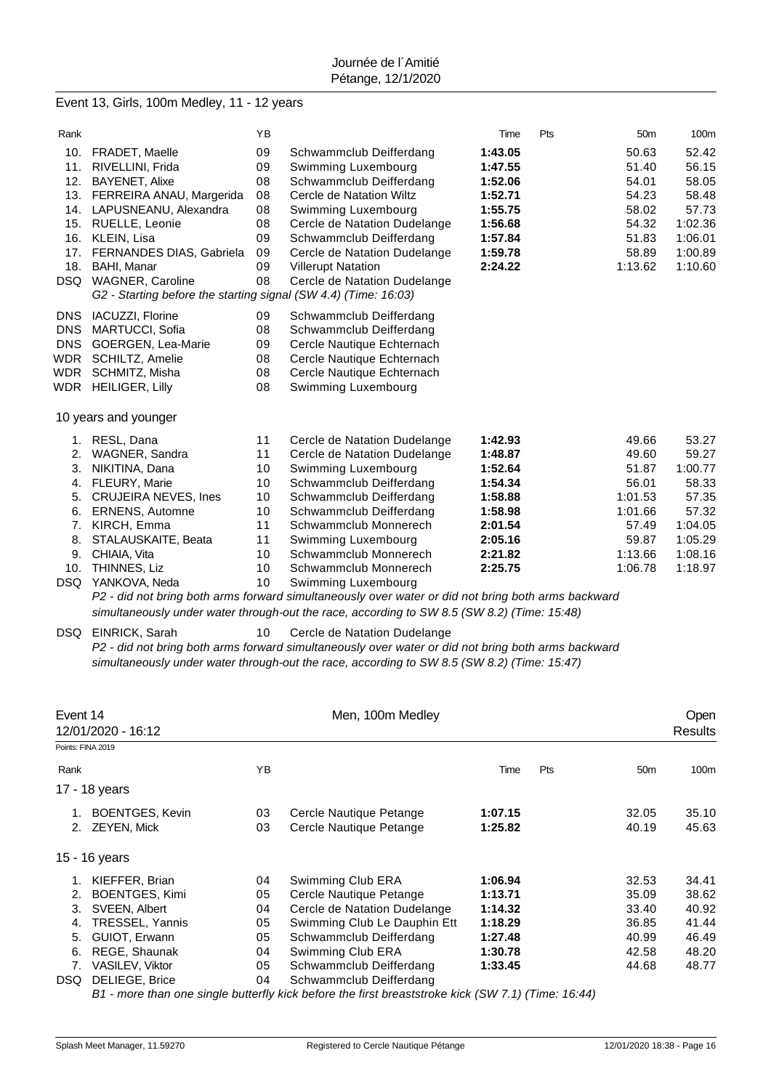### Event 13, Girls, 100m Medley, 11 - 12 years

| Rank       |                                                                 | YB |                              | Time    | Pts | 50 <sub>m</sub> | 100m    |
|------------|-----------------------------------------------------------------|----|------------------------------|---------|-----|-----------------|---------|
| 10.        | <b>FRADET, Maelle</b>                                           | 09 | Schwammclub Deifferdang      | 1:43.05 |     | 50.63           | 52.42   |
| 11.        | RIVELLINI, Frida                                                | 09 | Swimming Luxembourg          | 1:47.55 |     | 51.40           | 56.15   |
| 12.        | <b>BAYENET, Alixe</b>                                           | 08 | Schwammclub Deifferdang      | 1:52.06 |     | 54.01           | 58.05   |
| 13.        | FERREIRA ANAU, Margerida                                        | 08 | Cercle de Natation Wiltz     | 1:52.71 |     | 54.23           | 58.48   |
| 14.        | LAPUSNEANU, Alexandra                                           | 08 | Swimming Luxembourg          | 1:55.75 |     | 58.02           | 57.73   |
| 15.        | RUELLE, Leonie                                                  | 08 | Cercle de Natation Dudelange | 1:56.68 |     | 54.32           | 1:02.36 |
| 16.        | KLEIN, Lisa                                                     | 09 | Schwammclub Deifferdang      | 1:57.84 |     | 51.83           | 1:06.01 |
| 17.        | <b>FERNANDES DIAS, Gabriela</b>                                 | 09 | Cercle de Natation Dudelange | 1:59.78 |     | 58.89           | 1:00.89 |
| 18.        | BAHI, Manar                                                     | 09 | <b>Villerupt Natation</b>    | 2:24.22 |     | 1:13.62         | 1:10.60 |
|            | DSQ WAGNER, Caroline                                            | 08 | Cercle de Natation Dudelange |         |     |                 |         |
|            | G2 - Starting before the starting signal (SW 4.4) (Time: 16:03) |    |                              |         |     |                 |         |
| <b>DNS</b> | IACUZZI, Florine                                                | 09 | Schwammclub Deifferdang      |         |     |                 |         |
| <b>DNS</b> | MARTUCCI, Sofia                                                 | 08 | Schwammclub Deifferdang      |         |     |                 |         |
| <b>DNS</b> | <b>GOERGEN, Lea-Marie</b>                                       | 09 | Cercle Nautique Echternach   |         |     |                 |         |
| WDR        | SCHILTZ, Amelie                                                 | 08 | Cercle Nautique Echternach   |         |     |                 |         |
| WDR        | SCHMITZ, Misha                                                  | 08 | Cercle Nautique Echternach   |         |     |                 |         |
|            | WDR HEILIGER, Lilly                                             | 08 | Swimming Luxembourg          |         |     |                 |         |
|            |                                                                 |    |                              |         |     |                 |         |
|            | 10 years and younger                                            |    |                              |         |     |                 |         |
|            | 1. RESL, Dana                                                   | 11 | Cercle de Natation Dudelange | 1:42.93 |     | 49.66           | 53.27   |
| 2.         | WAGNER, Sandra                                                  | 11 | Cercle de Natation Dudelange | 1:48.87 |     | 49.60           | 59.27   |
| 3.         | NIKITINA, Dana                                                  | 10 | Swimming Luxembourg          | 1:52.64 |     | 51.87           | 1:00.77 |
| 4.         | FLEURY, Marie                                                   | 10 | Schwammclub Deifferdang      | 1:54.34 |     | 56.01           | 58.33   |
| 5.         | <b>CRUJEIRA NEVES, Ines</b>                                     | 10 | Schwammclub Deifferdang      | 1:58.88 |     | 1:01.53         | 57.35   |
| 6.         | <b>ERNENS, Automne</b>                                          | 10 | Schwammclub Deifferdang      | 1:58.98 |     | 1:01.66         | 57.32   |
| 7.         | KIRCH, Emma                                                     | 11 | Schwammclub Monnerech        | 2:01.54 |     | 57.49           | 1:04.05 |
| 8.         | STALAUSKAITE, Beata                                             | 11 | Swimming Luxembourg          | 2:05.16 |     | 59.87           | 1:05.29 |
| 9.         | CHIAIA, Vita                                                    | 10 | Schwammclub Monnerech        | 2:21.82 |     | 1:13.66         | 1:08.16 |
| 10.        | THINNES, Liz                                                    | 10 | Schwammclub Monnerech        | 2:25.75 |     | 1:06.78         | 1:18.97 |
| DSQ        | YANKOVA, Neda                                                   | 10 | Swimming Luxembourg          |         |     |                 |         |

*P2 - did not bring both arms forward simultaneously over water or did not bring both arms backward simultaneously under water through-out the race, according to SW 8.5 (SW 8.2) (Time: 15:48)*

#### DSQ EINRICK, Sarah 10 Cercle de Natation Dudelange

*P2 - did not bring both arms forward simultaneously over water or did not bring both arms backward simultaneously under water through-out the race, according to SW 8.5 (SW 8.2) (Time: 15:47)*

|                        |                                                                                       | Men, 100m Medley        |                                                              |     |                 | Open<br>Results |
|------------------------|---------------------------------------------------------------------------------------|-------------------------|--------------------------------------------------------------|-----|-----------------|-----------------|
|                        |                                                                                       |                         |                                                              |     |                 |                 |
|                        | ΥB                                                                                    |                         | Time                                                         | Pts | 50 <sub>m</sub> | 100m            |
|                        |                                                                                       |                         |                                                              |     |                 |                 |
| <b>BOENTGES, Kevin</b> | 03                                                                                    | Cercle Nautique Petange | 1:07.15                                                      |     | 32.05           | 35.10           |
| <b>ZEYEN, Mick</b>     | 03                                                                                    | Cercle Nautique Petange | 1:25.82                                                      |     | 40.19           | 45.63           |
|                        |                                                                                       |                         |                                                              |     |                 |                 |
| KIEFFER, Brian         | 04                                                                                    | Swimming Club ERA       | 1:06.94                                                      |     | 32.53           | 34.41           |
| <b>BOENTGES, Kimi</b>  | 05                                                                                    | Cercle Nautique Petange | 1:13.71                                                      |     | 35.09           | 38.62           |
| SVEEN, Albert          | 04                                                                                    |                         | 1:14.32                                                      |     | 33.40           | 40.92           |
| TRESSEL, Yannis        | 05                                                                                    |                         | 1:18.29                                                      |     | 36.85           | 41.44           |
| GUIOT, Erwann          | 05                                                                                    | Schwammclub Deifferdang | 1:27.48                                                      |     | 40.99           | 46.49           |
| REGE, Shaunak          | 04                                                                                    | Swimming Club ERA       | 1:30.78                                                      |     | 42.58           | 48.20           |
| <b>VASILEV, Viktor</b> | 05                                                                                    | Schwammclub Deifferdang | 1:33.45                                                      |     | 44.68           | 48.77           |
| DELIEGE, Brice         | 04                                                                                    | Schwammclub Deifferdang |                                                              |     |                 |                 |
| 2.<br>DSQ              | Event 14<br>12/01/2020 - 16:12<br>Points: FINA 2019<br>17 - 18 years<br>15 - 16 years |                         | Cercle de Natation Dudelange<br>Swimming Club Le Dauphin Ett |     |                 |                 |

*B1 - more than one single butterfly kick before the first breaststroke kick (SW 7.1) (Time: 16:44)*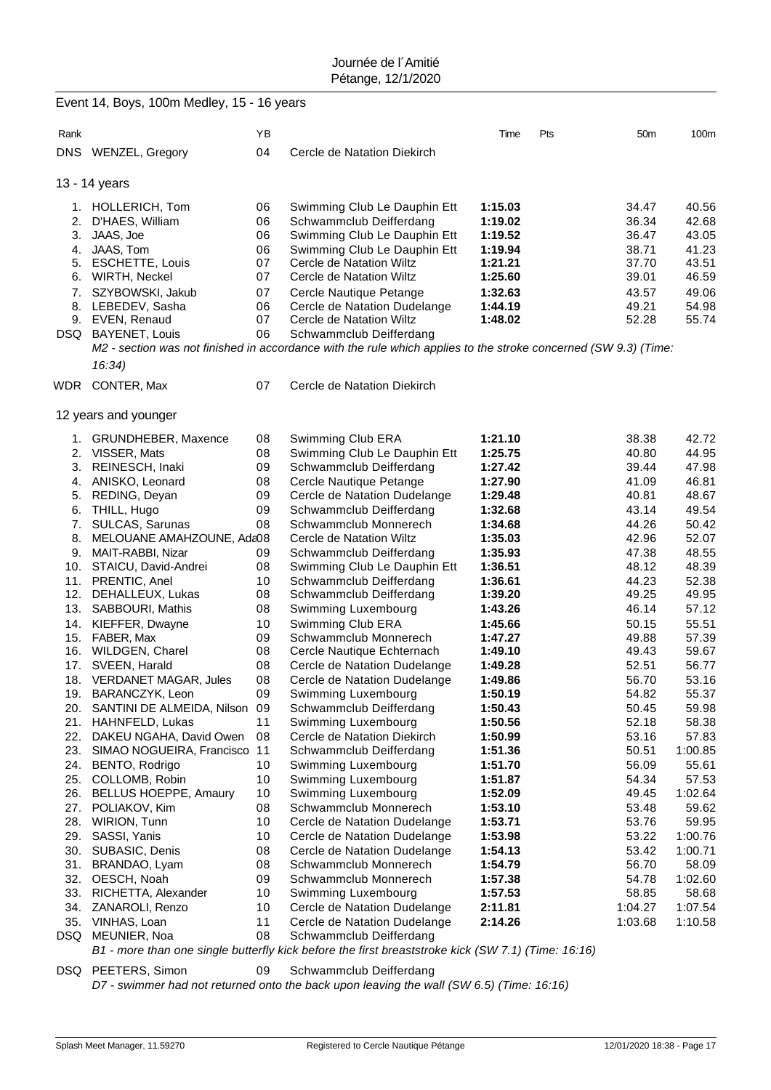|      | Event 14, Boys, 100m Medley, 15 - 16 years    |          |                                                                                                                 |                    |                        |                |
|------|-----------------------------------------------|----------|-----------------------------------------------------------------------------------------------------------------|--------------------|------------------------|----------------|
| Rank |                                               | YB       |                                                                                                                 | Time               | Pts<br>50 <sub>m</sub> | 100m           |
|      | DNS WENZEL, Gregory                           | 04       | Cercle de Natation Diekirch                                                                                     |                    |                        |                |
|      | 13 - 14 years                                 |          |                                                                                                                 |                    |                        |                |
|      | 1. HOLLERICH, Tom                             | 06       | Swimming Club Le Dauphin Ett                                                                                    | 1:15.03            | 34.47                  | 40.56          |
| 2.   | D'HAES, William                               | 06       | Schwammclub Deifferdang                                                                                         | 1:19.02            | 36.34                  | 42.68          |
| 3.   | JAAS, Joe                                     | 06       | Swimming Club Le Dauphin Ett                                                                                    | 1:19.52            | 36.47                  | 43.05          |
|      | 4. JAAS, Tom                                  | 06       | Swimming Club Le Dauphin Ett                                                                                    | 1:19.94            | 38.71                  | 41.23          |
|      | 5. ESCHETTE, Louis                            | 07       | Cercle de Natation Wiltz                                                                                        | 1:21.21            | 37.70                  | 43.51          |
|      | 6. WIRTH, Neckel                              | 07       | Cercle de Natation Wiltz                                                                                        | 1:25.60            | 39.01                  | 46.59          |
| 7.   | SZYBOWSKI, Jakub                              | 07       | Cercle Nautique Petange                                                                                         | 1:32.63            | 43.57                  | 49.06          |
|      | 8. LEBEDEV, Sasha                             | 06       | Cercle de Natation Dudelange                                                                                    | 1:44.19            | 49.21                  | 54.98          |
|      | 9. EVEN, Renaud                               | 07       | Cercle de Natation Wiltz                                                                                        | 1:48.02            | 52.28                  | 55.74          |
|      | DSQ BAYENET, Louis                            | 06       | Schwammclub Deifferdang                                                                                         |                    |                        |                |
|      |                                               |          | M2 - section was not finished in accordance with the rule which applies to the stroke concerned (SW 9.3) (Time: |                    |                        |                |
|      | 16:34)                                        |          |                                                                                                                 |                    |                        |                |
| WDR  | CONTER, Max                                   | 07       | Cercle de Natation Diekirch                                                                                     |                    |                        |                |
|      | 12 years and younger                          |          |                                                                                                                 |                    |                        |                |
| 1.   | GRUNDHEBER, Maxence                           | 08       | Swimming Club ERA                                                                                               | 1:21.10            | 38.38                  | 42.72          |
|      | 2. VISSER, Mats                               | 08       | Swimming Club Le Dauphin Ett                                                                                    | 1:25.75            | 40.80                  | 44.95          |
|      | 3. REINESCH, Inaki                            | 09       | Schwammclub Deifferdang                                                                                         | 1:27.42            | 39.44                  | 47.98          |
|      | 4. ANISKO, Leonard                            | 08       | Cercle Nautique Petange                                                                                         | 1:27.90            | 41.09                  | 46.81          |
|      | 5. REDING, Deyan                              | 09       | Cercle de Natation Dudelange                                                                                    | 1:29.48            | 40.81                  | 48.67          |
|      | 6. THILL, Hugo                                | 09       | Schwammclub Deifferdang                                                                                         | 1:32.68            | 43.14                  | 49.54          |
| 7.   | SULCAS, Sarunas                               | 08       | Schwammclub Monnerech                                                                                           | 1:34.68            | 44.26                  | 50.42          |
| 8.   | MELOUANE AMAHZOUNE, Ada08                     |          | Cercle de Natation Wiltz                                                                                        | 1:35.03            | 42.96                  | 52.07          |
|      | 9. MAIT-RABBI, Nizar                          | 09       | Schwammclub Deifferdang                                                                                         | 1:35.93            | 47.38                  | 48.55          |
|      | 10. STAICU, David-Andrei<br>11. PRENTIC, Anel | 08<br>10 | Swimming Club Le Dauphin Ett<br>Schwammclub Deifferdang                                                         | 1:36.51<br>1:36.61 | 48.12<br>44.23         | 48.39<br>52.38 |
| 12.  | DEHALLEUX, Lukas                              | 08       | Schwammclub Deifferdang                                                                                         | 1:39.20            | 49.25                  | 49.95          |
| 13.  | SABBOURI, Mathis                              | 08       | Swimming Luxembourg                                                                                             | 1:43.26            | 46.14                  | 57.12          |
|      | 14. KIEFFER, Dwayne                           | 10       | Swimming Club ERA                                                                                               | 1:45.66            | 50.15                  | 55.51          |
|      | 15. FABER, Max                                | 09       | Schwammclub Monnerech                                                                                           | 1:47.27            | 49.88                  | 57.39          |
|      | 16. WILDGEN, Charel                           | 08       | Cercle Nautique Echternach                                                                                      | 1:49.10            | 49.43                  | 59.67          |
|      | 17. SVEEN, Harald                             | 08       | Cercle de Natation Dudelange                                                                                    | 1:49.28            | 52.51                  | 56.77          |
| 18.  | VERDANET MAGAR, Jules                         | 08       | Cercle de Natation Dudelange                                                                                    | 1:49.86            | 56.70                  | 53.16          |
|      | 19. BARANCZYK, Leon                           | 09       | Swimming Luxembourg                                                                                             | 1:50.19            | 54.82                  | 55.37          |
|      | 20. SANTINI DE ALMEIDA, Nilson                | 09       | Schwammclub Deifferdang                                                                                         | 1:50.43            | 50.45                  | 59.98          |
|      | 21. HAHNFELD, Lukas                           | 11       | Swimming Luxembourg                                                                                             | 1:50.56            | 52.18                  | 58.38          |
| 22.  | DAKEU NGAHA, David Owen                       | 08       | Cercle de Natation Diekirch                                                                                     | 1:50.99            | 53.16                  | 57.83          |
| 23.  | SIMAO NOGUEIRA, Francisco                     | 11       | Schwammclub Deifferdang                                                                                         | 1:51.36            | 50.51                  | 1:00.85        |
| 24.  | BENTO, Rodrigo                                | 10       | Swimming Luxembourg                                                                                             | 1:51.70            | 56.09                  | 55.61          |
| 25.  | COLLOMB, Robin                                | 10       | Swimming Luxembourg                                                                                             | 1:51.87            | 54.34                  | 57.53          |
| 27.  | 26. BELLUS HOEPPE, Amaury<br>POLIAKOV, Kim    | 10<br>08 | Swimming Luxembourg                                                                                             | 1:52.09            | 49.45<br>53.48         | 1:02.64        |
| 28.  | WIRION, Tunn                                  | 10       | Schwammclub Monnerech<br>Cercle de Natation Dudelange                                                           | 1:53.10<br>1:53.71 | 53.76                  | 59.62<br>59.95 |
| 29.  | SASSI, Yanis                                  | 10       | Cercle de Natation Dudelange                                                                                    | 1:53.98            | 53.22                  | 1:00.76        |
| 30.  | SUBASIC, Denis                                | 08       | Cercle de Natation Dudelange                                                                                    | 1:54.13            | 53.42                  | 1:00.71        |
|      | 31. BRANDAO, Lyam                             | 08       | Schwammclub Monnerech                                                                                           | 1:54.79            | 56.70                  | 58.09          |
|      | 32. OESCH, Noah                               | 09       | Schwammclub Monnerech                                                                                           | 1:57.38            | 54.78                  | 1:02.60        |
|      | 33. RICHETTA, Alexander                       | 10       | Swimming Luxembourg                                                                                             | 1:57.53            | 58.85                  | 58.68          |
| 34.  | ZANAROLI, Renzo                               | 10       | Cercle de Natation Dudelange                                                                                    | 2:11.81            | 1:04.27                | 1:07.54        |
| 35.  | VINHAS, Loan                                  | 11       | Cercle de Natation Dudelange                                                                                    | 2:14.26            | 1:03.68                | 1:10.58        |
|      | DSQ MEUNIER, Noa                              | 08       | Schwammclub Deifferdang                                                                                         |                    |                        |                |
|      |                                               |          | B1 - more than one single butterfly kick before the first breaststroke kick (SW 7.1) (Time: 16:16)              |                    |                        |                |
|      | DSQ PEETERS, Simon                            | 09       | Schwammclub Deifferdang                                                                                         |                    |                        |                |

*D7 - swimmer had not returned onto the back upon leaving the wall (SW 6.5) (Time: 16:16)*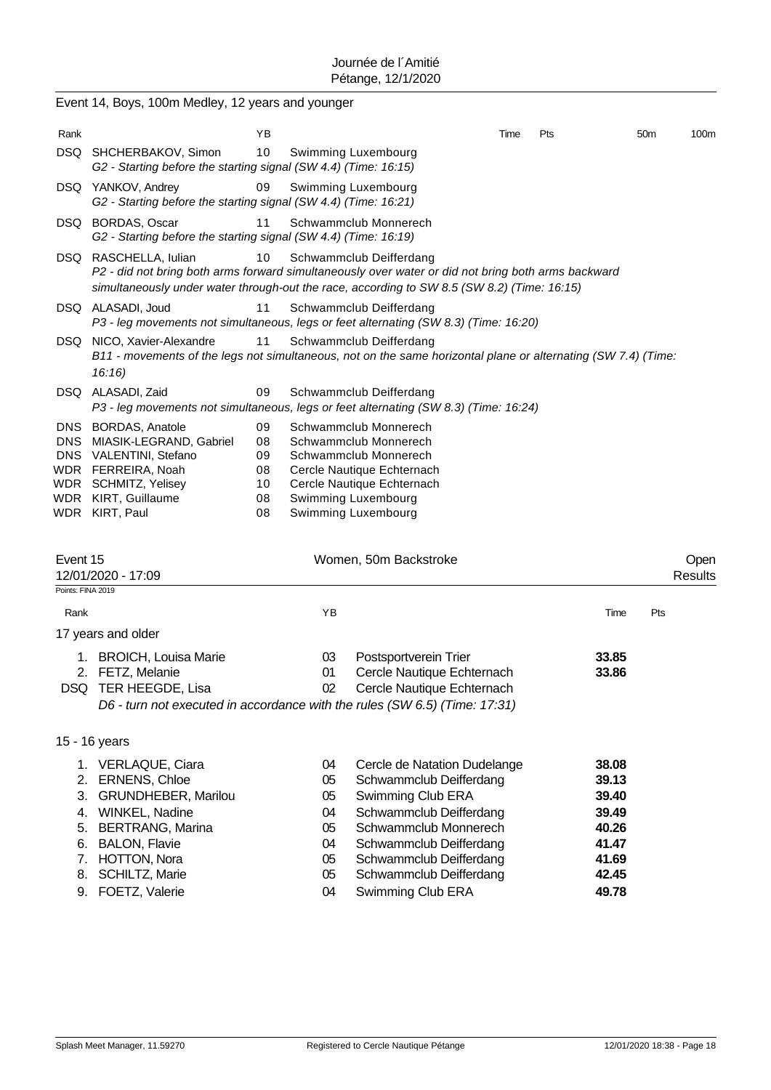|                               | Event 14, Boys, 100m Medley, 12 years and younger                                                                                                                                                                          |                                        |                                              |                                                                                                                                                                                                                   |      |     |                                                                      |                 |                        |
|-------------------------------|----------------------------------------------------------------------------------------------------------------------------------------------------------------------------------------------------------------------------|----------------------------------------|----------------------------------------------|-------------------------------------------------------------------------------------------------------------------------------------------------------------------------------------------------------------------|------|-----|----------------------------------------------------------------------|-----------------|------------------------|
| Rank                          |                                                                                                                                                                                                                            | ΥB                                     |                                              |                                                                                                                                                                                                                   | Time | Pts |                                                                      | 50 <sub>m</sub> | 100m                   |
|                               | DSQ SHCHERBAKOV, Simon<br>G2 - Starting before the starting signal (SW 4.4) (Time: 16:15)                                                                                                                                  | 10                                     |                                              | Swimming Luxembourg                                                                                                                                                                                               |      |     |                                                                      |                 |                        |
|                               | DSQ YANKOV, Andrey<br>09<br>Swimming Luxembourg<br>G2 - Starting before the starting signal (SW 4.4) (Time: 16:21)                                                                                                         |                                        |                                              |                                                                                                                                                                                                                   |      |     |                                                                      |                 |                        |
|                               | DSQ BORDAS, Oscar<br>G2 - Starting before the starting signal (SW 4.4) (Time: 16:19)                                                                                                                                       | 11                                     |                                              | Schwammclub Monnerech                                                                                                                                                                                             |      |     |                                                                      |                 |                        |
|                               | DSQ RASCHELLA, Iulian<br>P2 - did not bring both arms forward simultaneously over water or did not bring both arms backward<br>simultaneously under water through-out the race, according to SW 8.5 (SW 8.2) (Time: 16:15) | 10                                     |                                              | Schwammclub Deifferdang                                                                                                                                                                                           |      |     |                                                                      |                 |                        |
|                               | DSQ ALASADI, Joud<br>P3 - leg movements not simultaneous, legs or feet alternating (SW 8.3) (Time: 16:20)                                                                                                                  | 11                                     |                                              | Schwammclub Deifferdang                                                                                                                                                                                           |      |     |                                                                      |                 |                        |
|                               | DSQ NICO, Xavier-Alexandre<br>B11 - movements of the legs not simultaneous, not on the same horizontal plane or alternating (SW 7.4) (Time:<br>16:16                                                                       | 11                                     |                                              | Schwammclub Deifferdang                                                                                                                                                                                           |      |     |                                                                      |                 |                        |
|                               | DSQ ALASADI, Zaid<br>P3 - leg movements not simultaneous, legs or feet alternating (SW 8.3) (Time: 16:24)                                                                                                                  | 09                                     |                                              | Schwammclub Deifferdang                                                                                                                                                                                           |      |     |                                                                      |                 |                        |
| DNS.<br><b>DNS</b><br>WDR     | <b>BORDAS, Anatole</b><br>MIASIK-LEGRAND, Gabriel<br>DNS VALENTINI, Stefano<br>WDR FERREIRA, Noah<br>SCHMITZ, Yelisey<br>WDR KIRT, Guillaume<br>WDR KIRT, Paul                                                             | 09<br>08<br>09<br>08<br>10<br>08<br>08 |                                              | Schwammclub Monnerech<br>Schwammclub Monnerech<br>Schwammclub Monnerech<br>Cercle Nautique Echternach<br>Cercle Nautique Echternach<br>Swimming Luxembourg<br>Swimming Luxembourg                                 |      |     |                                                                      |                 |                        |
| Event 15<br>Points: FINA 2019 | 12/01/2020 - 17:09                                                                                                                                                                                                         |                                        |                                              | Women, 50m Backstroke                                                                                                                                                                                             |      |     |                                                                      |                 | Open<br><b>Results</b> |
| Rank                          |                                                                                                                                                                                                                            |                                        | ΥB                                           |                                                                                                                                                                                                                   |      |     | Time                                                                 | Pts             |                        |
|                               | 17 years and older                                                                                                                                                                                                         |                                        |                                              |                                                                                                                                                                                                                   |      |     |                                                                      |                 |                        |
|                               | 1. BROICH, Louisa Marie<br>2. FETZ, Melanie<br>DSQ TER HEEGDE, Lisa<br>D6 - turn not executed in accordance with the rules (SW 6.5) (Time: 17:31)                                                                          |                                        | 03<br>01<br>02                               | Postsportverein Trier<br>Cercle Nautique Echternach<br>Cercle Nautique Echternach                                                                                                                                 |      |     | 33.85<br>33.86                                                       |                 |                        |
|                               | 15 - 16 years                                                                                                                                                                                                              |                                        |                                              |                                                                                                                                                                                                                   |      |     |                                                                      |                 |                        |
|                               | 1. VERLAQUE, Ciara<br>2. ERNENS, Chloe<br>3. GRUNDHEBER, Marilou<br>4. WINKEL, Nadine<br>5. BERTRANG, Marina<br>6. BALON, Flavie<br>7. HOTTON, Nora<br>8. SCHILTZ, Marie                                                   |                                        | 04<br>05<br>05<br>04<br>05<br>04<br>05<br>05 | Cercle de Natation Dudelange<br>Schwammclub Deifferdang<br>Swimming Club ERA<br>Schwammclub Deifferdang<br>Schwammclub Monnerech<br>Schwammclub Deifferdang<br>Schwammclub Deifferdang<br>Schwammclub Deifferdang |      |     | 38.08<br>39.13<br>39.40<br>39.49<br>40.26<br>41.47<br>41.69<br>42.45 |                 |                        |
|                               | 9. FOETZ, Valerie                                                                                                                                                                                                          |                                        | 04                                           | Swimming Club ERA                                                                                                                                                                                                 |      |     | 49.78                                                                |                 |                        |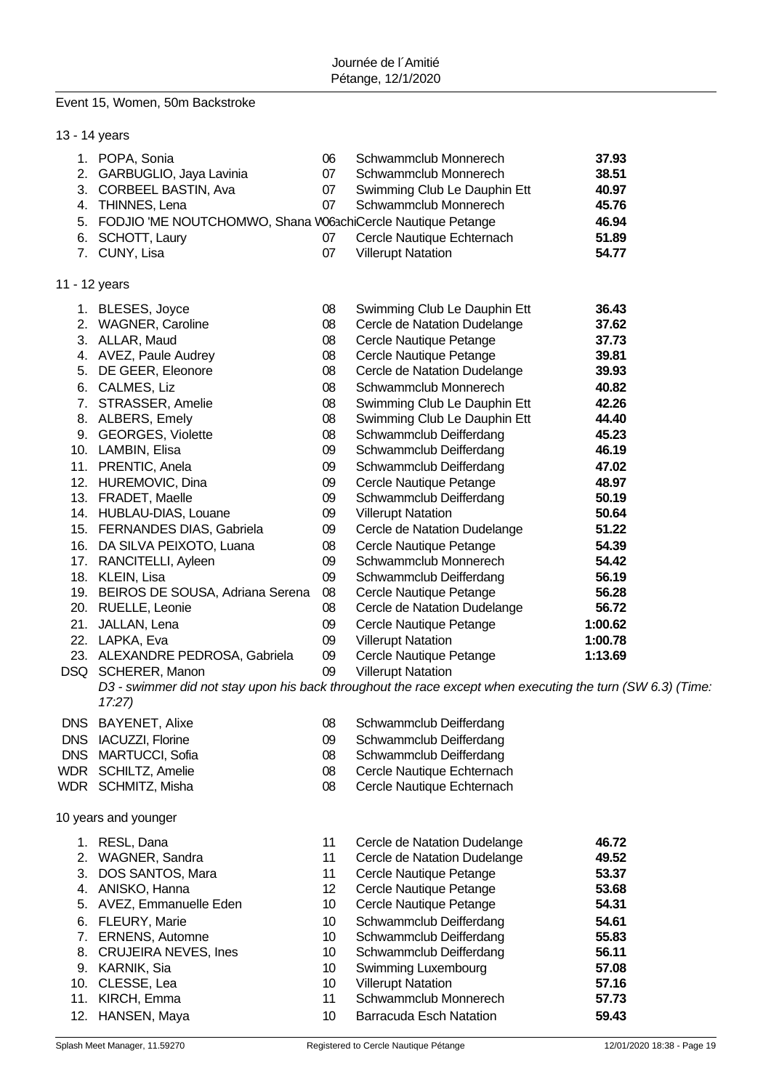# Event 15, Women, 50m Backstroke

| 13 - 14 years |                                                                                            |                      |                                                                                                           |                                  |
|---------------|--------------------------------------------------------------------------------------------|----------------------|-----------------------------------------------------------------------------------------------------------|----------------------------------|
|               | 1. POPA, Sonia<br>2. GARBUGLIO, Jaya Lavinia<br>3. CORBEEL BASTIN, Ava<br>4. THINNES, Lena | 06<br>07<br>07<br>07 | Schwammclub Monnerech<br>Schwammclub Monnerech<br>Swimming Club Le Dauphin Ett<br>Schwammclub Monnerech   | 37.93<br>38.51<br>40.97<br>45.76 |
|               | 5. FODJIO 'ME NOUTCHOMWO, Shana W63chiCercle Nautique Petange                              |                      |                                                                                                           | 46.94                            |
|               | 6. SCHOTT, Laury                                                                           | 07                   | Cercle Nautique Echternach                                                                                | 51.89                            |
|               | 7. CUNY, Lisa                                                                              | 07                   | <b>Villerupt Natation</b>                                                                                 | 54.77                            |
| 11 - 12 years |                                                                                            |                      |                                                                                                           |                                  |
|               | 1. BLESES, Joyce                                                                           | 08                   | Swimming Club Le Dauphin Ett                                                                              | 36.43                            |
|               | 2. WAGNER, Caroline                                                                        | 08                   | Cercle de Natation Dudelange                                                                              | 37.62                            |
|               | 3. ALLAR, Maud                                                                             | 08                   | Cercle Nautique Petange                                                                                   | 37.73                            |
|               | 4. AVEZ, Paule Audrey                                                                      | 08                   | Cercle Nautique Petange                                                                                   | 39.81                            |
|               | 5. DE GEER, Eleonore                                                                       | 08                   | Cercle de Natation Dudelange                                                                              | 39.93                            |
|               | 6. CALMES, Liz                                                                             | 08                   | Schwammclub Monnerech                                                                                     | 40.82                            |
|               | 7. STRASSER, Amelie                                                                        | 08                   | Swimming Club Le Dauphin Ett                                                                              | 42.26                            |
|               | 8. ALBERS, Emely                                                                           | 08                   | Swimming Club Le Dauphin Ett                                                                              | 44.40                            |
|               | 9. GEORGES, Violette                                                                       | 08                   | Schwammclub Deifferdang                                                                                   | 45.23                            |
|               | 10. LAMBIN, Elisa                                                                          | 09                   | Schwammclub Deifferdang                                                                                   | 46.19                            |
|               | 11. PRENTIC, Anela                                                                         | 09                   | Schwammclub Deifferdang                                                                                   | 47.02                            |
|               | 12. HUREMOVIC, Dina                                                                        | 09                   | Cercle Nautique Petange                                                                                   | 48.97                            |
|               | 13. FRADET, Maelle                                                                         | 09                   | Schwammclub Deifferdang                                                                                   | 50.19                            |
|               | 14. HUBLAU-DIAS, Louane                                                                    | 09                   | <b>Villerupt Natation</b>                                                                                 | 50.64                            |
|               |                                                                                            |                      |                                                                                                           | 51.22                            |
|               | 15. FERNANDES DIAS, Gabriela                                                               | 09                   | Cercle de Natation Dudelange                                                                              |                                  |
|               | 16. DA SILVA PEIXOTO, Luana                                                                | 08                   | Cercle Nautique Petange                                                                                   | 54.39                            |
|               | 17. RANCITELLI, Ayleen                                                                     | 09                   | Schwammclub Monnerech                                                                                     | 54.42                            |
|               | 18. KLEIN, Lisa                                                                            | 09                   | Schwammclub Deifferdang                                                                                   | 56.19                            |
|               | 19. BEIROS DE SOUSA, Adriana Serena                                                        | 08                   | Cercle Nautique Petange                                                                                   | 56.28                            |
|               | 20. RUELLE, Leonie                                                                         | 08                   | Cercle de Natation Dudelange                                                                              | 56.72                            |
|               | 21. JALLAN, Lena                                                                           | 09                   | Cercle Nautique Petange                                                                                   | 1:00.62                          |
|               | 22. LAPKA, Eva                                                                             | 09                   | <b>Villerupt Natation</b>                                                                                 | 1:00.78                          |
|               | 23. ALEXANDRE PEDROSA, Gabriela                                                            | 09                   | Cercle Nautique Petange                                                                                   | 1:13.69                          |
|               | DSQ SCHERER, Manon                                                                         | 09                   | <b>Villerupt Natation</b>                                                                                 |                                  |
|               | 17:27                                                                                      |                      | D3 - swimmer did not stay upon his back throughout the race except when executing the turn (SW 6.3) (Time |                                  |
| <b>DNS</b>    | <b>BAYENET, Alixe</b>                                                                      | 08                   | Schwammclub Deifferdang                                                                                   |                                  |
| <b>DNS</b>    | IACUZZI, Florine                                                                           | 09                   | Schwammclub Deifferdang                                                                                   |                                  |
| <b>DNS</b>    | MARTUCCI, Sofia                                                                            | 08                   | Schwammclub Deifferdang                                                                                   |                                  |
| WDR           | SCHILTZ, Amelie                                                                            | 08                   | Cercle Nautique Echternach                                                                                |                                  |
|               | WDR SCHMITZ, Misha                                                                         | 08                   | Cercle Nautique Echternach                                                                                |                                  |
|               | 10 years and younger                                                                       |                      |                                                                                                           |                                  |
|               |                                                                                            |                      |                                                                                                           |                                  |
| 1.            | RESL, Dana                                                                                 | 11                   | Cercle de Natation Dudelange                                                                              | 46.72                            |
| 2.            | WAGNER, Sandra                                                                             | 11                   | Cercle de Natation Dudelange                                                                              | 49.52                            |
| 3.            | DOS SANTOS, Mara                                                                           | 11                   | Cercle Nautique Petange                                                                                   | 53.37                            |
|               | 4. ANISKO, Hanna                                                                           | 12                   | Cercle Nautique Petange                                                                                   | 53.68                            |
|               | 5. AVEZ, Emmanuelle Eden                                                                   | 10                   | Cercle Nautique Petange                                                                                   | 54.31                            |
|               | 6. FLEURY, Marie                                                                           | 10                   | Schwammclub Deifferdang                                                                                   | 54.61                            |
| 7.            | ERNENS, Automne                                                                            | 10                   | Schwammclub Deifferdang                                                                                   | 55.83                            |
| 8.            | <b>CRUJEIRA NEVES, Ines</b>                                                                | 10                   | Schwammclub Deifferdang                                                                                   | 56.11                            |
|               | 9. KARNIK, Sia                                                                             | 10                   | Swimming Luxembourg                                                                                       | 57.08                            |
|               | 10. CLESSE, Lea                                                                            | 10                   | <b>Villerupt Natation</b>                                                                                 | 57.16                            |
| 11.           | KIRCH, Emma                                                                                | 11                   | Schwammclub Monnerech                                                                                     | 57.73                            |
| 12.           | HANSEN, Maya                                                                               | 10                   | <b>Barracuda Esch Natation</b>                                                                            | 59.43                            |
|               |                                                                                            |                      |                                                                                                           |                                  |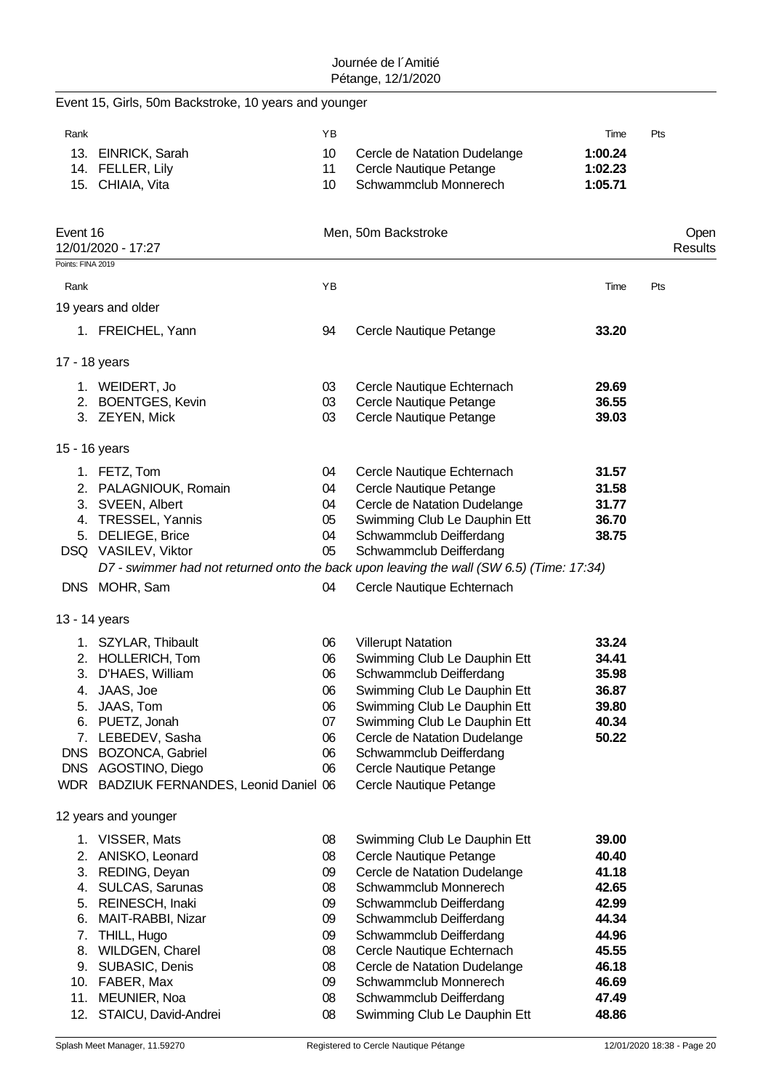|                   | Event 15, Girls, 50m Backstroke, 10 years and younger                                    |    |                              |         |                 |
|-------------------|------------------------------------------------------------------------------------------|----|------------------------------|---------|-----------------|
| Rank              |                                                                                          | YB |                              | Time    | Pts             |
|                   | 13. EINRICK, Sarah                                                                       | 10 | Cercle de Natation Dudelange | 1:00.24 |                 |
|                   | 14. FELLER, Lily                                                                         | 11 | Cercle Nautique Petange      | 1:02.23 |                 |
|                   | 15. CHIAIA, Vita                                                                         | 10 | Schwammclub Monnerech        | 1:05.71 |                 |
| Event 16          | 12/01/2020 - 17:27                                                                       |    | Men, 50m Backstroke          |         | Open<br>Results |
| Points: FINA 2019 |                                                                                          | YB |                              |         |                 |
| Rank              | 19 years and older                                                                       |    |                              | Time    | Pts             |
|                   | 1. FREICHEL, Yann                                                                        | 94 |                              |         |                 |
|                   |                                                                                          |    | Cercle Nautique Petange      | 33.20   |                 |
|                   | 17 - 18 years                                                                            |    |                              |         |                 |
|                   | 1. WEIDERT, Jo                                                                           | 03 | Cercle Nautique Echternach   | 29.69   |                 |
|                   | 2. BOENTGES, Kevin                                                                       | 03 | Cercle Nautique Petange      | 36.55   |                 |
|                   | 3. ZEYEN, Mick                                                                           | 03 | Cercle Nautique Petange      | 39.03   |                 |
| 15 - 16 years     |                                                                                          |    |                              |         |                 |
|                   | 1. FETZ, Tom                                                                             | 04 | Cercle Nautique Echternach   | 31.57   |                 |
|                   | 2. PALAGNIOUK, Romain                                                                    | 04 | Cercle Nautique Petange      | 31.58   |                 |
|                   | 3. SVEEN, Albert                                                                         | 04 | Cercle de Natation Dudelange | 31.77   |                 |
|                   | 4. TRESSEL, Yannis                                                                       | 05 | Swimming Club Le Dauphin Ett | 36.70   |                 |
|                   | 5. DELIEGE, Brice                                                                        | 04 | Schwammclub Deifferdang      | 38.75   |                 |
|                   | DSQ VASILEV, Viktor                                                                      | 05 | Schwammclub Deifferdang      |         |                 |
|                   | D7 - swimmer had not returned onto the back upon leaving the wall (SW 6.5) (Time: 17:34) |    |                              |         |                 |
|                   | DNS MOHR, Sam                                                                            | 04 | Cercle Nautique Echternach   |         |                 |
|                   | 13 - 14 years                                                                            |    |                              |         |                 |
|                   | 1. SZYLAR, Thibault                                                                      | 06 | <b>Villerupt Natation</b>    | 33.24   |                 |
|                   | 2. HOLLERICH, Tom                                                                        | 06 | Swimming Club Le Dauphin Ett | 34.41   |                 |
| 3.                | D'HAES, William                                                                          | 06 | Schwammclub Deifferdang      | 35.98   |                 |
|                   | 4. JAAS, Joe                                                                             | 06 | Swimming Club Le Dauphin Ett | 36.87   |                 |
| 5.                | JAAS, Tom                                                                                | 06 | Swimming Club Le Dauphin Ett | 39.80   |                 |
|                   | 6. PUETZ, Jonah                                                                          | 07 | Swimming Club Le Dauphin Ett | 40.34   |                 |
|                   | 7. LEBEDEV, Sasha                                                                        | 06 | Cercle de Natation Dudelange | 50.22   |                 |
|                   | DNS BOZONCA, Gabriel                                                                     | 06 | Schwammclub Deifferdang      |         |                 |
| <b>DNS</b>        | AGOSTINO, Diego                                                                          | 06 | Cercle Nautique Petange      |         |                 |
|                   | WDR BADZIUK FERNANDES, Leonid Daniel 06                                                  |    | Cercle Nautique Petange      |         |                 |
|                   | 12 years and younger                                                                     |    |                              |         |                 |
| 1.                | VISSER, Mats                                                                             | 08 | Swimming Club Le Dauphin Ett | 39.00   |                 |
|                   | 2. ANISKO, Leonard                                                                       | 08 | Cercle Nautique Petange      | 40.40   |                 |
|                   | 3. REDING, Deyan                                                                         | 09 | Cercle de Natation Dudelange | 41.18   |                 |
|                   | 4. SULCAS, Sarunas                                                                       | 08 | Schwammclub Monnerech        | 42.65   |                 |
|                   | 5. REINESCH, Inaki                                                                       | 09 | Schwammclub Deifferdang      | 42.99   |                 |
| 6.                | MAIT-RABBI, Nizar                                                                        | 09 | Schwammclub Deifferdang      | 44.34   |                 |
| 7.                | THILL, Hugo                                                                              | 09 | Schwammclub Deifferdang      | 44.96   |                 |
|                   | 8. WILDGEN, Charel                                                                       | 08 | Cercle Nautique Echternach   | 45.55   |                 |
|                   | 9. SUBASIC, Denis                                                                        | 08 | Cercle de Natation Dudelange | 46.18   |                 |
|                   | 10. FABER, Max                                                                           | 09 | Schwammclub Monnerech        | 46.69   |                 |
| 11.               | MEUNIER, Noa                                                                             | 08 | Schwammclub Deifferdang      | 47.49   |                 |
|                   | 12. STAICU, David-Andrei                                                                 | 08 | Swimming Club Le Dauphin Ett | 48.86   |                 |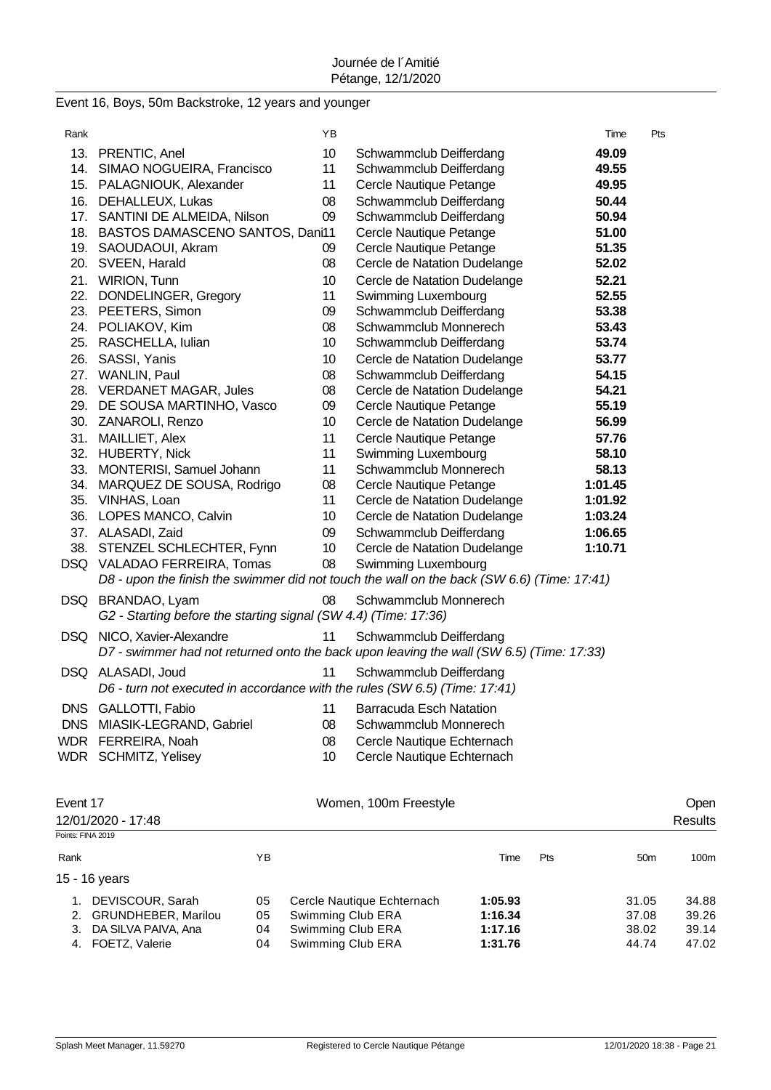|  |  |  | Event 16, Boys, 50m Backstroke, 12 years and younger |  |  |  |  |
|--|--|--|------------------------------------------------------|--|--|--|--|
|--|--|--|------------------------------------------------------|--|--|--|--|

| Rank |                                                                            | ΥB              |                                                                                            | Time    | Pts |
|------|----------------------------------------------------------------------------|-----------------|--------------------------------------------------------------------------------------------|---------|-----|
|      | 13. PRENTIC, Anel                                                          | 10 <sup>1</sup> | Schwammclub Deifferdang                                                                    | 49.09   |     |
|      | 14. SIMAO NOGUEIRA, Francisco                                              | 11              | Schwammclub Deifferdang                                                                    | 49.55   |     |
|      | 15. PALAGNIOUK, Alexander                                                  | 11              | Cercle Nautique Petange                                                                    | 49.95   |     |
|      | 16. DEHALLEUX, Lukas                                                       | 08              | Schwammclub Deifferdang                                                                    | 50.44   |     |
|      | 17. SANTINI DE ALMEIDA, Nilson                                             | 09              | Schwammclub Deifferdang                                                                    | 50.94   |     |
|      | 18. BASTOS DAMASCENO SANTOS, Dani11                                        |                 | Cercle Nautique Petange                                                                    | 51.00   |     |
|      | 19. SAOUDAOUI, Akram                                                       | 09              | Cercle Nautique Petange                                                                    | 51.35   |     |
|      | 20. SVEEN, Harald                                                          | 80              | Cercle de Natation Dudelange                                                               | 52.02   |     |
|      | 21. WIRION, Tunn                                                           | 10              | Cercle de Natation Dudelange                                                               | 52.21   |     |
|      | 22. DONDELINGER, Gregory                                                   | 11              | Swimming Luxembourg                                                                        | 52.55   |     |
|      | 23. PEETERS, Simon                                                         | 09              | Schwammclub Deifferdang                                                                    | 53.38   |     |
|      | 24. POLIAKOV, Kim                                                          | 08              | Schwammclub Monnerech                                                                      | 53.43   |     |
|      | 25. RASCHELLA, Iulian                                                      | 10 <sup>°</sup> | Schwammclub Deifferdang                                                                    | 53.74   |     |
|      | 26. SASSI, Yanis                                                           | 10              | Cercle de Natation Dudelange                                                               | 53.77   |     |
|      | 27. WANLIN, Paul                                                           | 80              | Schwammclub Deifferdang                                                                    | 54.15   |     |
|      | 28. VERDANET MAGAR, Jules                                                  | 08              | Cercle de Natation Dudelange                                                               | 54.21   |     |
|      | 29. DE SOUSA MARTINHO, Vasco                                               | 09              | Cercle Nautique Petange                                                                    | 55.19   |     |
|      | 30. ZANAROLI, Renzo                                                        | 10              | Cercle de Natation Dudelange                                                               | 56.99   |     |
|      | 31. MAILLIET, Alex                                                         | 11              | Cercle Nautique Petange                                                                    | 57.76   |     |
|      | 32. HUBERTY, Nick                                                          | 11              | Swimming Luxembourg                                                                        | 58.10   |     |
|      | 33. MONTERISI, Samuel Johann                                               | 11              | Schwammclub Monnerech                                                                      | 58.13   |     |
|      | 34. MARQUEZ DE SOUSA, Rodrigo                                              | 08              | Cercle Nautique Petange                                                                    | 1:01.45 |     |
|      | 35. VINHAS, Loan                                                           | 11              | Cercle de Natation Dudelange                                                               | 1:01.92 |     |
|      | 36. LOPES MANCO, Calvin                                                    | 10              | Cercle de Natation Dudelange                                                               | 1:03.24 |     |
|      | 37. ALASADI, Zaid                                                          | 09              | Schwammclub Deifferdang                                                                    | 1:06.65 |     |
|      | 38. STENZEL SCHLECHTER, Fynn                                               | 10 <sup>1</sup> | Cercle de Natation Dudelange                                                               | 1:10.71 |     |
|      | DSQ VALADAO FERREIRA, Tomas                                                | 08              | Swimming Luxembourg                                                                        |         |     |
|      |                                                                            |                 | D8 - upon the finish the swimmer did not touch the wall on the back (SW 6.6) (Time: 17:41) |         |     |
|      | DSQ BRANDAO, Lyam                                                          | 08              | Schwammclub Monnerech                                                                      |         |     |
|      | G2 - Starting before the starting signal (SW 4.4) (Time: 17:36)            |                 |                                                                                            |         |     |
|      | DSQ NICO, Xavier-Alexandre                                                 | 11              | Schwammclub Deifferdang                                                                    |         |     |
|      |                                                                            |                 | D7 - swimmer had not returned onto the back upon leaving the wall (SW 6.5) (Time: 17:33)   |         |     |
|      | DSQ ALASADI, Joud                                                          | 11              | Schwammclub Deifferdang                                                                    |         |     |
|      | D6 - turn not executed in accordance with the rules (SW 6.5) (Time: 17:41) |                 |                                                                                            |         |     |
|      | DNS GALLOTTI, Fabio                                                        | 11              | Barracuda Esch Natation                                                                    |         |     |
|      | DNS MIASIK-LEGRAND, Gabriel                                                | 08              | Schwammclub Monnerech                                                                      |         |     |
|      | WDR FERREIRA, Noah                                                         | 08              | Cercle Nautique Echternach                                                                 |         |     |
|      | WDR SCHMITZ, Yelisey                                                       | 10              | Cercle Nautique Echternach                                                                 |         |     |
|      |                                                                            |                 |                                                                                            |         |     |
|      |                                                                            |                 |                                                                                            |         |     |
|      |                                                                            |                 |                                                                                            |         |     |

| Event 17                  |    | Women, 100m Freestyle      |         |            |                 |       |  |  |  |
|---------------------------|----|----------------------------|---------|------------|-----------------|-------|--|--|--|
| 12/01/2020 - 17:48        |    |                            |         |            | <b>Results</b>  |       |  |  |  |
| Points: FINA 2019         |    |                            |         |            |                 |       |  |  |  |
| Rank                      | ΥB |                            | Time    | <b>Pts</b> | 50 <sub>m</sub> | 100m  |  |  |  |
| 15 - 16 years             |    |                            |         |            |                 |       |  |  |  |
| DEVISCOUR, Sarah          | 05 | Cercle Nautique Echternach | 1:05.93 |            | 31.05           | 34.88 |  |  |  |
| 2. GRUNDHEBER, Marilou    | 05 | Swimming Club ERA          | 1:16.34 |            | 37.08           | 39.26 |  |  |  |
| DA SILVA PAIVA, Ana<br>3. | 04 | Swimming Club ERA          | 1:17.16 |            | 38.02           | 39.14 |  |  |  |
| FOETZ, Valerie<br>4.      | 04 | Swimming Club ERA          | 1:31.76 |            | 44.74           | 47.02 |  |  |  |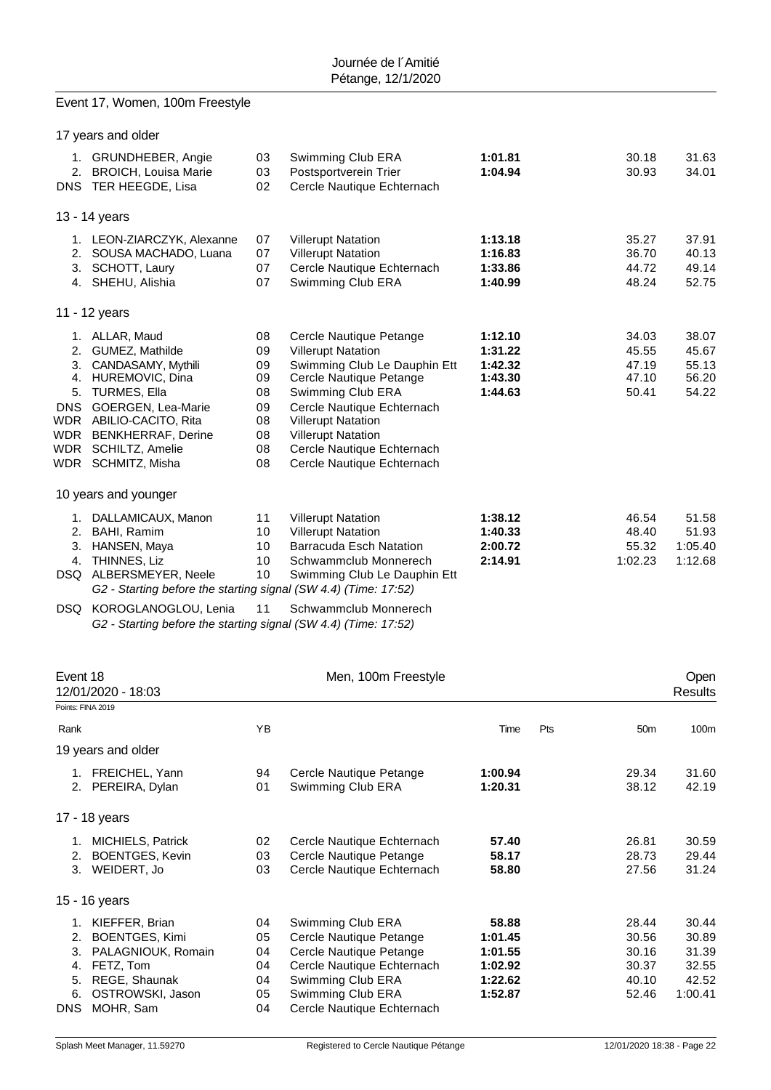### Event 17, Women, 100m Freestyle

|                                                                              | 17 years and older                                                                                                                                                                                                   |                                                          |                                                                                                                                                                                                                                                                                          |                                                     |                                           |                                           |
|------------------------------------------------------------------------------|----------------------------------------------------------------------------------------------------------------------------------------------------------------------------------------------------------------------|----------------------------------------------------------|------------------------------------------------------------------------------------------------------------------------------------------------------------------------------------------------------------------------------------------------------------------------------------------|-----------------------------------------------------|-------------------------------------------|-------------------------------------------|
| 2.                                                                           | 1. GRUNDHEBER, Angie<br><b>BROICH, Louisa Marie</b><br>DNS TER HEEGDE, Lisa                                                                                                                                          | 03<br>03<br>02                                           | Swimming Club ERA<br>Postsportverein Trier<br>Cercle Nautique Echternach                                                                                                                                                                                                                 | 1:01.81<br>1:04.94                                  | 30.18<br>30.93                            | 31.63<br>34.01                            |
|                                                                              | 13 - 14 years                                                                                                                                                                                                        |                                                          |                                                                                                                                                                                                                                                                                          |                                                     |                                           |                                           |
| 2.<br>3.<br>4.                                                               | 1. LEON-ZIARCZYK, Alexanne<br>SOUSA MACHADO, Luana<br>SCHOTT, Laury<br>SHEHU, Alishia                                                                                                                                | 07<br>07<br>07<br>07                                     | <b>Villerupt Natation</b><br><b>Villerupt Natation</b><br>Cercle Nautique Echternach<br>Swimming Club ERA                                                                                                                                                                                | 1:13.18<br>1:16.83<br>1:33.86<br>1:40.99            | 35.27<br>36.70<br>44.72<br>48.24          | 37.91<br>40.13<br>49.14<br>52.75          |
|                                                                              | 11 - 12 years                                                                                                                                                                                                        |                                                          |                                                                                                                                                                                                                                                                                          |                                                     |                                           |                                           |
| 2.<br>3.<br>4.<br>5.<br><b>DNS</b><br><b>WDR</b><br><b>WDR</b><br><b>WDR</b> | 1. ALLAR, Maud<br>GUMEZ, Mathilde<br>CANDASAMY, Mythili<br>HUREMOVIC, Dina<br><b>TURMES, Ella</b><br>GOERGEN, Lea-Marie<br>WDR ABILIO-CACITO, Rita<br><b>BENKHERRAF, Derine</b><br>SCHILTZ, Amelie<br>SCHMITZ, Misha | 08<br>09<br>09<br>09<br>08<br>09<br>08<br>08<br>08<br>08 | Cercle Nautique Petange<br><b>Villerupt Natation</b><br>Swimming Club Le Dauphin Ett<br>Cercle Nautique Petange<br>Swimming Club ERA<br>Cercle Nautique Echternach<br><b>Villerupt Natation</b><br><b>Villerupt Natation</b><br>Cercle Nautique Echternach<br>Cercle Nautique Echternach | 1:12.10<br>1:31.22<br>1:42.32<br>1:43.30<br>1:44.63 | 34.03<br>45.55<br>47.19<br>47.10<br>50.41 | 38.07<br>45.67<br>55.13<br>56.20<br>54.22 |
|                                                                              | 10 years and younger                                                                                                                                                                                                 |                                                          |                                                                                                                                                                                                                                                                                          |                                                     |                                           |                                           |
| 1.<br>2.<br>3.<br>4.<br>DSQ                                                  | DALLAMICAUX, Manon<br>BAHI, Ramim<br>HANSEN, Maya<br>THINNES, Liz<br>ALBERSMEYER, Neele<br>G2 - Starting before the starting signal (SW 4.4) (Time: 17:52)                                                           | 11<br>10<br>10<br>10 <sup>1</sup><br>10                  | <b>Villerupt Natation</b><br><b>Villerupt Natation</b><br><b>Barracuda Esch Natation</b><br>Schwammclub Monnerech<br>Swimming Club Le Dauphin Ett                                                                                                                                        | 1:38.12<br>1:40.33<br>2:00.72<br>2:14.91            | 46.54<br>48.40<br>55.32<br>1:02.23        | 51.58<br>51.93<br>1:05.40<br>1:12.68      |

DSQ KOROGLANOGLOU, Lenia 11 Schwammclub Monnerech *G2 - Starting before the starting signal (SW 4.4) (Time: 17:52)*

| Event 18 |                          |    | Men, 100m Freestyle        |         | Open |                 |         |
|----------|--------------------------|----|----------------------------|---------|------|-----------------|---------|
|          | 12/01/2020 - 18:03       |    |                            |         |      |                 |         |
|          | Points: FINA 2019        |    |                            |         |      |                 |         |
| Rank     |                          | YB |                            | Time    | Pts  | 50 <sub>m</sub> | 100m    |
|          | 19 years and older       |    |                            |         |      |                 |         |
|          | 1. FREICHEL, Yann        | 94 | Cercle Nautique Petange    | 1:00.94 |      | 29.34           | 31.60   |
|          | 2. PEREIRA, Dylan        | 01 | Swimming Club ERA          | 1:20.31 |      | 38.12           | 42.19   |
|          | 17 - 18 years            |    |                            |         |      |                 |         |
| 1.       | <b>MICHIELS, Patrick</b> | 02 | Cercle Nautique Echternach | 57.40   |      | 26.81           | 30.59   |
| 2.       | <b>BOENTGES, Kevin</b>   | 03 | Cercle Nautique Petange    | 58.17   |      | 28.73           | 29.44   |
| 3.       | WEIDERT, Jo              | 03 | Cercle Nautique Echternach | 58.80   |      | 27.56           | 31.24   |
|          | 15 - 16 years            |    |                            |         |      |                 |         |
| 1.       | KIEFFER, Brian           | 04 | Swimming Club ERA          | 58.88   |      | 28.44           | 30.44   |
| 2.       | BOENTGES, Kimi           | 05 | Cercle Nautique Petange    | 1:01.45 |      | 30.56           | 30.89   |
| 3.       | PALAGNIOUK, Romain       | 04 | Cercle Nautique Petange    | 1:01.55 |      | 30.16           | 31.39   |
| 4.       | FETZ, Tom                | 04 | Cercle Nautique Echternach | 1:02.92 |      | 30.37           | 32.55   |
| 5.       | REGE, Shaunak            | 04 | Swimming Club ERA          | 1:22.62 |      | 40.10           | 42.52   |
| 6.       | OSTROWSKI, Jason         | 05 | Swimming Club ERA          | 1:52.87 |      | 52.46           | 1:00.41 |
|          | DNS MOHR, Sam            | 04 | Cercle Nautique Echternach |         |      |                 |         |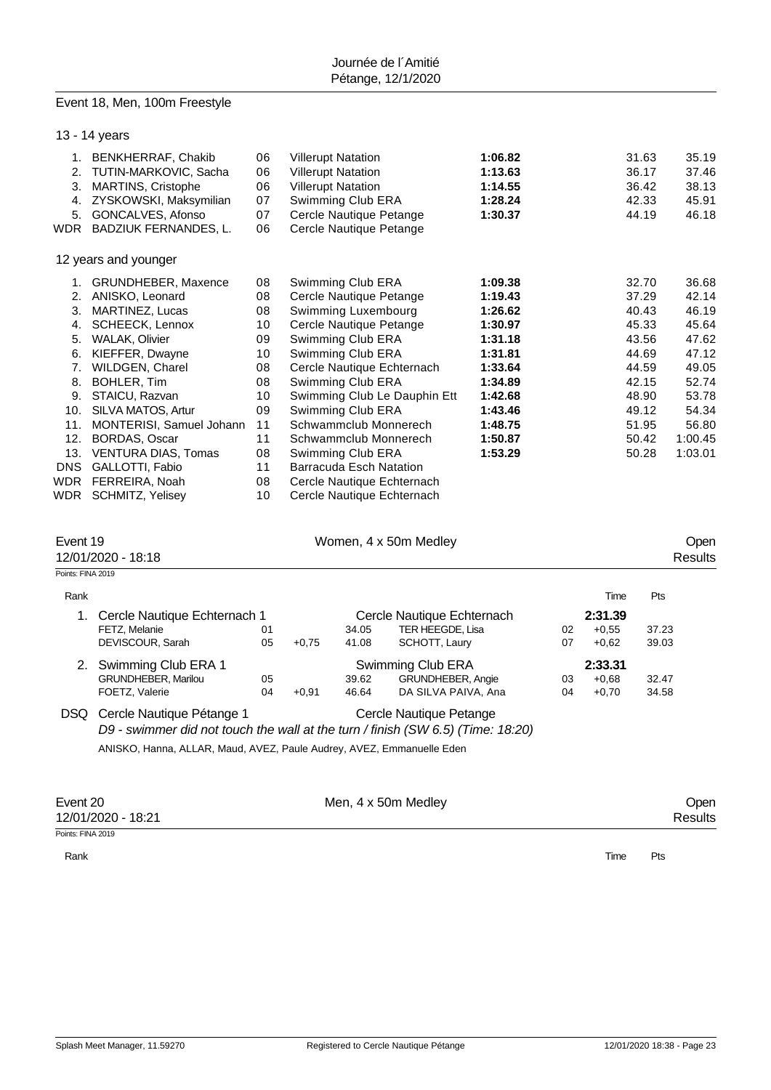### Event 18, Men, 100m Freestyle

|                               | 13 - 14 years                                                                                                                                                                                                                                                                                                                                                                   |                                                                                              |         |                                                                                                                                                                                                                                                                                             |                                                                                                                        |                                                                                                                                             |          |                               |                                                                                                                   |                                                                                                                       |
|-------------------------------|---------------------------------------------------------------------------------------------------------------------------------------------------------------------------------------------------------------------------------------------------------------------------------------------------------------------------------------------------------------------------------|----------------------------------------------------------------------------------------------|---------|---------------------------------------------------------------------------------------------------------------------------------------------------------------------------------------------------------------------------------------------------------------------------------------------|------------------------------------------------------------------------------------------------------------------------|---------------------------------------------------------------------------------------------------------------------------------------------|----------|-------------------------------|-------------------------------------------------------------------------------------------------------------------|-----------------------------------------------------------------------------------------------------------------------|
| 2.                            | 1. BENKHERRAF, Chakib<br>TUTIN-MARKOVIC, Sacha<br>3. MARTINS, Cristophe<br>4. ZYSKOWSKI, Maksymilian<br>5. GONCALVES, Afonso<br>WDR BADZIUK FERNANDES, L.                                                                                                                                                                                                                       | 06<br>06<br>06<br>07<br>07<br>06                                                             |         | <b>Villerupt Natation</b><br>1:06.82<br><b>Villerupt Natation</b><br>1:13.63<br><b>Villerupt Natation</b><br>1:14.55<br>Swimming Club ERA<br>1:28.24<br>Cercle Nautique Petange<br>1:30.37<br>Cercle Nautique Petange                                                                       |                                                                                                                        |                                                                                                                                             |          |                               | 31.63<br>36.17<br>36.42<br>42.33<br>44.19                                                                         | 35.19<br>37.46<br>38.13<br>45.91<br>46.18                                                                             |
|                               | 12 years and younger                                                                                                                                                                                                                                                                                                                                                            |                                                                                              |         |                                                                                                                                                                                                                                                                                             |                                                                                                                        |                                                                                                                                             |          |                               |                                                                                                                   |                                                                                                                       |
| 8.<br>WDR                     | 1. GRUNDHEBER, Maxence<br>2. ANISKO, Leonard<br>3. MARTINEZ, Lucas<br>4. SCHEECK, Lennox<br>5. WALAK, Olivier<br>6. KIEFFER, Dwayne<br>7. WILDGEN, Charel<br>BOHLER, Tim<br>9. STAICU, Razvan<br>10. SILVA MATOS, Artur<br>11. MONTERISI, Samuel Johann<br>12. BORDAS, Oscar<br>13. VENTURA DIAS, Tomas<br>DNS GALLOTTI, Fabio<br>WDR FERREIRA, Noah<br><b>SCHMITZ, Yelisey</b> | 08<br>08<br>08<br>10<br>09<br>10<br>08<br>08<br>10<br>09<br>11<br>11<br>08<br>11<br>08<br>10 |         | Swimming Club ERA<br>Cercle Nautique Petange<br>Swimming Luxembourg<br>Cercle Nautique Petange<br>Swimming Club ERA<br>Swimming Club ERA<br>Swimming Club ERA<br>Swimming Club ERA<br>Schwammclub Monnerech<br>Schwammclub Monnerech<br>Swimming Club ERA<br><b>Barracuda Esch Natation</b> | Cercle Nautique Echternach<br>Swimming Club Le Dauphin Ett<br>Cercle Nautique Echternach<br>Cercle Nautique Echternach | 1:09.38<br>1:19.43<br>1:26.62<br>1:30.97<br>1:31.18<br>1:31.81<br>1:33.64<br>1:34.89<br>1:42.68<br>1:43.46<br>1:48.75<br>1:50.87<br>1:53.29 |          |                               | 32.70<br>37.29<br>40.43<br>45.33<br>43.56<br>44.69<br>44.59<br>42.15<br>48.90<br>49.12<br>51.95<br>50.42<br>50.28 | 36.68<br>42.14<br>46.19<br>45.64<br>47.62<br>47.12<br>49.05<br>52.74<br>53.78<br>54.34<br>56.80<br>1:00.45<br>1:03.01 |
| Event 19<br>Points: FINA 2019 | 12/01/2020 - 18:18                                                                                                                                                                                                                                                                                                                                                              |                                                                                              |         |                                                                                                                                                                                                                                                                                             | Women, 4 x 50m Medley                                                                                                  |                                                                                                                                             |          |                               |                                                                                                                   | Open<br><b>Results</b>                                                                                                |
| Rank                          |                                                                                                                                                                                                                                                                                                                                                                                 |                                                                                              |         |                                                                                                                                                                                                                                                                                             |                                                                                                                        |                                                                                                                                             |          | Time                          | Pts                                                                                                               |                                                                                                                       |
|                               | 1. Cercle Nautique Echternach 1<br>FETZ, Melanie<br>DEVISCOUR, Sarah                                                                                                                                                                                                                                                                                                            | 01<br>05                                                                                     | $+0,75$ | 34.05<br>41.08                                                                                                                                                                                                                                                                              | Cercle Nautique Echternach<br>TER HEEGDE, Lisa<br>SCHOTT, Laury                                                        |                                                                                                                                             | 02<br>07 | 2:31.39<br>$+0,55$<br>$+0,62$ | 37.23<br>39.03                                                                                                    |                                                                                                                       |
|                               | 2. Swimming Club ERA 1<br>GRUNDHEBER, Marilou<br>FOETZ, Valerie                                                                                                                                                                                                                                                                                                                 | 05<br>04                                                                                     | $+0,91$ | Swimming Club ERA<br>GRUNDHEBER, Angie<br>39.62<br>46.64<br>DA SILVA PAIVA, Ana                                                                                                                                                                                                             |                                                                                                                        |                                                                                                                                             |          | 2:33.31<br>$+0,68$<br>$+0,70$ | 32.47<br>34.58                                                                                                    |                                                                                                                       |
|                               | DSQ Cercle Nautique Pétange 1<br>D9 - swimmer did not touch the wall at the turn / finish (SW 6.5) (Time: 18:20)<br>ANISKO, Hanna, ALLAR, Maud, AVEZ, Paule Audrey, AVEZ, Emmanuelle Eden                                                                                                                                                                                       |                                                                                              |         |                                                                                                                                                                                                                                                                                             | Cercle Nautique Petange                                                                                                |                                                                                                                                             |          |                               |                                                                                                                   |                                                                                                                       |
|                               |                                                                                                                                                                                                                                                                                                                                                                                 |                                                                                              |         |                                                                                                                                                                                                                                                                                             |                                                                                                                        |                                                                                                                                             |          |                               |                                                                                                                   |                                                                                                                       |

Points: FINA 2019

12/01/2020 - 18:21

Rank **Time Pts** 

Event 20 Communication of the Men, 4 x 50m Medley Communication of the Open Communication of the Men, 4 x 50m Medley Communication of the Mesults of the 12/01/2020 - 18:21